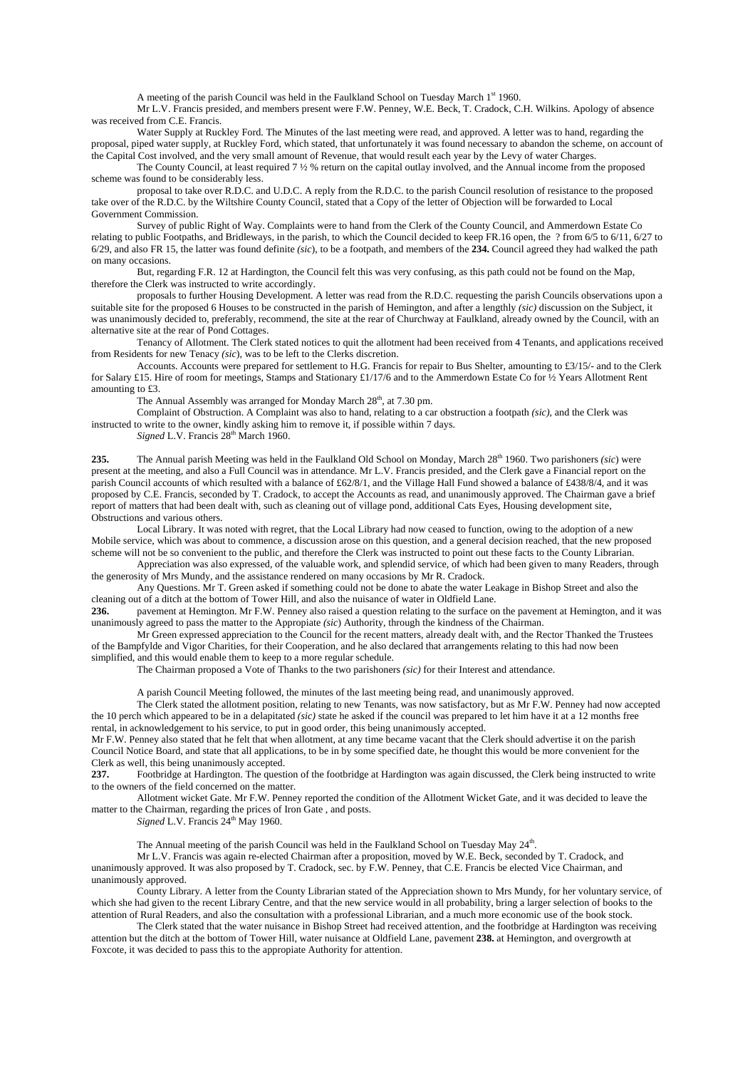A meeting of the parish Council was held in the Faulkland School on Tuesday March  $1<sup>st</sup> 1960$ .

Mr L.V. Francis presided, and members present were F.W. Penney, W.E. Beck, T. Cradock, C.H. Wilkins. Apology of absence was received from C.E. Francis.

Water Supply at Ruckley Ford. The Minutes of the last meeting were read, and approved. A letter was to hand, regarding the proposal, piped water supply, at Ruckley Ford, which stated, that unfortunately it was found necessary to abandon the scheme, on account of the Capital Cost involved, and the very small amount of Revenue, that would result each year by the Levy of water Charges.

The County Council, at least required 7 ½ % return on the capital outlay involved, and the Annual income from the proposed scheme was found to be considerably less.

proposal to take over R.D.C. and U.D.C. A reply from the R.D.C. to the parish Council resolution of resistance to the proposed take over of the R.D.C. by the Wiltshire County Council, stated that a Copy of the letter of Objection will be forwarded to Local Government Commission.

Survey of public Right of Way. Complaints were to hand from the Clerk of the County Council, and Ammerdown Estate Co relating to public Footpaths, and Bridleways, in the parish, to which the Council decided to keep FR.16 open, the ? from 6/5 to 6/11, 6/27 to 6/29, and also FR 15, the latter was found definite *(sic*), to be a footpath, and members of the **234.** Council agreed they had walked the path on many occasions.

But, regarding F.R. 12 at Hardington, the Council felt this was very confusing, as this path could not be found on the Map, therefore the Clerk was instructed to write accordingly.

proposals to further Housing Development. A letter was read from the R.D.C. requesting the parish Councils observations upon a suitable site for the proposed 6 Houses to be constructed in the parish of Hemington, and after a lengthly *(sic)* discussion on the Subject, it was unanimously decided to, preferably, recommend, the site at the rear of Churchway at Faulkland, already owned by the Council, with an alternative site at the rear of Pond Cottages.

Tenancy of Allotment. The Clerk stated notices to quit the allotment had been received from 4 Tenants, and applications received from Residents for new Tenacy *(sic*), was to be left to the Clerks discretion.

Accounts. Accounts were prepared for settlement to H.G. Francis for repair to Bus Shelter, amounting to £3/15/- and to the Clerk for Salary £15. Hire of room for meetings, Stamps and Stationary £1/17/6 and to the Ammerdown Estate Co for ½ Years Allotment Rent amounting to £3.

The Annual Assembly was arranged for Monday March 28<sup>th</sup>, at 7.30 pm.

Complaint of Obstruction. A Complaint was also to hand, relating to a car obstruction a footpath *(sic)*, and the Clerk was instructed to write to the owner, kindly asking him to remove it, if possible within 7 days.

*Signed L.V.* Francis 28<sup>th</sup> March 1960.

235. The Annual parish Meeting was held in the Faulkland Old School on Monday, March 28<sup>th</sup> 1960. Two parishoners *(sic)* were present at the meeting, and also a Full Council was in attendance. Mr L.V. Francis presided, and the Clerk gave a Financial report on the parish Council accounts of which resulted with a balance of £62/8/1, and the Village Hall Fund showed a balance of £438/8/4, and it was proposed by C.E. Francis, seconded by T. Cradock, to accept the Accounts as read, and unanimously approved. The Chairman gave a brief report of matters that had been dealt with, such as cleaning out of village pond, additional Cats Eyes, Housing development site, Obstructions and various others.

Local Library. It was noted with regret, that the Local Library had now ceased to function, owing to the adoption of a new Mobile service, which was about to commence, a discussion arose on this question, and a general decision reached, that the new proposed scheme will not be so convenient to the public, and therefore the Clerk was instructed to point out these facts to the County Librarian.

Appreciation was also expressed, of the valuable work, and splendid service, of which had been given to many Readers, through the generosity of Mrs Mundy, and the assistance rendered on many occasions by Mr R. Cradock.

Any Questions. Mr T. Green asked if something could not be done to abate the water Leakage in Bishop Street and also the cleaning out of a ditch at the bottom of Tower Hill, and also the nuisance of water in Oldfield Lane.

**236.** pavement at Hemington. Mr F.W. Penney also raised a question relating to the surface on the pavement at Hemington, and it was unanimously agreed to pass the matter to the Appropiate *(sic*) Authority, through the kindness of the Chairman.

Mr Green expressed appreciation to the Council for the recent matters, already dealt with, and the Rector Thanked the Trustees of the Bampfylde and Vigor Charities, for their Cooperation, and he also declared that arrangements relating to this had now been simplified, and this would enable them to keep to a more regular schedule.

The Chairman proposed a Vote of Thanks to the two parishoners *(sic)* for their Interest and attendance.

A parish Council Meeting followed, the minutes of the last meeting being read, and unanimously approved.

The Clerk stated the allotment position, relating to new Tenants, was now satisfactory, but as Mr F.W. Penney had now accepted the 10 perch which appeared to be in a delapitated *(sic)* state he asked if the council was prepared to let him have it at a 12 months free rental, in acknowledgement to his service, to put in good order, this being unanimously accepted.

Mr F.W. Penney also stated that he felt that when allotment, at any time became vacant that the Clerk should advertise it on the parish Council Notice Board, and state that all applications, to be in by some specified date, he thought this would be more convenient for the Clerk as well, this being unanimously accepted.<br>237. Ecothridge at Hardington The quest

**237.** Footbridge at Hardington. The question of the footbridge at Hardington was again discussed, the Clerk being instructed to write to the owners of the field concerned on the matter.

Allotment wicket Gate. Mr F.W. Penney reported the condition of the Allotment Wicket Gate, and it was decided to leave the matter to the Chairman, regarding the prices of Iron Gate , and posts.

*Signed L.V.* Francis 24<sup>th</sup> May 1960.

The Annual meeting of the parish Council was held in the Faulkland School on Tuesday May  $24<sup>th</sup>$ .

Mr L.V. Francis was again re-elected Chairman after a proposition, moved by W.E. Beck, seconded by T. Cradock, and unanimously approved. It was also proposed by T. Cradock, sec. by F.W. Penney, that C.E. Francis be elected Vice Chairman, and unanimously approved.

County Library. A letter from the County Librarian stated of the Appreciation shown to Mrs Mundy, for her voluntary service, of which she had given to the recent Library Centre, and that the new service would in all probability, bring a larger selection of books to the attention of Rural Readers, and also the consultation with a professional Librarian, and a much more economic use of the book stock.

The Clerk stated that the water nuisance in Bishop Street had received attention, and the footbridge at Hardington was receiving attention but the ditch at the bottom of Tower Hill, water nuisance at Oldfield Lane, pavement **238.** at Hemington, and overgrowth at Foxcote, it was decided to pass this to the appropiate Authority for attention.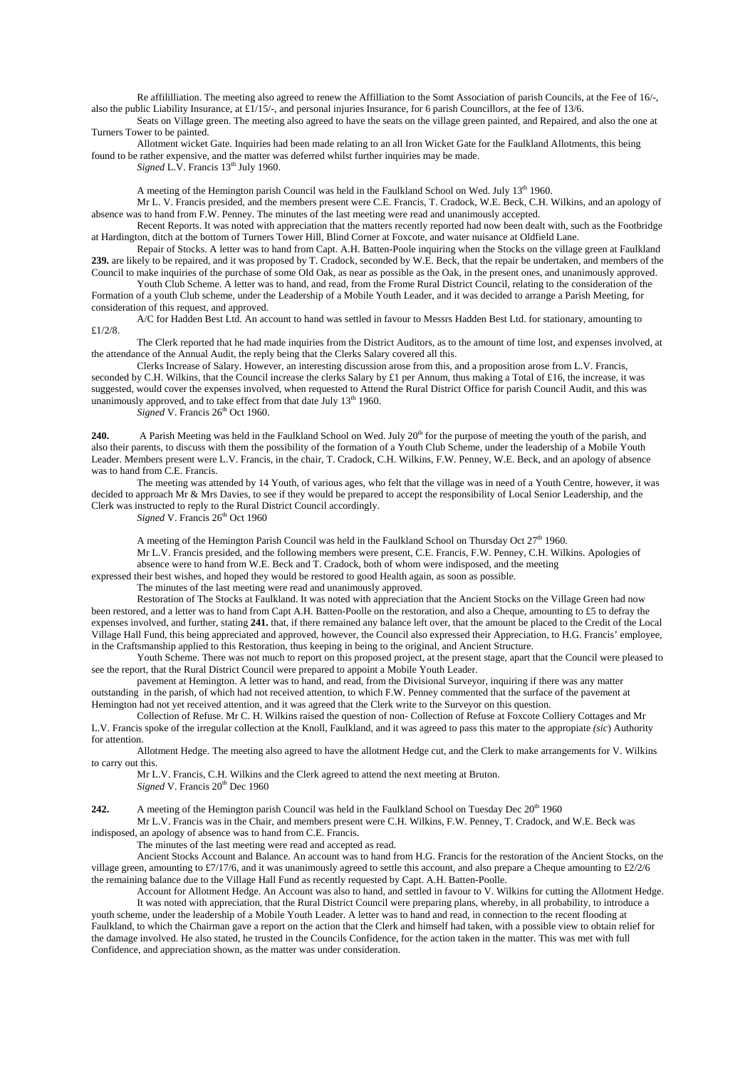Re affililliation. The meeting also agreed to renew the Affilliation to the Somt Association of parish Councils, at the Fee of 16/-, also the public Liability Insurance, at £1/15/-, and personal injuries Insurance, for 6 parish Councillors, at the fee of 13/6.

Seats on Village green. The meeting also agreed to have the seats on the village green painted, and Repaired, and also the one at Turners Tower to be painted.

Allotment wicket Gate. Inquiries had been made relating to an all Iron Wicket Gate for the Faulkland Allotments, this being found to be rather expensive, and the matter was deferred whilst further inquiries may be made.

*Signed* L.V. Francis 13<sup>th</sup> July 1960.

A meeting of the Hemington parish Council was held in the Faulkland School on Wed. July 13<sup>th</sup> 1960.

Mr L. V. Francis presided, and the members present were C.E. Francis, T. Cradock, W.E. Beck, C.H. Wilkins, and an apology of absence was to hand from F.W. Penney. The minutes of the last meeting were read and unanimously accepted.

Recent Reports. It was noted with appreciation that the matters recently reported had now been dealt with, such as the Footbridge at Hardington, ditch at the bottom of Turners Tower Hill, Blind Corner at Foxcote, and water nuisance at Oldfield Lane.

Repair of Stocks. A letter was to hand from Capt. A.H. Batten-Poole inquiring when the Stocks on the village green at Faulkland **239.** are likely to be repaired, and it was proposed by T. Cradock, seconded by W.E. Beck, that the repair be undertaken, and members of the Council to make inquiries of the purchase of some Old Oak, as near as possible as the Oak, in the present ones, and unanimously approved.

Youth Club Scheme. A letter was to hand, and read, from the Frome Rural District Council, relating to the consideration of the Formation of a youth Club scheme, under the Leadership of a Mobile Youth Leader, and it was decided to arrange a Parish Meeting, for consideration of this request, and approved.

A/C for Hadden Best Ltd. An account to hand was settled in favour to Messrs Hadden Best Ltd. for stationary, amounting to £1/2/8.

The Clerk reported that he had made inquiries from the District Auditors, as to the amount of time lost, and expenses involved, at the attendance of the Annual Audit, the reply being that the Clerks Salary covered all this.

Clerks Increase of Salary. However, an interesting discussion arose from this, and a proposition arose from L.V. Francis, seconded by C.H. Wilkins, that the Council increase the clerks Salary by £1 per Annum, thus making a Total of £16, the increase, it was suggested, would cover the expenses involved, when requested to Attend the Rural District Office for parish Council Audit, and this was unanimously approved, and to take effect from that date July 13<sup>th</sup> 1960.

*Signed* V. Francis 26<sup>th</sup> Oct 1960.

**240.** A Parish Meeting was held in the Faulkland School on Wed. July 20<sup>th</sup> for the purpose of meeting the youth of the parish, and also their parents, to discuss with them the possibility of the formation of a Youth Club Scheme, under the leadership of a Mobile Youth Leader. Members present were L.V. Francis, in the chair, T. Cradock, C.H. Wilkins, F.W. Penney, W.E. Beck, and an apology of absence was to hand from C.E. Francis.

The meeting was attended by 14 Youth, of various ages, who felt that the village was in need of a Youth Centre, however, it was decided to approach Mr & Mrs Davies, to see if they would be prepared to accept the responsibility of Local Senior Leadership, and the Clerk was instructed to reply to the Rural District Council accordingly.

*Signed* V. Francis 26<sup>th</sup> Oct 1960

A meeting of the Hemington Parish Council was held in the Faulkland School on Thursday Oct  $27<sup>th</sup>$  1960. Mr L.V. Francis presided, and the following members were present, C.E. Francis, F.W. Penney, C.H. Wilkins. Apologies of

absence were to hand from W.E. Beck and T. Cradock, both of whom were indisposed, and the meeting

expressed their best wishes, and hoped they would be restored to good Health again, as soon as possible.

The minutes of the last meeting were read and unanimously approved.

Restoration of The Stocks at Faulkland. It was noted with appreciation that the Ancient Stocks on the Village Green had now been restored, and a letter was to hand from Capt A.H. Batten-Poolle on the restoration, and also a Cheque, amounting to £5 to defray the expenses involved, and further, stating **241.** that, if there remained any balance left over, that the amount be placed to the Credit of the Local Village Hall Fund, this being appreciated and approved, however, the Council also expressed their Appreciation, to H.G. Francis' employee, in the Craftsmanship applied to this Restoration, thus keeping in being to the original, and Ancient Structure.

Youth Scheme. There was not much to report on this proposed project, at the present stage, apart that the Council were pleased to see the report, that the Rural District Council were prepared to appoint a Mobile Youth Leader.

pavement at Hemington. A letter was to hand, and read, from the Divisional Surveyor, inquiring if there was any matter outstanding in the parish, of which had not received attention, to which F.W. Penney commented that the surface of the pavement at Hemington had not yet received attention, and it was agreed that the Clerk write to the Surveyor on this question.

Collection of Refuse. Mr C. H. Wilkins raised the question of non- Collection of Refuse at Foxcote Colliery Cottages and Mr L.V. Francis spoke of the irregular collection at the Knoll, Faulkland, and it was agreed to pass this mater to the appropiate *(sic*) Authority for attention.

Allotment Hedge. The meeting also agreed to have the allotment Hedge cut, and the Clerk to make arrangements for V. Wilkins to carry out this.

Mr L.V. Francis, C.H. Wilkins and the Clerk agreed to attend the next meeting at Bruton. *Signed* V. Francis 20<sup>th</sup> Dec 1960

**242.** A meeting of the Hemington parish Council was held in the Faulkland School on Tuesday Dec 20<sup>th</sup> 1960 Mr L.V. Francis was in the Chair, and members present were C.H. Wilkins, F.W. Penney, T. Cradock, and W.E. Beck was

indisposed, an apology of absence was to hand from C.E. Francis.

The minutes of the last meeting were read and accepted as read.

Ancient Stocks Account and Balance. An account was to hand from H.G. Francis for the restoration of the Ancient Stocks, on the village green, amounting to £7/17/6, and it was unanimously agreed to settle this account, and also prepare a Cheque amounting to £2/2/6 the remaining balance due to the Village Hall Fund as recently requested by Capt. A.H. Batten-Poolle.

Account for Allotment Hedge. An Account was also to hand, and settled in favour to V. Wilkins for cutting the Allotment Hedge.

It was noted with appreciation, that the Rural District Council were preparing plans, whereby, in all probability, to introduce a youth scheme, under the leadership of a Mobile Youth Leader. A letter was to hand and read, in connection to the recent flooding at Faulkland, to which the Chairman gave a report on the action that the Clerk and himself had taken, with a possible view to obtain relief for the damage involved. He also stated, he trusted in the Councils Confidence, for the action taken in the matter. This was met with full Confidence, and appreciation shown, as the matter was under consideration.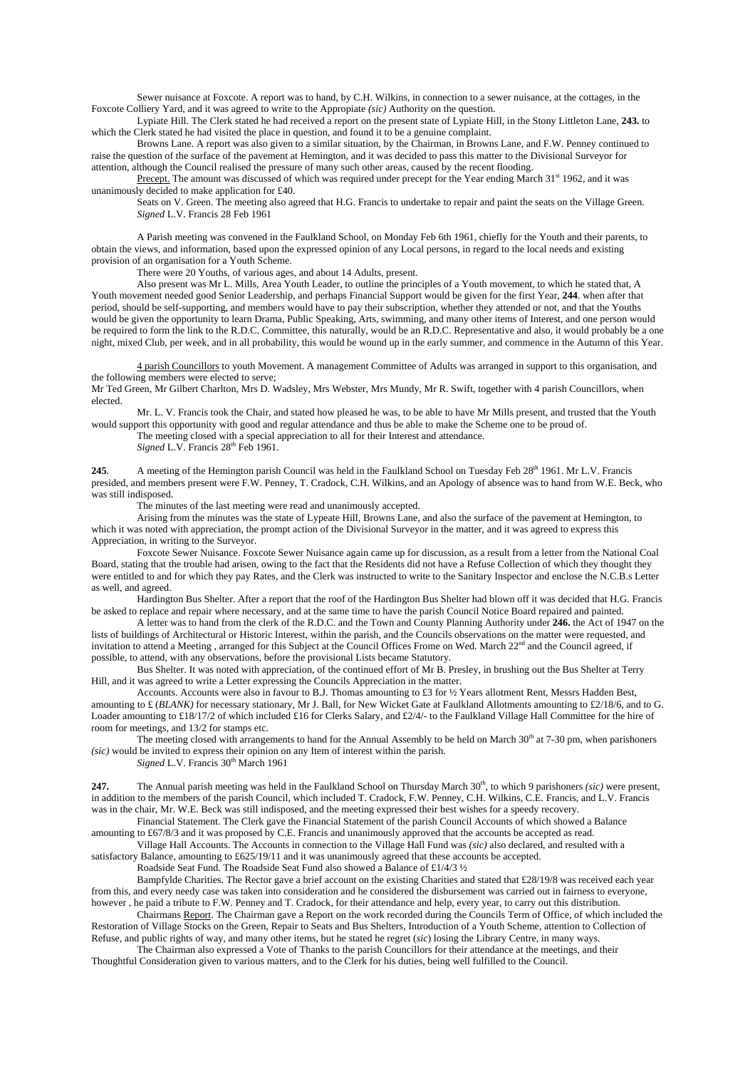Sewer nuisance at Foxcote. A report was to hand, by C.H. Wilkins, in connection to a sewer nuisance, at the cottages, in the Foxcote Colliery Yard, and it was agreed to write to the Appropiate *(sic)* Authority on the question.

Lypiate Hill. The Clerk stated he had received a report on the present state of Lypiate Hill, in the Stony Littleton Lane, **243.** to which the Clerk stated he had visited the place in question, and found it to be a genuine complaint.

Browns Lane. A report was also given to a similar situation, by the Chairman, in Browns Lane, and F.W. Penney continued to raise the question of the surface of the pavement at Hemington, and it was decided to pass this matter to the Divisional Surveyor for attention, although the Council realised the pressure of many such other areas, caused by the recent flooding.

Precept. The amount was discussed of which was required under precept for the Year ending March 31<sup>st</sup> 1962, and it was unanimously decided to make application for £40.

Seats on V. Green. The meeting also agreed that H.G. Francis to undertake to repair and paint the seats on the Village Green. *Signed* L.V. Francis 28 Feb 1961

A Parish meeting was convened in the Faulkland School, on Monday Feb 6th 1961, chiefly for the Youth and their parents, to obtain the views, and information, based upon the expressed opinion of any Local persons, in regard to the local needs and existing provision of an organisation for a Youth Scheme.

There were 20 Youths, of various ages, and about 14 Adults, present.

Also present was Mr L. Mills, Area Youth Leader, to outline the principles of a Youth movement, to which he stated that, A Youth movement needed good Senior Leadership, and perhaps Financial Support would be given for the first Year, **244**. when after that period, should be self-supporting, and members would have to pay their subscription, whether they attended or not, and that the Youths would be given the opportunity to learn Drama, Public Speaking, Arts, swimming, and many other items of Interest, and one person would be required to form the link to the R.D.C. Committee, this naturally, would be an R.D.C. Representative and also, it would probably be a one night, mixed Club, per week, and in all probability, this would be wound up in the early summer, and commence in the Autumn of this Year.

4 parish Councillors to youth Movement. A management Committee of Adults was arranged in support to this organisation, and the following members were elected to serve;

Mr Ted Green, Mr Gilbert Charlton, Mrs D. Wadsley, Mrs Webster, Mrs Mundy, Mr R. Swift, together with 4 parish Councillors, when elected.

Mr. L. V. Francis took the Chair, and stated how pleased he was, to be able to have Mr Mills present, and trusted that the Youth would support this opportunity with good and regular attendance and thus be able to make the Scheme one to be proud of.

The meeting closed with a special appreciation to all for their Interest and attendance.

*Signed L.V.* Francis 28<sup>th</sup> Feb 1961.

245. A meeting of the Hemington parish Council was held in the Faulkland School on Tuesday Feb 28<sup>th</sup> 1961. Mr L.V. Francis presided, and members present were F.W. Penney, T. Cradock, C.H. Wilkins, and an Apology of absence was to hand from W.E. Beck, who was still indisposed.

The minutes of the last meeting were read and unanimously accepted.

Arising from the minutes was the state of Lypeate Hill, Browns Lane, and also the surface of the pavement at Hemington, to which it was noted with appreciation, the prompt action of the Divisional Surveyor in the matter, and it was agreed to express this Appreciation, in writing to the Surveyor.

Foxcote Sewer Nuisance. Foxcote Sewer Nuisance again came up for discussion, as a result from a letter from the National Coal Board, stating that the trouble had arisen, owing to the fact that the Residents did not have a Refuse Collection of which they thought they were entitled to and for which they pay Rates, and the Clerk was instructed to write to the Sanitary Inspector and enclose the N.C.B.s Letter as well, and agreed.

Hardington Bus Shelter. After a report that the roof of the Hardington Bus Shelter had blown off it was decided that H.G. Francis be asked to replace and repair where necessary, and at the same time to have the parish Council Notice Board repaired and painted.

A letter was to hand from the clerk of the R.D.C. and the Town and County Planning Authority under **246.** the Act of 1947 on the lists of buildings of Architectural or Historic Interest, within the parish, and the Councils observations on the matter were requested, and invitation to attend a Meeting, arranged for this Subject at the Council Offices Frome on Wed. March 22<sup>nd</sup> and the Council agreed, if possible, to attend, with any observations, before the provisional Lists became Statutory.

Bus Shelter. It was noted with appreciation, of the continued effort of Mr B. Presley, in brushing out the Bus Shelter at Terry Hill, and it was agreed to write a Letter expressing the Councils Appreciation in the matter.

Accounts. Accounts were also in favour to B.J. Thomas amounting to £3 for ½ Years allotment Rent, Messrs Hadden Best, amounting to £ (*BLANK)* for necessary stationary, Mr J. Ball, for New Wicket Gate at Faulkland Allotments amounting to £2/18/6, and to G. Loader amounting to £18/17/2 of which included £16 for Clerks Salary, and £2/4/- to the Faulkland Village Hall Committee for the hire of room for meetings, and 13/2 for stamps etc.

The meeting closed with arrangements to hand for the Annual Assembly to be held on March  $30<sup>th</sup>$  at 7-30 pm, when parishoners *(sic)* would be invited to express their opinion on any Item of interest within the parish.

*Signed L.V. Francis* 30<sup>th</sup> March 1961

247. The Annual parish meeting was held in the Faulkland School on Thursday March 30<sup>th</sup>, to which 9 parishoners *(sic)* were present, in addition to the members of the parish Council, which included T. Cradock, F.W. Penney, C.H. Wilkins, C.E. Francis, and L.V. Francis was in the chair, Mr. W.E. Beck was still indisposed, and the meeting expressed their best wishes for a speedy recovery.

Financial Statement. The Clerk gave the Financial Statement of the parish Council Accounts of which showed a Balance amounting to £67/8/3 and it was proposed by C.E. Francis and unanimously approved that the accounts be accepted as read.

Village Hall Accounts. The Accounts in connection to the Village Hall Fund was *(sic)* also declared, and resulted with a satisfactory Balance, amounting to £625/19/11 and it was unanimously agreed that these accounts be accepted.

Roadside Seat Fund. The Roadside Seat Fund also showed a Balance of £1/4/3 ½

Bampfylde Charities. The Rector gave a brief account on the existing Charities and stated that £28/19/8 was received each year from this, and every needy case was taken into consideration and he considered the disbursement was carried out in fairness to everyone, however , he paid a tribute to F.W. Penney and T. Cradock, for their attendance and help, every year, to carry out this distribution.

Chairmans Report. The Chairman gave a Report on the work recorded during the Councils Term of Office, of which included the Restoration of Village Stocks on the Green, Repair to Seats and Bus Shelters, Introduction of a Youth Scheme, attention to Collection of Refuse, and public rights of way, and many other items, but he stated he regret (*sic*) losing the Library Centre, in many ways.

The Chairman also expressed a Vote of Thanks to the parish Councillors for their attendance at the meetings, and their Thoughtful Consideration given to various matters, and to the Clerk for his duties, being well fulfilled to the Council.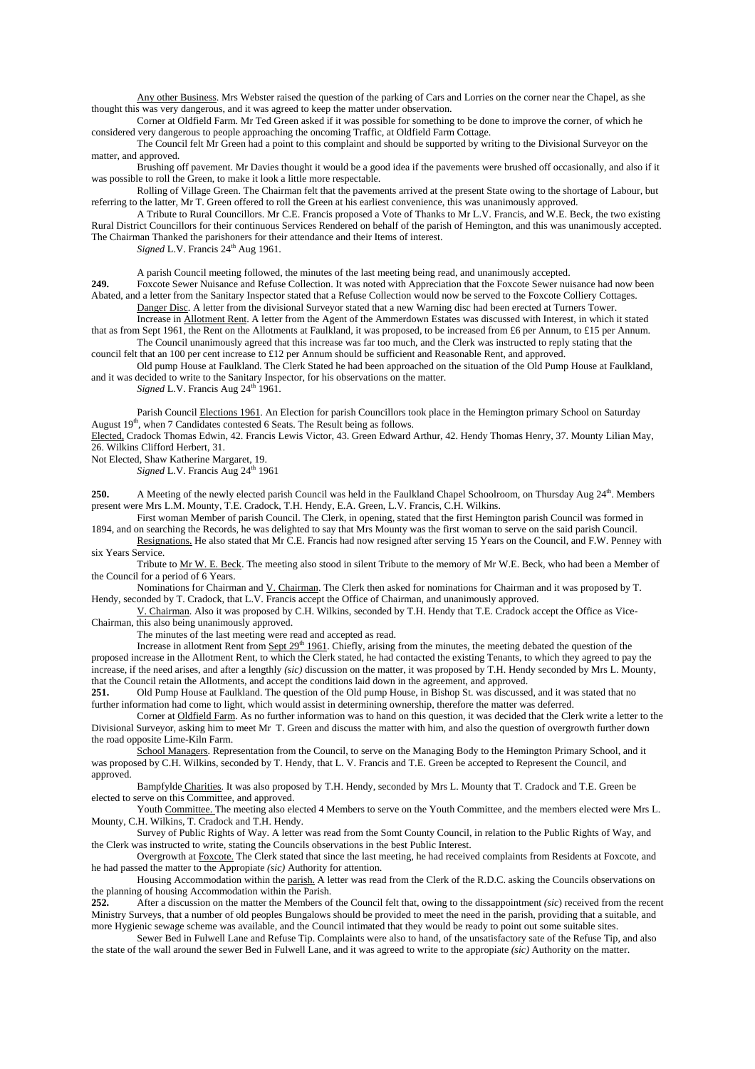Any other Business. Mrs Webster raised the question of the parking of Cars and Lorries on the corner near the Chapel, as she thought this was very dangerous, and it was agreed to keep the matter under observation.

Corner at Oldfield Farm. Mr Ted Green asked if it was possible for something to be done to improve the corner, of which he considered very dangerous to people approaching the oncoming Traffic, at Oldfield Farm Cottage.

The Council felt Mr Green had a point to this complaint and should be supported by writing to the Divisional Surveyor on the matter, and approved.

Brushing off pavement. Mr Davies thought it would be a good idea if the pavements were brushed off occasionally, and also if it was possible to roll the Green, to make it look a little more respectable.

Rolling of Village Green. The Chairman felt that the pavements arrived at the present State owing to the shortage of Labour, but referring to the latter, Mr T. Green offered to roll the Green at his earliest convenience, this was unanimously approved.

A Tribute to Rural Councillors. Mr C.E. Francis proposed a Vote of Thanks to Mr L.V. Francis, and W.E. Beck, the two existing Rural District Councillors for their continuous Services Rendered on behalf of the parish of Hemington, and this was unanimously accepted. The Chairman Thanked the parishoners for their attendance and their Items of interest.

*Signed* L.V. Francis 24<sup>th</sup> Aug 1961.

A parish Council meeting followed, the minutes of the last meeting being read, and unanimously accepted.

**249.** Foxcote Sewer Nuisance and Refuse Collection. It was noted with Appreciation that the Foxcote Sewer nuisance had now been Abated, and a letter from the Sanitary Inspector stated that a Refuse Collection would now be served to the Foxcote Colliery Cottages.

Danger Disc. A letter from the divisional Surveyor stated that a new Warning disc had been erected at Turners Tower. Increase in Allotment Rent. A letter from the Agent of the Ammerdown Estates was discussed with Interest, in which it stated

that as from Sept 1961, the Rent on the Allotments at Faulkland, it was proposed, to be increased from £6 per Annum, to £15 per Annum. The Council unanimously agreed that this increase was far too much, and the Clerk was instructed to reply stating that the

council felt that an 100 per cent increase to £12 per Annum should be sufficient and Reasonable Rent, and approved.

Old pump House at Faulkland. The Clerk Stated he had been approached on the situation of the Old Pump House at Faulkland, and it was decided to write to the Sanitary Inspector, for his observations on the matter.

*Signed* L.V. Francis Aug 24<sup>th</sup> 1961.

Parish Council Elections 1961. An Election for parish Councillors took place in the Hemington primary School on Saturday August 19<sup>th</sup>, when 7 Candidates contested 6 Seats. The Result being as follows.

Elected, Cradock Thomas Edwin, 42. Francis Lewis Victor, 43. Green Edward Arthur, 42. Hendy Thomas Henry, 37. Mounty Lilian May, 26. Wilkins Clifford Herbert, 31.

Not Elected, Shaw Katherine Margaret, 19.

*Signed* L.V. Francis Aug 24<sup>th</sup> 1961

**250.** A Meeting of the newly elected parish Council was held in the Faulkland Chapel Schoolroom, on Thursday Aug 24<sup>th</sup>. Members present were Mrs L.M. Mounty, T.E. Cradock, T.H. Hendy, E.A. Green, L.V. Francis, C.H. Wilkins.

First woman Member of parish Council. The Clerk, in opening, stated that the first Hemington parish Council was formed in 1894, and on searching the Records, he was delighted to say that Mrs Mounty was the first woman to serve on the said parish Council.

Resignations. He also stated that Mr C.E. Francis had now resigned after serving 15 Years on the Council, and F.W. Penney with six Years Service.

Tribute to Mr W. E. Beck. The meeting also stood in silent Tribute to the memory of Mr W.E. Beck, who had been a Member of the Council for a period of 6 Years.

Nominations for Chairman and V. Chairman. The Clerk then asked for nominations for Chairman and it was proposed by T. Hendy, seconded by T. Cradock, that L.V. Francis accept the Office of Chairman, and unanimously approved.

V. Chairman. Also it was proposed by C.H. Wilkins, seconded by T.H. Hendy that T.E. Cradock accept the Office as Vice-Chairman, this also being unanimously approved.

The minutes of the last meeting were read and accepted as read.

Increase in allotment Rent from  $Sept 29<sup>th</sup> 1961$ . Chiefly, arising from the minutes, the meeting debated the question of the</u> proposed increase in the Allotment Rent, to which the Clerk stated, he had contacted the existing Tenants, to which they agreed to pay the increase, if the need arises, and after a lengthly *(sic)* discussion on the matter, it was proposed by T.H. Hendy seconded by Mrs L. Mounty, that the Council retain the Allotments, and accept the conditions laid down in the agreement, and approved.<br>251. Old Pump House at Faulkland. The question of the Old pump House, in Bishop St, was discussed

**251.** Old Pump House at Faulkland. The question of the Old pump House, in Bishop St. was discussed, and it was stated that no further information had come to light, which would assist in determining ownership, therefore the matter was deferred.

Corner at Oldfield Farm. As no further information was to hand on this question, it was decided that the Clerk write a letter to the Divisional Surveyor, asking him to meet Mr T. Green and discuss the matter with him, and also the question of overgrowth further down the road opposite Lime-Kiln Farm.

School Managers. Representation from the Council, to serve on the Managing Body to the Hemington Primary School, and it was proposed by C.H. Wilkins, seconded by T. Hendy, that L. V. Francis and T.E. Green be accepted to Represent the Council, and approved.

Bampfylde Charities. It was also proposed by T.H. Hendy, seconded by Mrs L. Mounty that T. Cradock and T.E. Green be elected to serve on this Committee, and approved.

Youth Committee. The meeting also elected 4 Members to serve on the Youth Committee, and the members elected were Mrs L. Mounty, C.H. Wilkins, T. Cradock and T.H. Hendy.

Survey of Public Rights of Way. A letter was read from the Somt County Council, in relation to the Public Rights of Way, and the Clerk was instructed to write, stating the Councils observations in the best Public Interest.

Overgrowth at Foxcote. The Clerk stated that since the last meeting, he had received complaints from Residents at Foxcote, and he had passed the matter to the Appropiate *(sic)* Authority for attention.

Housing Accommodation within the parish. A letter was read from the Clerk of the R.D.C. asking the Councils observations on the planning of housing Accommodation within the Parish.<br>252. After a discussion on the matter the Members of

**252.** After a discussion on the matter the Members of the Council felt that, owing to the dissappointment *(sic*) received from the recent Ministry Surveys, that a number of old peoples Bungalows should be provided to meet the need in the parish, providing that a suitable, and more Hygienic sewage scheme was available, and the Council intimated that they would be ready to point out some suitable sites.

Sewer Bed in Fulwell Lane and Refuse Tip. Complaints were also to hand, of the unsatisfactory sate of the Refuse Tip, and also the state of the wall around the sewer Bed in Fulwell Lane, and it was agreed to write to the appropiate *(sic)* Authority on the matter.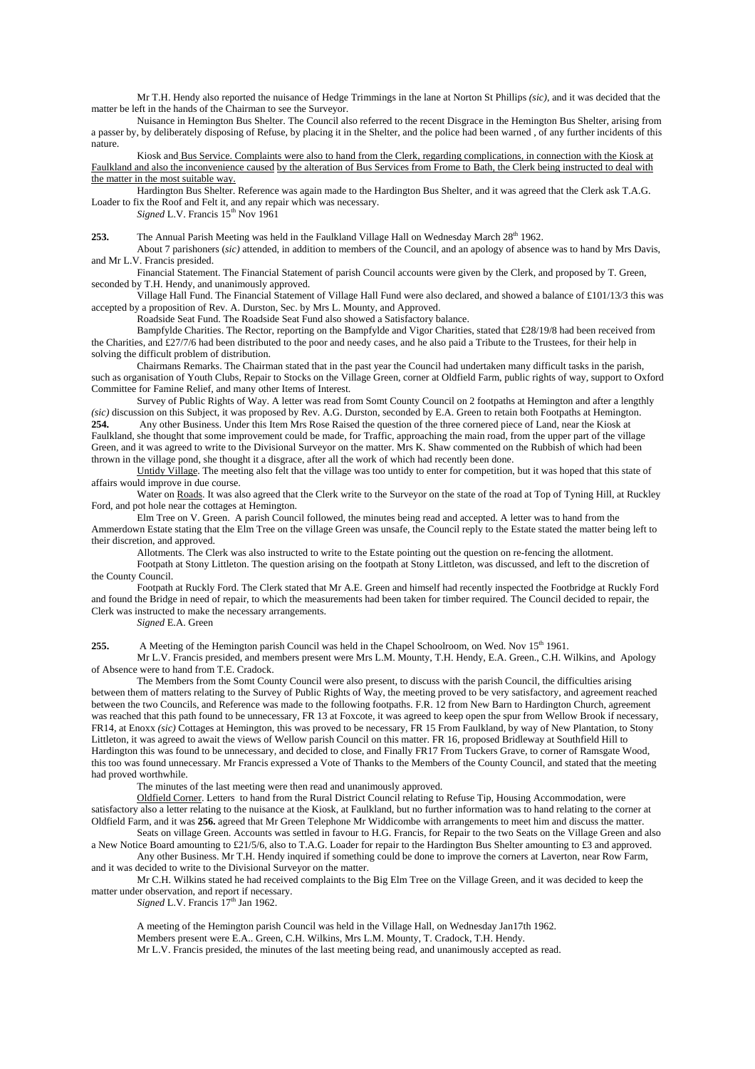Mr T.H. Hendy also reported the nuisance of Hedge Trimmings in the lane at Norton St Phillips *(sic)*, and it was decided that the matter be left in the hands of the Chairman to see the Surveyor.

Nuisance in Hemington Bus Shelter. The Council also referred to the recent Disgrace in the Hemington Bus Shelter, arising from a passer by, by deliberately disposing of Refuse, by placing it in the Shelter, and the police had been warned , of any further incidents of this nature.

Kiosk and Bus Service. Complaints were also to hand from the Clerk, regarding complications, in connection with the Kiosk at Faulkland and also the inconvenience caused by the alteration of Bus Services from Frome to Bath, the Clerk being instructed to deal with the matter in the most suitable way.

Hardington Bus Shelter. Reference was again made to the Hardington Bus Shelter, and it was agreed that the Clerk ask T.A.G. Loader to fix the Roof and Felt it, and any repair which was necessary.

*Signed* L.V. Francis  $15^{th}$  Nov 1961

**253.** The Annual Parish Meeting was held in the Faulkland Village Hall on Wednesday March 28<sup>th</sup> 1962.

About 7 parishoners (*sic)* attended, in addition to members of the Council, and an apology of absence was to hand by Mrs Davis, and Mr L.V. Francis presided.

Financial Statement. The Financial Statement of parish Council accounts were given by the Clerk, and proposed by T. Green, seconded by T.H. Hendy, and unanimously approved.

Village Hall Fund. The Financial Statement of Village Hall Fund were also declared, and showed a balance of £101/13/3 this was accepted by a proposition of Rev. A. Durston, Sec. by Mrs L. Mounty, and Approved.

Roadside Seat Fund. The Roadside Seat Fund also showed a Satisfactory balance.

Bampfylde Charities. The Rector, reporting on the Bampfylde and Vigor Charities, stated that £28/19/8 had been received from the Charities, and £27/7/6 had been distributed to the poor and needy cases, and he also paid a Tribute to the Trustees, for their help in solving the difficult problem of distribution.

Chairmans Remarks. The Chairman stated that in the past year the Council had undertaken many difficult tasks in the parish, such as organisation of Youth Clubs, Repair to Stocks on the Village Green, corner at Oldfield Farm, public rights of way, support to Oxford Committee for Famine Relief, and many other Items of Interest.

Survey of Public Rights of Way. A letter was read from Somt County Council on 2 footpaths at Hemington and after a lengthly *(sic)* discussion on this Subject, it was proposed by Rev. A.G. Durston, seconded by E.A. Green to retain both Footpaths at Hemington.<br>254. Any other Business. Under this Item Mrs Rose Raised the question of the three cor **254.** Any other Business. Under this Item Mrs Rose Raised the question of the three cornered piece of Land, near the Kiosk at Faulkland, she thought that some improvement could be made, for Traffic, approaching the main road, from the upper part of the village Green, and it was agreed to write to the Divisional Surveyor on the matter. Mrs K. Shaw commented on the Rubbish of which had been thrown in the village pond, she thought it a disgrace, after all the work of which had recently been done.

Untidy Village. The meeting also felt that the village was too untidy to enter for competition, but it was hoped that this state of affairs would improve in due course.

Water on Roads. It was also agreed that the Clerk write to the Surveyor on the state of the road at Top of Tyning Hill, at Ruckley Ford, and pot hole near the cottages at Hemington.

Elm Tree on V. Green. A parish Council followed, the minutes being read and accepted. A letter was to hand from the Ammerdown Estate stating that the Elm Tree on the village Green was unsafe, the Council reply to the Estate stated the matter being left to their discretion, and approved.

Allotments. The Clerk was also instructed to write to the Estate pointing out the question on re-fencing the allotment. Footpath at Stony Littleton. The question arising on the footpath at Stony Littleton, was discussed, and left to the discretion of the County Council.

Footpath at Ruckly Ford. The Clerk stated that Mr A.E. Green and himself had recently inspected the Footbridge at Ruckly Ford and found the Bridge in need of repair, to which the measurements had been taken for timber required. The Council decided to repair, the Clerk was instructed to make the necessary arrangements.

*Signed* E.A. Green

**255.** A Meeting of the Hemington parish Council was held in the Chapel Schoolroom, on Wed. Nov 15<sup>th</sup> 1961.

Mr L.V. Francis presided, and members present were Mrs L.M. Mounty, T.H. Hendy, E.A. Green., C.H. Wilkins, and Apology of Absence were to hand from T.E. Cradock.

The Members from the Somt County Council were also present, to discuss with the parish Council, the difficulties arising between them of matters relating to the Survey of Public Rights of Way, the meeting proved to be very satisfactory, and agreement reached between the two Councils, and Reference was made to the following footpaths. F.R. 12 from New Barn to Hardington Church, agreement was reached that this path found to be unnecessary, FR 13 at Foxcote, it was agreed to keep open the spur from Wellow Brook if necessary, FR14, at Enoxx *(sic)* Cottages at Hemington, this was proved to be necessary, FR 15 From Faulkland, by way of New Plantation, to Stony Littleton, it was agreed to await the views of Wellow parish Council on this matter. FR 16, proposed Bridleway at Southfield Hill to Hardington this was found to be unnecessary, and decided to close, and Finally FR17 From Tuckers Grave, to corner of Ramsgate Wood, this too was found unnecessary. Mr Francis expressed a Vote of Thanks to the Members of the County Council, and stated that the meeting had proved worthwhile.

The minutes of the last meeting were then read and unanimously approved.

Oldfield Corner. Letters to hand from the Rural District Council relating to Refuse Tip, Housing Accommodation, were satisfactory also a letter relating to the nuisance at the Kiosk, at Faulkland, but no further information was to hand relating to the corner at Oldfield Farm, and it was **256.** agreed that Mr Green Telephone Mr Widdicombe with arrangements to meet him and discuss the matter.

Seats on village Green. Accounts was settled in favour to H.G. Francis, for Repair to the two Seats on the Village Green and also a New Notice Board amounting to £21/5/6, also to T.A.G. Loader for repair to the Hardington Bus Shelter amounting to £3 and approved. Any other Business. Mr T.H. Hendy inquired if something could be done to improve the corners at Laverton, near Row Farm,

and it was decided to write to the Divisional Surveyor on the matter. Mr C.H. Wilkins stated he had received complaints to the Big Elm Tree on the Village Green, and it was decided to keep the

matter under observation, and report if necessary.

*Signed* L.V. Francis  $17<sup>th</sup>$  Jan 1962.

A meeting of the Hemington parish Council was held in the Village Hall, on Wednesday Jan17th 1962. Members present were E.A.. Green, C.H. Wilkins, Mrs L.M. Mounty, T. Cradock, T.H. Hendy. Mr L.V. Francis presided, the minutes of the last meeting being read, and unanimously accepted as read.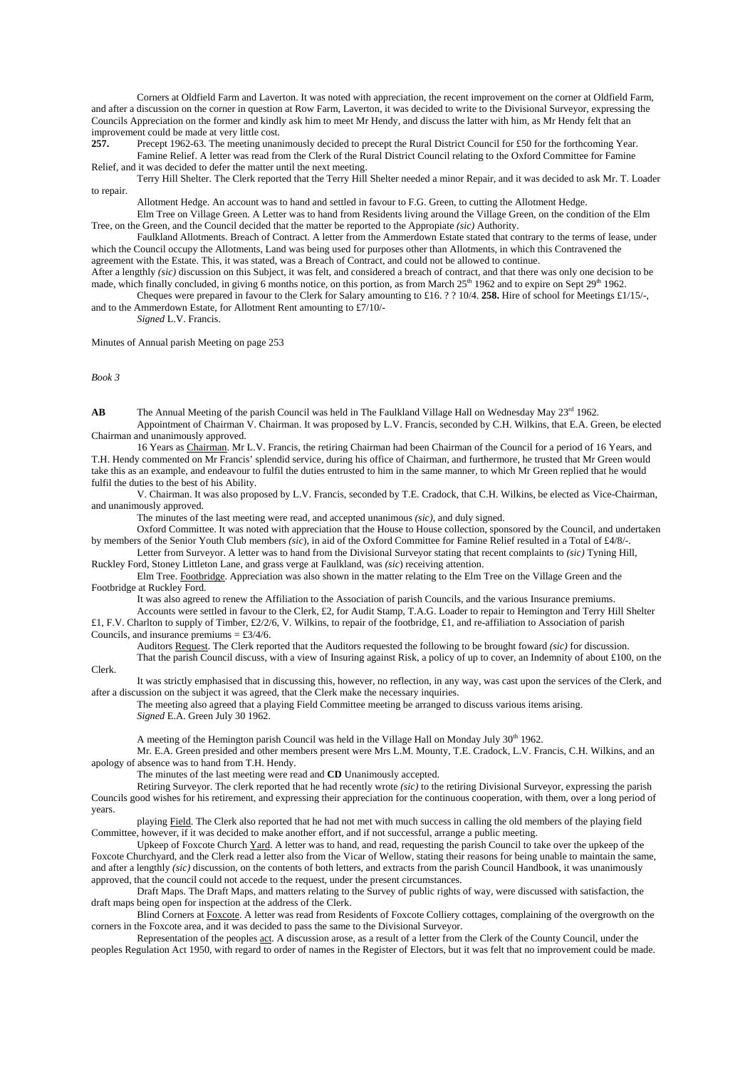Corners at Oldfield Farm and Laverton. It was noted with appreciation, the recent improvement on the corner at Oldfield Farm, and after a discussion on the corner in question at Row Farm, Laverton, it was decided to write to the Divisional Surveyor, expressing the Councils Appreciation on the former and kindly ask him to meet Mr Hendy, and discuss the latter with him, as Mr Hendy felt that an improvement could be made at very little cost.

**257.** Precept 1962-63. The meeting unanimously decided to precept the Rural District Council for £50 for the forthcoming Year. Famine Relief. A letter was read from the Clerk of the Rural District Council relating to the Oxford Committee for Famine

Relief, and it was decided to defer the matter until the next meeting.

Terry Hill Shelter. The Clerk reported that the Terry Hill Shelter needed a minor Repair, and it was decided to ask Mr. T. Loader to repair.

Allotment Hedge. An account was to hand and settled in favour to F.G. Green, to cutting the Allotment Hedge.

Elm Tree on Village Green. A Letter was to hand from Residents living around the Village Green, on the condition of the Elm Tree, on the Green, and the Council decided that the matter be reported to the Appropiate *(sic)* Authority.

Faulkland Allotments. Breach of Contract. A letter from the Ammerdown Estate stated that contrary to the terms of lease, under which the Council occupy the Allotments, Land was being used for purposes other than Allotments, in which this Contravened the agreement with the Estate. This, it was stated, was a Breach of Contract, and could not be allowed to continue.

After a lengthly *(sic)* discussion on this Subject, it was felt, and considered a breach of contract, and that there was only one decision to be made, which finally concluded, in giving 6 months notice, on this portion, as from March  $25<sup>th</sup> 1962$  and to expire on Sept  $29<sup>th</sup> 1962$ . Cheques were prepared in favour to the Clerk for Salary amounting to £16. ? ? 10/4. **258.** Hire of school for Meetings £1/15/-,

and to the Ammerdown Estate, for Allotment Rent amounting to £7/10/- *Signed* L.V. Francis.

Minutes of Annual parish Meeting on page 253

*Book 3* 

**AB** The Annual Meeting of the parish Council was held in The Faulkland Village Hall on Wednesday May 23<sup>rd</sup> 1962. Appointment of Chairman V. Chairman. It was proposed by L.V. Francis, seconded by C.H. Wilkins, that E.A. Green, be elected Chairman and unanimously approved.

16 Years as Chairman. Mr L.V. Francis, the retiring Chairman had been Chairman of the Council for a period of 16 Years, and T.H. Hendy commented on Mr Francis' splendid service, during his office of Chairman, and furthermore, he trusted that Mr Green would take this as an example, and endeavour to fulfil the duties entrusted to him in the same manner, to which Mr Green replied that he would fulfil the duties to the best of his Ability.

V. Chairman. It was also proposed by L.V. Francis, seconded by T.E. Cradock, that C.H. Wilkins, be elected as Vice-Chairman, and unanimously approved.

The minutes of the last meeting were read, and accepted unanimous *(sic)*, and duly signed.

Oxford Committee. It was noted with appreciation that the House to House collection, sponsored by the Council, and undertaken by members of the Senior Youth Club members *(sic*), in aid of the Oxford Committee for Famine Relief resulted in a Total of £4/8/-.

Letter from Surveyor. A letter was to hand from the Divisional Surveyor stating that recent complaints to *(sic)* Tyning Hill, Ruckley Ford, Stoney Littleton Lane, and grass verge at Faulkland, was *(sic*) receiving attention.

Elm Tree. Footbridge. Appreciation was also shown in the matter relating to the Elm Tree on the Village Green and the Footbridge at Ruckley Ford.

It was also agreed to renew the Affiliation to the Association of parish Councils, and the various Insurance premiums.

Accounts were settled in favour to the Clerk, £2, for Audit Stamp, T.A.G. Loader to repair to Hemington and Terry Hill Shelter  $£1, F.V.$  Charlton to supply of Timber, £2/2/6, V. Wilkins, to repair of the footbridge, £1, and re-affiliation to Association of parish Councils, and insurance premiums =  $\text{\pounds}3/4/6$ .

Auditors Request. The Clerk reported that the Auditors requested the following to be brought foward *(sic)* for discussion. That the parish Council discuss, with a view of Insuring against Risk, a policy of up to cover, an Indemnity of about £100, on the

Clerk.

It was strictly emphasised that in discussing this, however, no reflection, in any way, was cast upon the services of the Clerk, and after a discussion on the subject it was agreed, that the Clerk make the necessary inquiries.

The meeting also agreed that a playing Field Committee meeting be arranged to discuss various items arising. *Signed* E.A. Green July 30 1962.

A meeting of the Hemington parish Council was held in the Village Hall on Monday July 30<sup>th</sup> 1962.

 Mr. E.A. Green presided and other members present were Mrs L.M. Mounty, T.E. Cradock, L.V. Francis, C.H. Wilkins, and an apology of absence was to hand from T.H. Hendy.

The minutes of the last meeting were read and **CD** Unanimously accepted.

 Retiring Surveyor. The clerk reported that he had recently wrote *(sic)* to the retiring Divisional Surveyor, expressing the parish Councils good wishes for his retirement, and expressing their appreciation for the continuous cooperation, with them, over a long period of years.

 playing Field. The Clerk also reported that he had not met with much success in calling the old members of the playing field Committee, however, if it was decided to make another effort, and if not successful, arrange a public meeting.

 Upkeep of Foxcote Church Yard. A letter was to hand, and read, requesting the parish Council to take over the upkeep of the Foxcote Churchyard, and the Clerk read a letter also from the Vicar of Wellow, stating their reasons for being unable to maintain the same, and after a lengthly *(sic)* discussion, on the contents of both letters, and extracts from the parish Council Handbook, it was unanimously approved, that the council could not accede to the request, under the present circumstances.

 Draft Maps. The Draft Maps, and matters relating to the Survey of public rights of way, were discussed with satisfaction, the draft maps being open for inspection at the address of the Clerk.

Blind Corners at Foxcote. A letter was read from Residents of Foxcote Colliery cottages, complaining of the overgrowth on the corners in the Foxcote area, and it was decided to pass the same to the Divisional Surveyor.

 Representation of the peoples act. A discussion arose, as a result of a letter from the Clerk of the County Council, under the peoples Regulation Act 1950, with regard to order of names in the Register of Electors, but it was felt that no improvement could be made.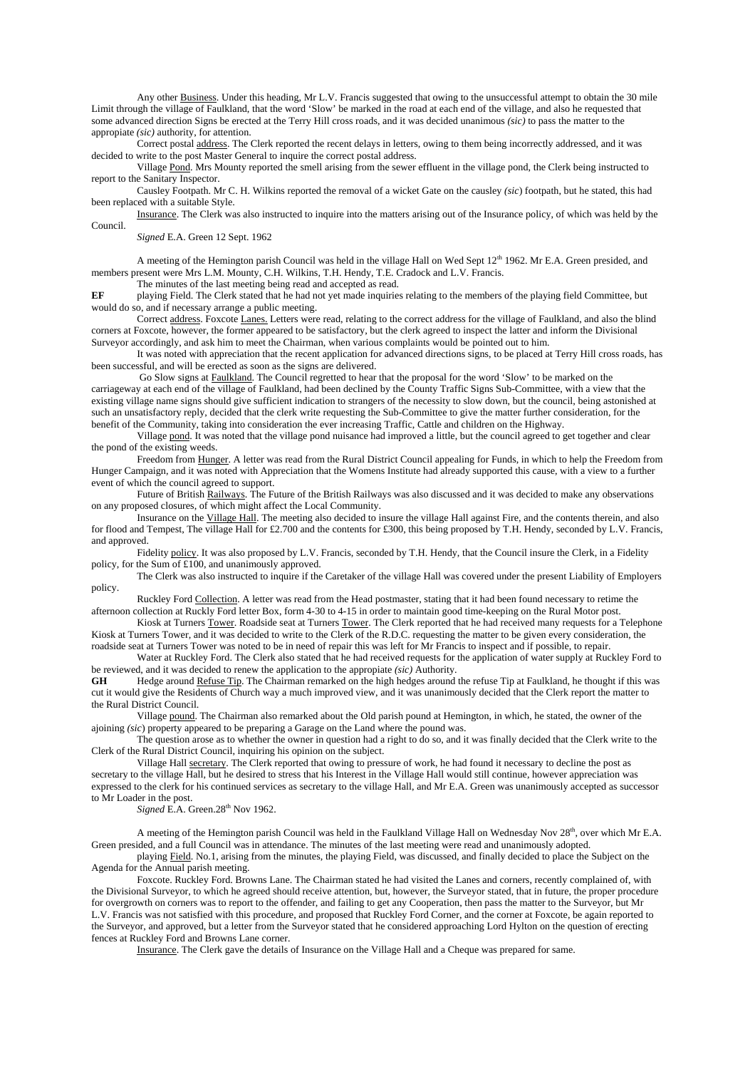Any other Business. Under this heading, Mr L.V. Francis suggested that owing to the unsuccessful attempt to obtain the 30 mile Limit through the village of Faulkland, that the word 'Slow' be marked in the road at each end of the village, and also he requested that some advanced direction Signs be erected at the Terry Hill cross roads, and it was decided unanimous *(sic)* to pass the matter to the appropiate *(sic)* authority, for attention.

 Correct postal address. The Clerk reported the recent delays in letters, owing to them being incorrectly addressed, and it was decided to write to the post Master General to inquire the correct postal address.

 Village Pond. Mrs Mounty reported the smell arising from the sewer effluent in the village pond, the Clerk being instructed to report to the Sanitary Inspector.

 Causley Footpath. Mr C. H. Wilkins reported the removal of a wicket Gate on the causley *(sic*) footpath, but he stated, this had been replaced with a suitable Style.

 Insurance. The Clerk was also instructed to inquire into the matters arising out of the Insurance policy, of which was held by the Council.

*Signed* E.A. Green 12 Sept. 1962

A meeting of the Hemington parish Council was held in the village Hall on Wed Sept  $12<sup>th</sup> 1962$ . Mr E.A. Green presided, and members present were Mrs L.M. Mounty, C.H. Wilkins, T.H. Hendy, T.E. Cradock and L.V. Francis.

The minutes of the last meeting being read and accepted as read.

**EF** playing Field. The Clerk stated that he had not yet made inquiries relating to the members of the playing field Committee, but would do so, and if necessary arrange a public meeting.

 Correct address. Foxcote Lanes. Letters were read, relating to the correct address for the village of Faulkland, and also the blind corners at Foxcote, however, the former appeared to be satisfactory, but the clerk agreed to inspect the latter and inform the Divisional Surveyor accordingly, and ask him to meet the Chairman, when various complaints would be pointed out to him.

 It was noted with appreciation that the recent application for advanced directions signs, to be placed at Terry Hill cross roads, has been successful, and will be erected as soon as the signs are delivered.

 Go Slow signs at Faulkland. The Council regretted to hear that the proposal for the word 'Slow' to be marked on the carriageway at each end of the village of Faulkland, had been declined by the County Traffic Signs Sub-Committee, with a view that the existing village name signs should give sufficient indication to strangers of the necessity to slow down, but the council, being astonished at such an unsatisfactory reply, decided that the clerk write requesting the Sub-Committee to give the matter further consideration, for the benefit of the Community, taking into consideration the ever increasing Traffic, Cattle and children on the Highway.

Village pond. It was noted that the village pond nuisance had improved a little, but the council agreed to get together and clear the pond of the existing weeds.

Freedom from Hunger. A letter was read from the Rural District Council appealing for Funds, in which to help the Freedom from Hunger Campaign, and it was noted with Appreciation that the Womens Institute had already supported this cause, with a view to a further event of which the council agreed to support.

 Future of British Railways. The Future of the British Railways was also discussed and it was decided to make any observations on any proposed closures, of which might affect the Local Community.

 Insurance on the Village Hall. The meeting also decided to insure the village Hall against Fire, and the contents therein, and also for flood and Tempest, The village Hall for £2.700 and the contents for £300, this being proposed by T.H. Hendy, seconded by L.V. Francis, and approved.

 Fidelity policy. It was also proposed by L.V. Francis, seconded by T.H. Hendy, that the Council insure the Clerk, in a Fidelity policy, for the Sum of  $£100$ , and unanimously approved.

 The Clerk was also instructed to inquire if the Caretaker of the village Hall was covered under the present Liability of Employers policy.

 Ruckley Ford Collection. A letter was read from the Head postmaster, stating that it had been found necessary to retime the afternoon collection at Ruckly Ford letter Box, form 4-30 to 4-15 in order to maintain good time-keeping on the Rural Motor post.

Kiosk at Turners Tower. Roadside seat at Turners Tower. The Clerk reported that he had received many requests for a Telephone Kiosk at Turners Tower, and it was decided to write to the Clerk of the R.D.C. requesting the matter to be given every consideration, the roadside seat at Turners Tower was noted to be in need of repair this was left for Mr Francis to inspect and if possible, to repair.

 Water at Ruckley Ford. The Clerk also stated that he had received requests for the application of water supply at Ruckley Ford to be reviewed, and it was decided to renew the application to the appropiate *(sic)* Authority.

Hedge around Refuse Tip. The Chairman remarked on the high hedges around the refuse Tip at Faulkland, he thought if this was cut it would give the Residents of Church way a much improved view, and it was unanimously decided that the Clerk report the matter to the Rural District Council.

 Village pound. The Chairman also remarked about the Old parish pound at Hemington, in which, he stated, the owner of the ajoining *(sic*) property appeared to be preparing a Garage on the Land where the pound was.

 The question arose as to whether the owner in question had a right to do so, and it was finally decided that the Clerk write to the Clerk of the Rural District Council, inquiring his opinion on the subject.

 Village Hall secretary. The Clerk reported that owing to pressure of work, he had found it necessary to decline the post as secretary to the village Hall, but he desired to stress that his Interest in the Village Hall would still continue, however appreciation was expressed to the clerk for his continued services as secretary to the village Hall, and Mr E.A. Green was unanimously accepted as successor to Mr Loader in the post.

*Signed E.A. Green.*28<sup>th</sup> Nov 1962.

A meeting of the Hemington parish Council was held in the Faulkland Village Hall on Wednesday Nov  $28<sup>th</sup>$ , over which Mr E.A. Green presided, and a full Council was in attendance. The minutes of the last meeting were read and unanimously adopted.

 playing Field. No.1, arising from the minutes, the playing Field, was discussed, and finally decided to place the Subject on the Agenda for the Annual parish meeting.

 Foxcote. Ruckley Ford. Browns Lane. The Chairman stated he had visited the Lanes and corners, recently complained of, with the Divisional Surveyor, to which he agreed should receive attention, but, however, the Surveyor stated, that in future, the proper procedure for overgrowth on corners was to report to the offender, and failing to get any Cooperation, then pass the matter to the Surveyor, but Mr L.V. Francis was not satisfied with this procedure, and proposed that Ruckley Ford Corner, and the corner at Foxcote, be again reported to the Surveyor, and approved, but a letter from the Surveyor stated that he considered approaching Lord Hylton on the question of erecting fences at Ruckley Ford and Browns Lane corner.

Insurance. The Clerk gave the details of Insurance on the Village Hall and a Cheque was prepared for same.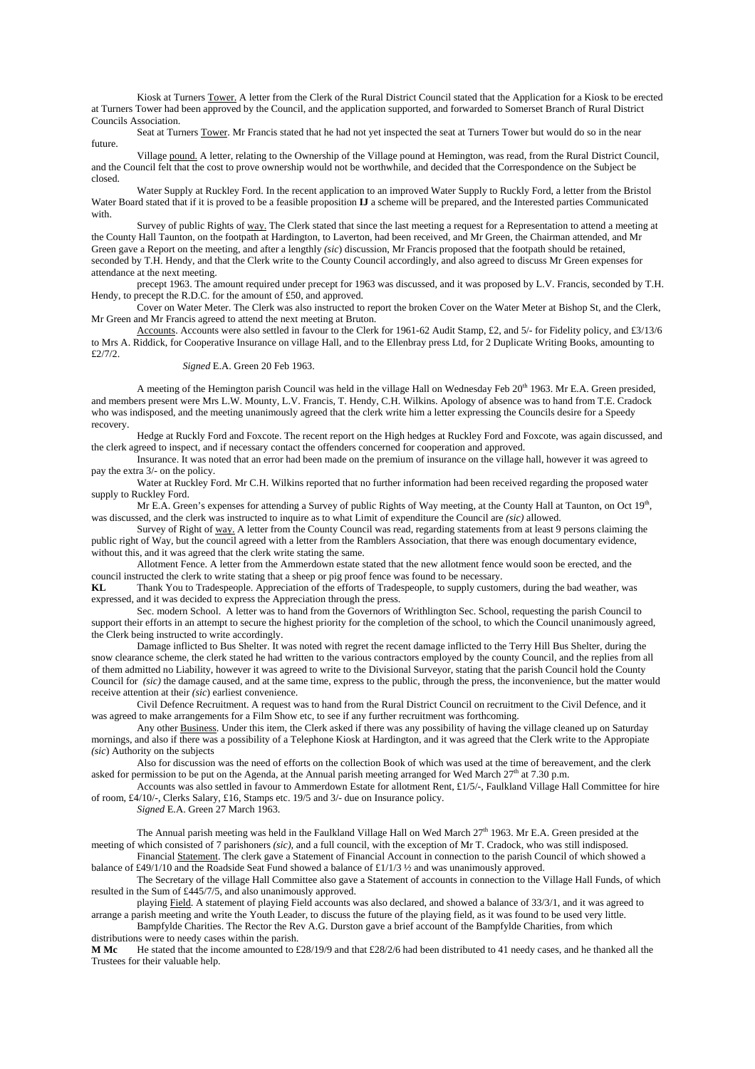Kiosk at Turners Tower. A letter from the Clerk of the Rural District Council stated that the Application for a Kiosk to be erected at Turners Tower had been approved by the Council, and the application supported, and forwarded to Somerset Branch of Rural District Councils Association.

Seat at Turners Tower. Mr Francis stated that he had not yet inspected the seat at Turners Tower but would do so in the near future.

 Village pound. A letter, relating to the Ownership of the Village pound at Hemington, was read, from the Rural District Council, and the Council felt that the cost to prove ownership would not be worthwhile, and decided that the Correspondence on the Subject be closed.

 Water Supply at Ruckley Ford. In the recent application to an improved Water Supply to Ruckly Ford, a letter from the Bristol Water Board stated that if it is proved to be a feasible proposition **IJ** a scheme will be prepared, and the Interested parties Communicated with.

 Survey of public Rights of way. The Clerk stated that since the last meeting a request for a Representation to attend a meeting at the County Hall Taunton, on the footpath at Hardington, to Laverton, had been received, and Mr Green, the Chairman attended, and Mr Green gave a Report on the meeting, and after a lengthly *(sic*) discussion, Mr Francis proposed that the footpath should be retained, seconded by T.H. Hendy, and that the Clerk write to the County Council accordingly, and also agreed to discuss Mr Green expenses for attendance at the next meeting.

 precept 1963. The amount required under precept for 1963 was discussed, and it was proposed by L.V. Francis, seconded by T.H. Hendy, to precept the R.D.C. for the amount of £50, and approved.

 Cover on Water Meter. The Clerk was also instructed to report the broken Cover on the Water Meter at Bishop St, and the Clerk, Mr Green and Mr Francis agreed to attend the next meeting at Bruton.

Accounts. Accounts were also settled in favour to the Clerk for 1961-62 Audit Stamp, £2, and 5/- for Fidelity policy, and £3/13/6 to Mrs A. Riddick, for Cooperative Insurance on village Hall, and to the Ellenbray press Ltd, for 2 Duplicate Writing Books, amounting to £2/7/2.

*Signed* E.A. Green 20 Feb 1963.

A meeting of the Hemington parish Council was held in the village Hall on Wednesday Feb  $20<sup>th</sup>$  1963. Mr E.A. Green presided, and members present were Mrs L.W. Mounty, L.V. Francis, T. Hendy, C.H. Wilkins. Apology of absence was to hand from T.E. Cradock who was indisposed, and the meeting unanimously agreed that the clerk write him a letter expressing the Councils desire for a Speedy recovery.

Hedge at Ruckly Ford and Foxcote. The recent report on the High hedges at Ruckley Ford and Foxcote, was again discussed, and the clerk agreed to inspect, and if necessary contact the offenders concerned for cooperation and approved.

Insurance. It was noted that an error had been made on the premium of insurance on the village hall, however it was agreed to pay the extra 3/- on the policy.

Water at Ruckley Ford. Mr C.H. Wilkins reported that no further information had been received regarding the proposed water supply to Ruckley Ford.

Mr E.A. Green's expenses for attending a Survey of public Rights of Way meeting, at the County Hall at Taunton, on Oct  $19<sup>th</sup>$ , was discussed, and the clerk was instructed to inquire as to what Limit of expenditure the Council are *(sic)* allowed.

Survey of Right of way. A letter from the County Council was read, regarding statements from at least 9 persons claiming the public right of Way, but the council agreed with a letter from the Ramblers Association, that there was enough documentary evidence, without this, and it was agreed that the clerk write stating the same.

Allotment Fence. A letter from the Ammerdown estate stated that the new allotment fence would soon be erected, and the council instructed the clerk to write stating that a sheep or pig proof fence was found to be necessary.

**KL** Thank You to Tradespeople. Appreciation of the efforts of Tradespeople, to supply customers, during the bad weather, was expressed, and it was decided to express the Appreciation through the press.

Sec. modern School. A letter was to hand from the Governors of Writhlington Sec. School, requesting the parish Council to support their efforts in an attempt to secure the highest priority for the completion of the school, to which the Council unanimously agreed, the Clerk being instructed to write accordingly.

Damage inflicted to Bus Shelter. It was noted with regret the recent damage inflicted to the Terry Hill Bus Shelter, during the snow clearance scheme, the clerk stated he had written to the various contractors employed by the county Council, and the replies from all of them admitted no Liability, however it was agreed to write to the Divisional Surveyor, stating that the parish Council hold the County Council for *(sic)* the damage caused, and at the same time, express to the public, through the press, the inconvenience, but the matter would receive attention at their *(sic*) earliest convenience.

Civil Defence Recruitment. A request was to hand from the Rural District Council on recruitment to the Civil Defence, and it was agreed to make arrangements for a Film Show etc, to see if any further recruitment was forthcoming.

Any other Business. Under this item, the Clerk asked if there was any possibility of having the village cleaned up on Saturday mornings, and also if there was a possibility of a Telephone Kiosk at Hardington, and it was agreed that the Clerk write to the Appropiate *(sic*) Authority on the subjects

Also for discussion was the need of efforts on the collection Book of which was used at the time of bereavement, and the clerk asked for permission to be put on the Agenda, at the Annual parish meeting arranged for Wed March  $27<sup>th</sup>$  at 7.30 p.m.

Accounts was also settled in favour to Ammerdown Estate for allotment Rent, £1/5/-, Faulkland Village Hall Committee for hire of room, £4/10/-, Clerks Salary, £16, Stamps etc. 19/5 and 3/- due on Insurance policy.

*Signed* E.A. Green 27 March 1963.

The Annual parish meeting was held in the Faulkland Village Hall on Wed March  $27<sup>th</sup>$  1963. Mr E.A. Green presided at the meeting of which consisted of 7 parishoners *(sic),* and a full council, with the exception of Mr T. Cradock, who was still indisposed. Financial Statement. The clerk gave a Statement of Financial Account in connection to the parish Council of which showed a

balance of £49/1/10 and the Roadside Seat Fund showed a balance of £1/1/3 ½ and was unanimously approved. The Secretary of the village Hall Committee also gave a Statement of accounts in connection to the Village Hall Funds, of which

resulted in the Sum of £445/7/5, and also unanimously approved.

playing Field. A statement of playing Field accounts was also declared, and showed a balance of 33/3/1, and it was agreed to arrange a parish meeting and write the Youth Leader, to discuss the future of the playing field, as it was found to be used very little.

Bampfylde Charities. The Rector the Rev A.G. Durston gave a brief account of the Bampfylde Charities, from which distributions were to needy cases within the parish.<br>M Mc He stated that the income amounted to f

**M Mc** He stated that the income amounted to £28/19/9 and that £28/2/6 had been distributed to 41 needy cases, and he thanked all the Trustees for their valuable help.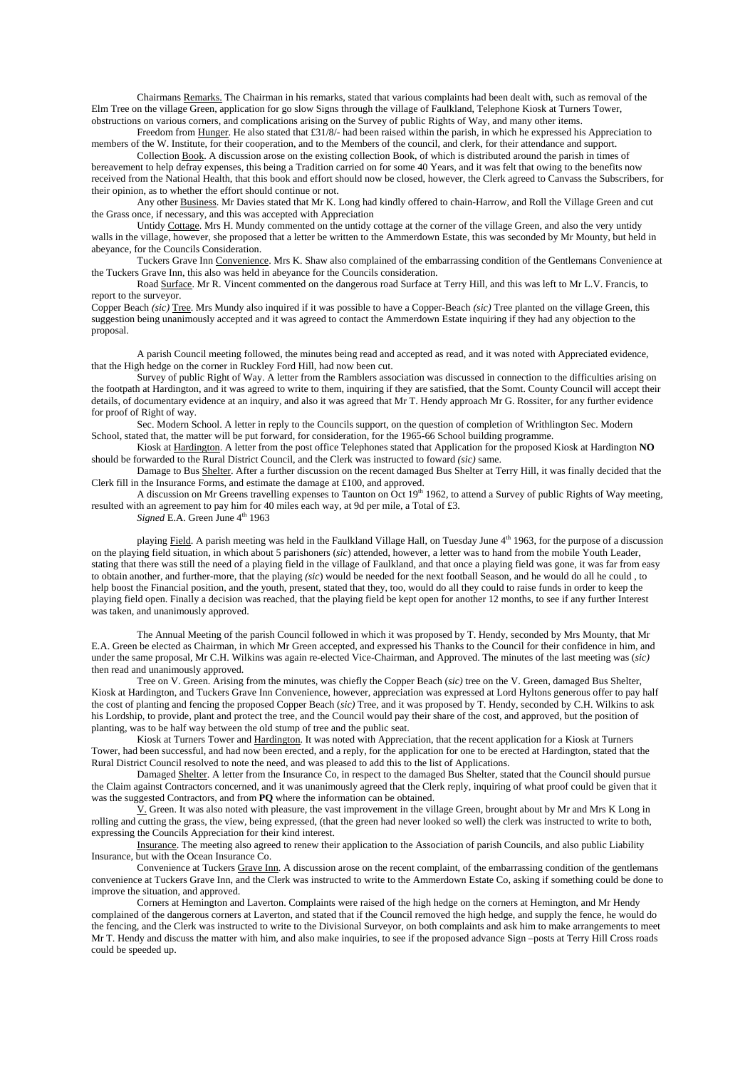Chairmans Remarks. The Chairman in his remarks, stated that various complaints had been dealt with, such as removal of the Elm Tree on the village Green, application for go slow Signs through the village of Faulkland, Telephone Kiosk at Turners Tower, obstructions on various corners, and complications arising on the Survey of public Rights of Way, and many other items.

Freedom from Hunger. He also stated that £31/8/- had been raised within the parish, in which he expressed his Appreciation to members of the W. Institute, for their cooperation, and to the Members of the council, and clerk, for their attendance and support.

 Collection Book. A discussion arose on the existing collection Book, of which is distributed around the parish in times of bereavement to help defray expenses, this being a Tradition carried on for some 40 Years, and it was felt that owing to the benefits now received from the National Health, that this book and effort should now be closed, however, the Clerk agreed to Canvass the Subscribers, for their opinion, as to whether the effort should continue or not.

 Any other Business. Mr Davies stated that Mr K. Long had kindly offered to chain-Harrow, and Roll the Village Green and cut the Grass once, if necessary, and this was accepted with Appreciation

 Untidy Cottage. Mrs H. Mundy commented on the untidy cottage at the corner of the village Green, and also the very untidy walls in the village, however, she proposed that a letter be written to the Ammerdown Estate, this was seconded by Mr Mounty, but held in abeyance, for the Councils Consideration.

 Tuckers Grave Inn Convenience. Mrs K. Shaw also complained of the embarrassing condition of the Gentlemans Convenience at the Tuckers Grave Inn, this also was held in abeyance for the Councils consideration.

 Road Surface. Mr R. Vincent commented on the dangerous road Surface at Terry Hill, and this was left to Mr L.V. Francis, to report to the surveyor.

Copper Beach *(sic)* Tree. Mrs Mundy also inquired if it was possible to have a Copper-Beach *(sic)* Tree planted on the village Green, this suggestion being unanimously accepted and it was agreed to contact the Ammerdown Estate inquiring if they had any objection to the proposal.

 A parish Council meeting followed, the minutes being read and accepted as read, and it was noted with Appreciated evidence, that the High hedge on the corner in Ruckley Ford Hill, had now been cut.

 Survey of public Right of Way. A letter from the Ramblers association was discussed in connection to the difficulties arising on the footpath at Hardington, and it was agreed to write to them, inquiring if they are satisfied, that the Somt. County Council will accept their details, of documentary evidence at an inquiry, and also it was agreed that Mr T. Hendy approach Mr G. Rossiter, for any further evidence for proof of Right of way.

 Sec. Modern School. A letter in reply to the Councils support, on the question of completion of Writhlington Sec. Modern School, stated that, the matter will be put forward, for consideration, for the 1965-66 School building programme.

 Kiosk at Hardington. A letter from the post office Telephones stated that Application for the proposed Kiosk at Hardington **NO** should be forwarded to the Rural District Council, and the Clerk was instructed to foward *(sic)* same.

 Damage to Bus Shelter. After a further discussion on the recent damaged Bus Shelter at Terry Hill, it was finally decided that the Clerk fill in the Insurance Forms, and estimate the damage at £100, and approved.

A discussion on Mr Greens travelling expenses to Taunton on Oct  $19<sup>th</sup> 1962$ , to attend a Survey of public Rights of Way meeting, resulted with an agreement to pay him for 40 miles each way, at 9d per mile, a Total of £3.

*Signed* E.A. Green June 4<sup>th</sup> 1963

playing Field. A parish meeting was held in the Faulkland Village Hall, on Tuesday June 4<sup>th</sup> 1963, for the purpose of a discussion on the playing field situation, in which about 5 parishoners (*sic*) attended, however, a letter was to hand from the mobile Youth Leader, stating that there was still the need of a playing field in the village of Faulkland, and that once a playing field was gone, it was far from easy to obtain another, and further-more, that the playing *(sic*) would be needed for the next football Season, and he would do all he could , to help boost the Financial position, and the youth, present, stated that they, too, would do all they could to raise funds in order to keep the playing field open. Finally a decision was reached, that the playing field be kept open for another 12 months, to see if any further Interest was taken, and unanimously approved.

 The Annual Meeting of the parish Council followed in which it was proposed by T. Hendy, seconded by Mrs Mounty, that Mr E.A. Green be elected as Chairman, in which Mr Green accepted, and expressed his Thanks to the Council for their confidence in him, and under the same proposal, Mr C.H. Wilkins was again re-elected Vice-Chairman, and Approved. The minutes of the last meeting was (*sic)* then read and unanimously approved.

Tree on V. Green. Arising from the minutes, was chiefly the Copper Beach (*sic)* tree on the V. Green, damaged Bus Shelter, Kiosk at Hardington, and Tuckers Grave Inn Convenience, however, appreciation was expressed at Lord Hyltons generous offer to pay half the cost of planting and fencing the proposed Copper Beach (*sic)* Tree, and it was proposed by T. Hendy, seconded by C.H. Wilkins to ask his Lordship, to provide, plant and protect the tree, and the Council would pay their share of the cost, and approved, but the position of planting, was to be half way between the old stump of tree and the public seat.

Kiosk at Turners Tower and Hardington. It was noted with Appreciation, that the recent application for a Kiosk at Turners Tower, had been successful, and had now been erected, and a reply, for the application for one to be erected at Hardington, stated that the Rural District Council resolved to note the need, and was pleased to add this to the list of Applications.

Damaged Shelter. A letter from the Insurance Co, in respect to the damaged Bus Shelter, stated that the Council should pursue the Claim against Contractors concerned, and it was unanimously agreed that the Clerk reply, inquiring of what proof could be given that it was the suggested Contractors, and from **PQ** where the information can be obtained.

V. Green. It was also noted with pleasure, the vast improvement in the village Green, brought about by Mr and Mrs K Long in rolling and cutting the grass, the view, being expressed, (that the green had never looked so well) the clerk was instructed to write to both, expressing the Councils Appreciation for their kind interest.

Insurance. The meeting also agreed to renew their application to the Association of parish Councils, and also public Liability Insurance, but with the Ocean Insurance Co.

Convenience at Tuckers Grave Inn. A discussion arose on the recent complaint, of the embarrassing condition of the gentlemans convenience at Tuckers Grave Inn, and the Clerk was instructed to write to the Ammerdown Estate Co, asking if something could be done to improve the situation, and approved.

Corners at Hemington and Laverton. Complaints were raised of the high hedge on the corners at Hemington, and Mr Hendy complained of the dangerous corners at Laverton, and stated that if the Council removed the high hedge, and supply the fence, he would do the fencing, and the Clerk was instructed to write to the Divisional Surveyor, on both complaints and ask him to make arrangements to meet Mr T. Hendy and discuss the matter with him, and also make inquiries, to see if the proposed advance Sign –posts at Terry Hill Cross roads could be speeded up.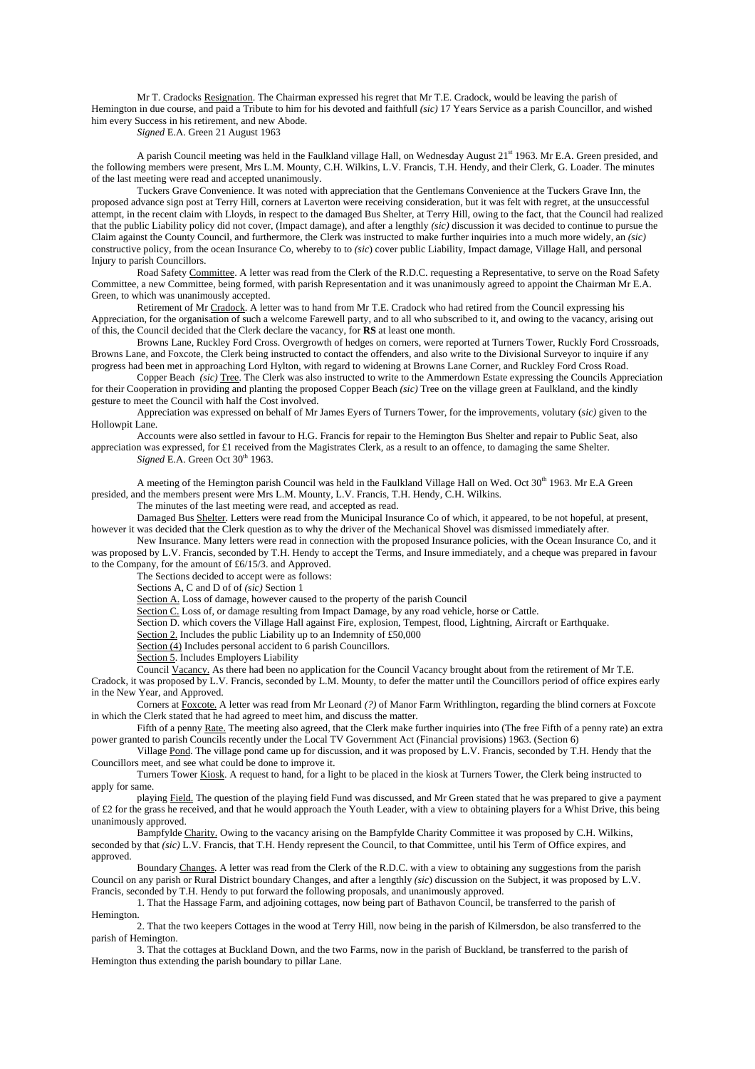Mr T. Cradocks Resignation. The Chairman expressed his regret that Mr T.E. Cradock, would be leaving the parish of Hemington in due course, and paid a Tribute to him for his devoted and faithfull *(sic)* 17 Years Service as a parish Councillor, and wished him every Success in his retirement, and new Abode.

*Signed* E.A. Green 21 August 1963

A parish Council meeting was held in the Faulkland village Hall, on Wednesday August  $21<sup>st</sup>$  1963. Mr E.A. Green presided, and the following members were present, Mrs L.M. Mounty, C.H. Wilkins, L.V. Francis, T.H. Hendy, and their Clerk, G. Loader. The minutes of the last meeting were read and accepted unanimously.

Tuckers Grave Convenience. It was noted with appreciation that the Gentlemans Convenience at the Tuckers Grave Inn, the proposed advance sign post at Terry Hill, corners at Laverton were receiving consideration, but it was felt with regret, at the unsuccessful attempt, in the recent claim with Lloyds, in respect to the damaged Bus Shelter, at Terry Hill, owing to the fact, that the Council had realized that the public Liability policy did not cover, (Impact damage), and after a lengthly *(sic)* discussion it was decided to continue to pursue the Claim against the County Council, and furthermore, the Clerk was instructed to make further inquiries into a much more widely, an *(sic)* constructive policy, from the ocean Insurance Co, whereby to to *(sic*) cover public Liability, Impact damage, Village Hall, and personal Injury to parish Councillors.

Road Safety Committee. A letter was read from the Clerk of the R.D.C. requesting a Representative, to serve on the Road Safety Committee, a new Committee, being formed, with parish Representation and it was unanimously agreed to appoint the Chairman Mr E.A. Green, to which was unanimously accepted.

Retirement of Mr Cradock. A letter was to hand from Mr T.E. Cradock who had retired from the Council expressing his Appreciation, for the organisation of such a welcome Farewell party, and to all who subscribed to it, and owing to the vacancy, arising out of this, the Council decided that the Clerk declare the vacancy, for **RS** at least one month.

Browns Lane, Ruckley Ford Cross. Overgrowth of hedges on corners, were reported at Turners Tower, Ruckly Ford Crossroads, Browns Lane, and Foxcote, the Clerk being instructed to contact the offenders, and also write to the Divisional Surveyor to inquire if any progress had been met in approaching Lord Hylton, with regard to widening at Browns Lane Corner, and Ruckley Ford Cross Road.

Copper Beach *(sic)* Tree. The Clerk was also instructed to write to the Ammerdown Estate expressing the Councils Appreciation for their Cooperation in providing and planting the proposed Copper Beach *(sic)* Tree on the village green at Faulkland, and the kindly gesture to meet the Council with half the Cost involved.

Appreciation was expressed on behalf of Mr James Eyers of Turners Tower, for the improvements, volutary (*sic)* given to the Hollowpit Lane.

Accounts were also settled in favour to H.G. Francis for repair to the Hemington Bus Shelter and repair to Public Seat, also appreciation was expressed, for £1 received from the Magistrates Clerk, as a result to an offence, to damaging the same Shelter. *Signed* E.A. Green Oct 30<sup>th</sup> 1963.

A meeting of the Hemington parish Council was held in the Faulkland Village Hall on Wed. Oct 30<sup>th</sup> 1963. Mr E.A Green presided, and the members present were Mrs L.M. Mounty, L.V. Francis, T.H. Hendy, C.H. Wilkins.

The minutes of the last meeting were read, and accepted as read.

Damaged Bus Shelter. Letters were read from the Municipal Insurance Co of which, it appeared, to be not hopeful, at present, however it was decided that the Clerk question as to why the driver of the Mechanical Shovel was dismissed immediately after.

New Insurance. Many letters were read in connection with the proposed Insurance policies, with the Ocean Insurance Co, and it was proposed by L.V. Francis, seconded by T.H. Hendy to accept the Terms, and Insure immediately, and a cheque was prepared in favour to the Company, for the amount of £6/15/3. and Approved.

The Sections decided to accept were as follows:

Sections A, C and D of of *(sic)* Section 1

Section A. Loss of damage, however caused to the property of the parish Council

Section C. Loss of, or damage resulting from Impact Damage, by any road vehicle, horse or Cattle.

Section D. which covers the Village Hall against Fire, explosion, Tempest, flood, Lightning, Aircraft or Earthquake.

Section 2. Includes the public Liability up to an Indemnity of £50,000

Section  $\overline{(4)}$  Includes personal accident to 6 parish Councillors.

Section 5. Includes Employers Liability

Council Vacancy. As there had been no application for the Council Vacancy brought about from the retirement of Mr T.E. Cradock, it was proposed by L.V. Francis, seconded by L.M. Mounty, to defer the matter until the Councillors period of office expires early

in the New Year, and Approved.

Corners at Foxcote. A letter was read from Mr Leonard *(?)* of Manor Farm Writhlington, regarding the blind corners at Foxcote in which the Clerk stated that he had agreed to meet him, and discuss the matter.

Fifth of a penny Rate. The meeting also agreed, that the Clerk make further inquiries into (The free Fifth of a penny rate) an extra power granted to parish Councils recently under the Local TV Government Act (Financial provisions) 1963. (Section 6)

Village Pond. The village pond came up for discussion, and it was proposed by L.V. Francis, seconded by T.H. Hendy that the Councillors meet, and see what could be done to improve it.

Turners Tower Kiosk. A request to hand, for a light to be placed in the kiosk at Turners Tower, the Clerk being instructed to apply for same.

playing Field. The question of the playing field Fund was discussed, and Mr Green stated that he was prepared to give a payment of £2 for the grass he received, and that he would approach the Youth Leader, with a view to obtaining players for a Whist Drive, this being unanimously approved.

Bampfylde Charity. Owing to the vacancy arising on the Bampfylde Charity Committee it was proposed by C.H. Wilkins, seconded by that *(sic)* L.V. Francis, that T.H. Hendy represent the Council, to that Committee, until his Term of Office expires, and approved.

Boundary Changes. A letter was read from the Clerk of the R.D.C. with a view to obtaining any suggestions from the parish Council on any parish or Rural District boundary Changes, and after a lengthly *(sic*) discussion on the Subject, it was proposed by L.V. Francis, seconded by T.H. Hendy to put forward the following proposals, and unanimously approved.

1. That the Hassage Farm, and adjoining cottages, now being part of Bathavon Council, be transferred to the parish of Hemington.

2. That the two keepers Cottages in the wood at Terry Hill, now being in the parish of Kilmersdon, be also transferred to the parish of Hemington.

3. That the cottages at Buckland Down, and the two Farms, now in the parish of Buckland, be transferred to the parish of Hemington thus extending the parish boundary to pillar Lane.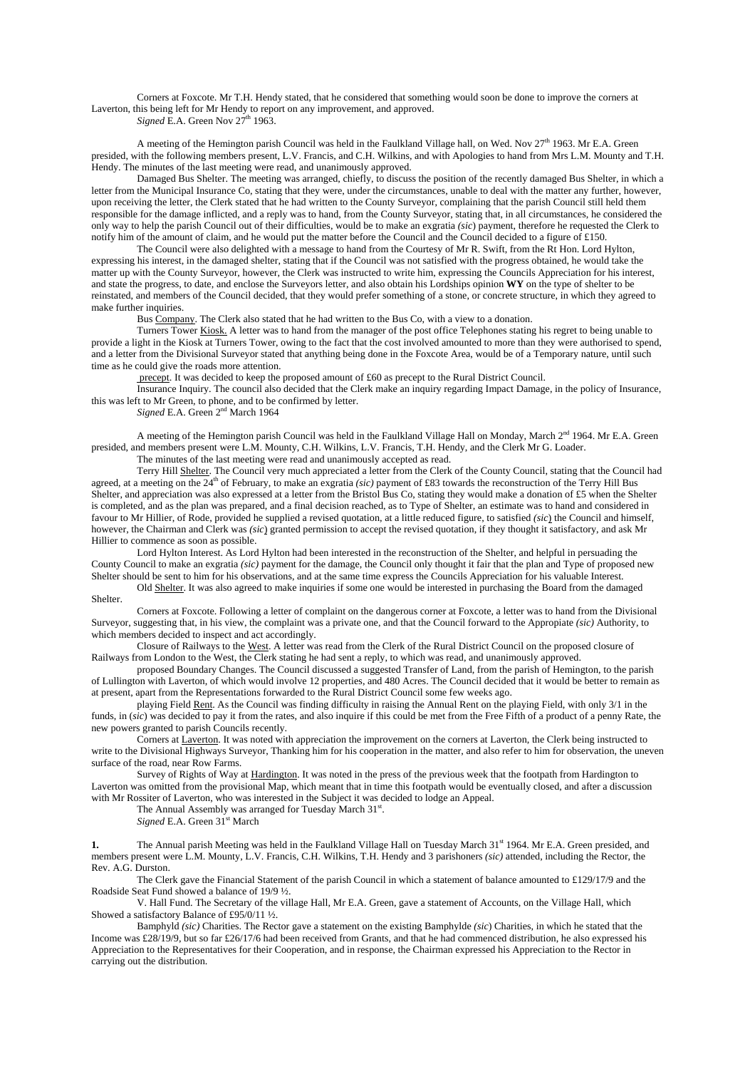Corners at Foxcote. Mr T.H. Hendy stated, that he considered that something would soon be done to improve the corners at Laverton, this being left for Mr Hendy to report on any improvement, and approved.

*Signed* E.A. Green Nov 27<sup>th</sup> 1963.

A meeting of the Hemington parish Council was held in the Faulkland Village hall, on Wed. Nov  $27<sup>th</sup>$  1963. Mr E.A. Green presided, with the following members present, L.V. Francis, and C.H. Wilkins, and with Apologies to hand from Mrs L.M. Mounty and T.H. Hendy. The minutes of the last meeting were read, and unanimously approved.

Damaged Bus Shelter. The meeting was arranged, chiefly, to discuss the position of the recently damaged Bus Shelter, in which a letter from the Municipal Insurance Co, stating that they were, under the circumstances, unable to deal with the matter any further, however, upon receiving the letter, the Clerk stated that he had written to the County Surveyor, complaining that the parish Council still held them responsible for the damage inflicted, and a reply was to hand, from the County Surveyor, stating that, in all circumstances, he considered the only way to help the parish Council out of their difficulties, would be to make an exgratia *(sic*) payment, therefore he requested the Clerk to notify him of the amount of claim, and he would put the matter before the Council and the Council decided to a figure of £150.

The Council were also delighted with a message to hand from the Courtesy of Mr R. Swift, from the Rt Hon. Lord Hylton, expressing his interest, in the damaged shelter, stating that if the Council was not satisfied with the progress obtained, he would take the matter up with the County Surveyor, however, the Clerk was instructed to write him, expressing the Councils Appreciation for his interest, and state the progress, to date, and enclose the Surveyors letter, and also obtain his Lordships opinion **WY** on the type of shelter to be reinstated, and members of the Council decided, that they would prefer something of a stone, or concrete structure, in which they agreed to make further inquiries.

Bus Company. The Clerk also stated that he had written to the Bus Co, with a view to a donation.

Turners Tower Kiosk. A letter was to hand from the manager of the post office Telephones stating his regret to being unable to provide a light in the Kiosk at Turners Tower, owing to the fact that the cost involved amounted to more than they were authorised to spend, and a letter from the Divisional Surveyor stated that anything being done in the Foxcote Area, would be of a Temporary nature, until such time as he could give the roads more attention.

precept. It was decided to keep the proposed amount of £60 as precept to the Rural District Council.

Insurance Inquiry. The council also decided that the Clerk make an inquiry regarding Impact Damage, in the policy of Insurance, this was left to Mr Green, to phone, and to be confirmed by letter.

*Signed* E.A. Green 2nd March 1964

A meeting of the Hemington parish Council was held in the Faulkland Village Hall on Monday, March 2<sup>nd</sup> 1964. Mr E.A. Green presided, and members present were L.M. Mounty, C.H. Wilkins, L.V. Francis, T.H. Hendy, and the Clerk Mr G. Loader.

The minutes of the last meeting were read and unanimously accepted as read.

 Terry Hill Shelter. The Council very much appreciated a letter from the Clerk of the County Council, stating that the Council had agreed, at a meeting on the 24<sup>th</sup> of February, to make an exgratia *(sic)* payment of £83 towards the reconstruction of the Terry Hill Bus Shelter, and appreciation was also expressed at a letter from the Bristol Bus Co, stating they would make a donation of £5 when the Shelter is completed, and as the plan was prepared, and a final decision reached, as to Type of Shelter, an estimate was to hand and considered in favour to Mr Hillier, of Rode, provided he supplied a revised quotation, at a little reduced figure, to satisfied *(sic*) the Council and himself, however, the Chairman and Clerk was *(sic*) granted permission to accept the revised quotation, if they thought it satisfactory, and ask Mr Hillier to commence as soon as possible.

 Lord Hylton Interest. As Lord Hylton had been interested in the reconstruction of the Shelter, and helpful in persuading the County Council to make an exgratia *(sic)* payment for the damage, the Council only thought it fair that the plan and Type of proposed new Shelter should be sent to him for his observations, and at the same time express the Councils Appreciation for his valuable Interest.

 Old Shelter. It was also agreed to make inquiries if some one would be interested in purchasing the Board from the damaged Shelter.

 Corners at Foxcote. Following a letter of complaint on the dangerous corner at Foxcote, a letter was to hand from the Divisional Surveyor, suggesting that, in his view, the complaint was a private one, and that the Council forward to the Appropiate *(sic)* Authority, to which members decided to inspect and act accordingly.

 Closure of Railways to the West. A letter was read from the Clerk of the Rural District Council on the proposed closure of Railways from London to the West, the Clerk stating he had sent a reply, to which was read, and unanimously approved.

 proposed Boundary Changes. The Council discussed a suggested Transfer of Land, from the parish of Hemington, to the parish of Lullington with Laverton, of which would involve 12 properties, and 480 Acres. The Council decided that it would be better to remain as at present, apart from the Representations forwarded to the Rural District Council some few weeks ago.

 playing Field Rent. As the Council was finding difficulty in raising the Annual Rent on the playing Field, with only 3/1 in the funds, in  $(\overline{sic})$  was decided to pay it from the rates, and also inquire if this could be met from the Free Fifth of a product of a penny Rate, the new powers granted to parish Councils recently.

 Corners at Laverton. It was noted with appreciation the improvement on the corners at Laverton, the Clerk being instructed to write to the Divisional Highways Surveyor, Thanking him for his cooperation in the matter, and also refer to him for observation, the uneven surface of the road, near Row Farms.

Survey of Rights of Way at Hardington. It was noted in the press of the previous week that the footpath from Hardington to Laverton was omitted from the provisional Map, which meant that in time this footpath would be eventually closed, and after a discussion with Mr Rossiter of Laverton, who was interested in the Subject it was decided to lodge an Appeal.

The Annual Assembly was arranged for Tuesday March 31st.

*Signed* E.A. Green 31<sup>st</sup> March

**1.** The Annual parish Meeting was held in the Faulkland Village Hall on Tuesday March 31<sup>st</sup> 1964. Mr E.A. Green presided, and members present were L.M. Mounty, L.V. Francis, C.H. Wilkins, T.H. Hendy and 3 parishoners *(sic)* attended, including the Rector, the Rev. A.G. Durston.

 The Clerk gave the Financial Statement of the parish Council in which a statement of balance amounted to £129/17/9 and the Roadside Seat Fund showed a balance of 19/9 ½.

V. Hall Fund. The Secretary of the village Hall, Mr E.A. Green, gave a statement of Accounts, on the Village Hall, which Showed a satisfactory Balance of £95/0/11 ½.

Bamphyld *(sic)* Charities. The Rector gave a statement on the existing Bamphylde *(sic*) Charities, in which he stated that the Income was £28/19/9, but so far £26/17/6 had been received from Grants, and that he had commenced distribution, he also expressed his Appreciation to the Representatives for their Cooperation, and in response, the Chairman expressed his Appreciation to the Rector in carrying out the distribution.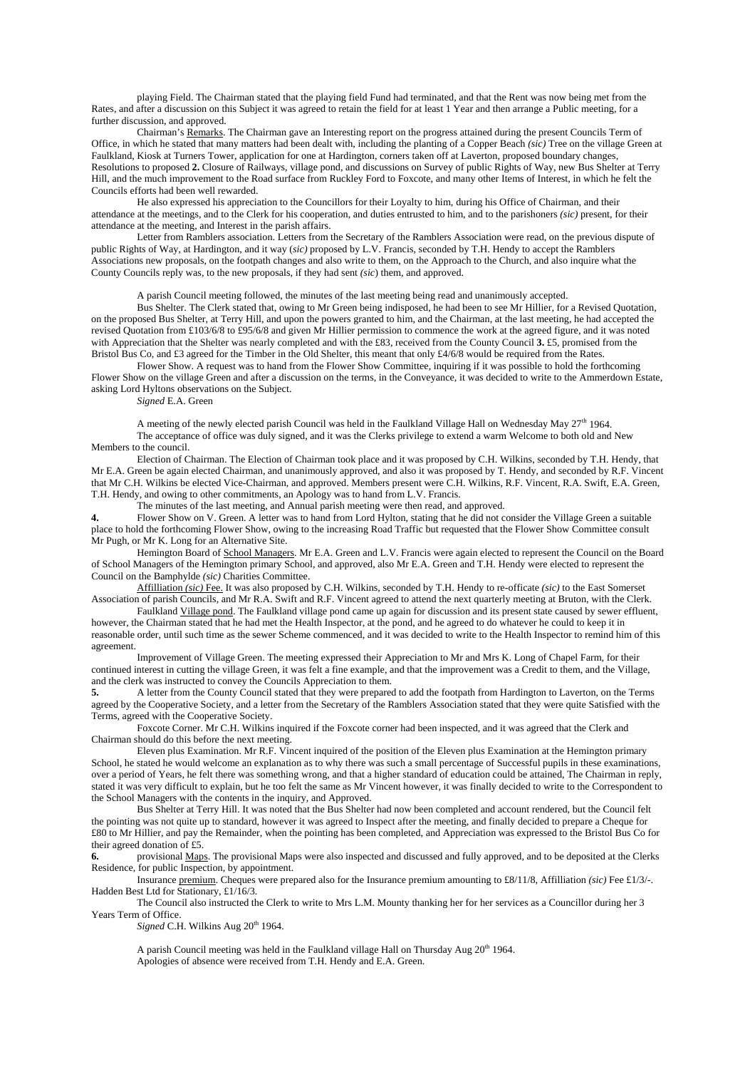playing Field. The Chairman stated that the playing field Fund had terminated, and that the Rent was now being met from the Rates, and after a discussion on this Subject it was agreed to retain the field for at least 1 Year and then arrange a Public meeting, for a further discussion, and approved.

Chairman's Remarks. The Chairman gave an Interesting report on the progress attained during the present Councils Term of Office, in which he stated that many matters had been dealt with, including the planting of a Copper Beach *(sic)* Tree on the village Green at Faulkland, Kiosk at Turners Tower, application for one at Hardington, corners taken off at Laverton, proposed boundary changes, Resolutions to proposed **2.** Closure of Railways, village pond, and discussions on Survey of public Rights of Way, new Bus Shelter at Terry Hill, and the much improvement to the Road surface from Ruckley Ford to Foxcote, and many other Items of Interest, in which he felt the Councils efforts had been well rewarded.

He also expressed his appreciation to the Councillors for their Loyalty to him, during his Office of Chairman, and their attendance at the meetings, and to the Clerk for his cooperation, and duties entrusted to him, and to the parishoners *(sic)* present, for their attendance at the meeting, and Interest in the parish affairs.

Letter from Ramblers association. Letters from the Secretary of the Ramblers Association were read, on the previous dispute of public Rights of Way, at Hardington, and it way (*sic)* proposed by L.V. Francis, seconded by T.H. Hendy to accept the Ramblers Associations new proposals, on the footpath changes and also write to them, on the Approach to the Church, and also inquire what the County Councils reply was, to the new proposals, if they had sent *(sic*) them, and approved.

A parish Council meeting followed, the minutes of the last meeting being read and unanimously accepted.

Bus Shelter. The Clerk stated that, owing to Mr Green being indisposed, he had been to see Mr Hillier, for a Revised Quotation, on the proposed Bus Shelter, at Terry Hill, and upon the powers granted to him, and the Chairman, at the last meeting, he had accepted the revised Quotation from £103/6/8 to £95/6/8 and given Mr Hillier permission to commence the work at the agreed figure, and it was noted with Appreciation that the Shelter was nearly completed and with the £83, received from the County Council **3.** £5, promised from the Bristol Bus Co, and £3 agreed for the Timber in the Old Shelter, this meant that only  $\frac{f4}{6}$ /8 would be required from the Rates.

Flower Show. A request was to hand from the Flower Show Committee, inquiring if it was possible to hold the forthcoming Flower Show on the village Green and after a discussion on the terms, in the Conveyance, it was decided to write to the Ammerdown Estate, asking Lord Hyltons observations on the Subject.

*Signed* E.A. Green

A meeting of the newly elected parish Council was held in the Faulkland Village Hall on Wednesday May  $27<sup>th</sup>$  1964. The acceptance of office was duly signed, and it was the Clerks privilege to extend a warm Welcome to both old and New Members to the council.

Election of Chairman. The Election of Chairman took place and it was proposed by C.H. Wilkins, seconded by T.H. Hendy, that Mr E.A. Green be again elected Chairman, and unanimously approved, and also it was proposed by T. Hendy, and seconded by R.F. Vincent that Mr C.H. Wilkins be elected Vice-Chairman, and approved. Members present were C.H. Wilkins, R.F. Vincent, R.A. Swift, E.A. Green, T.H. Hendy, and owing to other commitments, an Apology was to hand from L.V. Francis.

The minutes of the last meeting, and Annual parish meeting were then read, and approved.

**4.** Flower Show on V. Green. A letter was to hand from Lord Hylton, stating that he did not consider the Village Green a suitable place to hold the forthcoming Flower Show, owing to the increasing Road Traffic but requested that the Flower Show Committee consult Mr Pugh, or Mr K. Long for an Alternative Site.

 Hemington Board of School Managers. Mr E.A. Green and L.V. Francis were again elected to represent the Council on the Board of School Managers of the Hemington primary School, and approved, also Mr E.A. Green and T.H. Hendy were elected to represent the Council on the Bamphylde *(sic)* Charities Committee.

 Affilliation *(sic)* Fee. It was also proposed by C.H. Wilkins, seconded by T.H. Hendy to re-officate *(sic)* to the East Somerset Association of parish Councils, and Mr R.A. Swift and R.F. Vincent agreed to attend the next quarterly meeting at Bruton, with the Clerk.

 Faulkland Village pond. The Faulkland village pond came up again for discussion and its present state caused by sewer effluent, however, the Chairman stated that he had met the Health Inspector, at the pond, and he agreed to do whatever he could to keep it in reasonable order, until such time as the sewer Scheme commenced, and it was decided to write to the Health Inspector to remind him of this agreement.

 Improvement of Village Green. The meeting expressed their Appreciation to Mr and Mrs K. Long of Chapel Farm, for their continued interest in cutting the village Green, it was felt a fine example, and that the improvement was a Credit to them, and the Village, and the clerk was instructed to convey the Councils Appreciation to them.

**5.** A letter from the County Council stated that they were prepared to add the footpath from Hardington to Laverton, on the Terms agreed by the Cooperative Society, and a letter from the Secretary of the Ramblers Association stated that they were quite Satisfied with the Terms, agreed with the Cooperative Society.

 Foxcote Corner. Mr C.H. Wilkins inquired if the Foxcote corner had been inspected, and it was agreed that the Clerk and Chairman should do this before the next meeting.

 Eleven plus Examination. Mr R.F. Vincent inquired of the position of the Eleven plus Examination at the Hemington primary School, he stated he would welcome an explanation as to why there was such a small percentage of Successful pupils in these examinations, over a period of Years, he felt there was something wrong, and that a higher standard of education could be attained, The Chairman in reply, stated it was very difficult to explain, but he too felt the same as Mr Vincent however, it was finally decided to write to the Correspondent to the School Managers with the contents in the inquiry, and Approved.

 Bus Shelter at Terry Hill. It was noted that the Bus Shelter had now been completed and account rendered, but the Council felt the pointing was not quite up to standard, however it was agreed to Inspect after the meeting, and finally decided to prepare a Cheque for £80 to Mr Hillier, and pay the Remainder, when the pointing has been completed, and Appreciation was expressed to the Bristol Bus Co for their agreed donation of £5.

**6.** provisional Maps. The provisional Maps were also inspected and discussed and fully approved, and to be deposited at the Clerks Residence, for public Inspection, by appointment.

 Insurance premium. Cheques were prepared also for the Insurance premium amounting to £8/11/8, Affilliation *(sic)* Fee £1/3/-. Hadden Best Ltd for Stationary, £1/16/3.

 The Council also instructed the Clerk to write to Mrs L.M. Mounty thanking her for her services as a Councillor during her 3 Years Term of Office.

*Signed* C.H. Wilkins Aug 20<sup>th</sup> 1964.

A parish Council meeting was held in the Faulkland village Hall on Thursday Aug  $20<sup>th</sup>$  1964. Apologies of absence were received from T.H. Hendy and E.A. Green.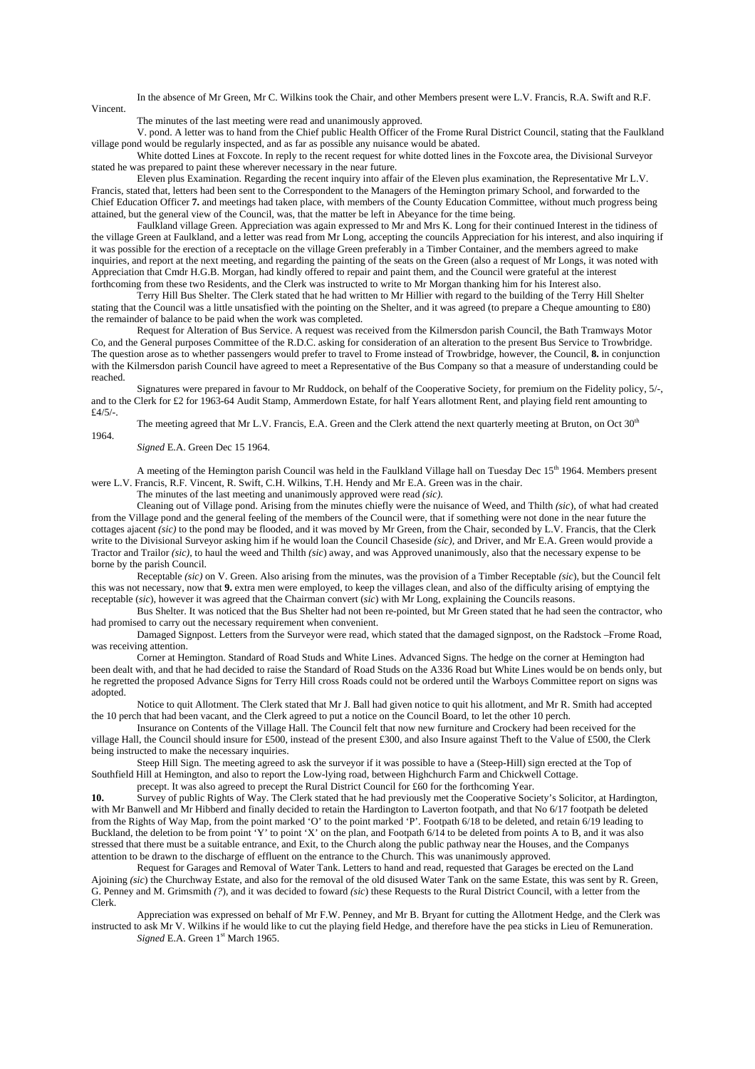In the absence of Mr Green, Mr C. Wilkins took the Chair, and other Members present were L.V. Francis, R.A. Swift and R.F. Vincent.

The minutes of the last meeting were read and unanimously approved.

 V. pond. A letter was to hand from the Chief public Health Officer of the Frome Rural District Council, stating that the Faulkland village pond would be regularly inspected, and as far as possible any nuisance would be abated.

 White dotted Lines at Foxcote. In reply to the recent request for white dotted lines in the Foxcote area, the Divisional Surveyor stated he was prepared to paint these wherever necessary in the near future.

 Eleven plus Examination. Regarding the recent inquiry into affair of the Eleven plus examination, the Representative Mr L.V. Francis, stated that, letters had been sent to the Correspondent to the Managers of the Hemington primary School, and forwarded to the Chief Education Officer **7.** and meetings had taken place, with members of the County Education Committee, without much progress being attained, but the general view of the Council, was, that the matter be left in Abeyance for the time being.

 Faulkland village Green. Appreciation was again expressed to Mr and Mrs K. Long for their continued Interest in the tidiness of the village Green at Faulkland, and a letter was read from Mr Long, accepting the councils Appreciation for his interest, and also inquiring if it was possible for the erection of a receptacle on the village Green preferably in a Timber Container, and the members agreed to make inquiries, and report at the next meeting, and regarding the painting of the seats on the Green (also a request of Mr Longs, it was noted with Appreciation that Cmdr H.G.B. Morgan, had kindly offered to repair and paint them, and the Council were grateful at the interest forthcoming from these two Residents, and the Clerk was instructed to write to Mr Morgan thanking him for his Interest also.

 Terry Hill Bus Shelter. The Clerk stated that he had written to Mr Hillier with regard to the building of the Terry Hill Shelter stating that the Council was a little unsatisfied with the pointing on the Shelter, and it was agreed (to prepare a Cheque amounting to £80) the remainder of balance to be paid when the work was completed.

 Request for Alteration of Bus Service. A request was received from the Kilmersdon parish Council, the Bath Tramways Motor Co, and the General purposes Committee of the R.D.C. asking for consideration of an alteration to the present Bus Service to Trowbridge. The question arose as to whether passengers would prefer to travel to Frome instead of Trowbridge, however, the Council, **8.** in conjunction with the Kilmersdon parish Council have agreed to meet a Representative of the Bus Company so that a measure of understanding could be reached.

 Signatures were prepared in favour to Mr Ruddock, on behalf of the Cooperative Society, for premium on the Fidelity policy, 5/-, and to the Clerk for £2 for 1963-64 Audit Stamp, Ammerdown Estate, for half Years allotment Rent, and playing field rent amounting to £4/5/-.

The meeting agreed that Mr L.V. Francis, E.A. Green and the Clerk attend the next quarterly meeting at Bruton, on Oct 30<sup>th</sup> 1964.

*Signed* E.A. Green Dec 15 1964.

 A meeting of the Hemington parish Council was held in the Faulkland Village hall on Tuesday Dec 15th 1964. Members present were L.V. Francis, R.F. Vincent, R. Swift, C.H. Wilkins, T.H. Hendy and Mr E.A. Green was in the chair.

The minutes of the last meeting and unanimously approved were read *(sic).*

 Cleaning out of Village pond. Arising from the minutes chiefly were the nuisance of Weed, and Thilth *(sic*), of what had created from the Village pond and the general feeling of the members of the Council were, that if something were not done in the near future the cottages ajacent *(sic)* to the pond may be flooded, and it was moved by Mr Green, from the Chair, seconded by L.V. Francis, that the Clerk write to the Divisional Surveyor asking him if he would loan the Council Chaseside *(sic),* and Driver, and Mr E.A. Green would provide a Tractor and Trailor *(sic),* to haul the weed and Thilth *(sic*) away, and was Approved unanimously, also that the necessary expense to be borne by the parish Council.

 Receptable *(sic)* on V. Green. Also arising from the minutes, was the provision of a Timber Receptable *(sic*), but the Council felt this was not necessary, now that **9.** extra men were employed, to keep the villages clean, and also of the difficulty arising of emptying the receptable (*sic*), however it was agreed that the Chairman convert (*sic*) with Mr Long, explaining the Councils reasons.

 Bus Shelter. It was noticed that the Bus Shelter had not been re-pointed, but Mr Green stated that he had seen the contractor, who had promised to carry out the necessary requirement when convenient.

 Damaged Signpost. Letters from the Surveyor were read, which stated that the damaged signpost, on the Radstock –Frome Road, was receiving attention.

Corner at Hemington. Standard of Road Studs and White Lines. Advanced Signs. The hedge on the corner at Hemington had been dealt with, and that he had decided to raise the Standard of Road Studs on the A336 Road but White Lines would be on bends only, but he regretted the proposed Advance Signs for Terry Hill cross Roads could not be ordered until the Warboys Committee report on signs was adopted.

Notice to quit Allotment. The Clerk stated that Mr J. Ball had given notice to quit his allotment, and Mr R. Smith had accepted the 10 perch that had been vacant, and the Clerk agreed to put a notice on the Council Board, to let the other 10 perch.

Insurance on Contents of the Village Hall. The Council felt that now new furniture and Crockery had been received for the village Hall, the Council should insure for £500, instead of the present £300, and also Insure against Theft to the Value of £500, the Clerk being instructed to make the necessary inquiries.

Steep Hill Sign. The meeting agreed to ask the surveyor if it was possible to have a (Steep-Hill) sign erected at the Top of Southfield Hill at Hemington, and also to report the Low-lying road, between Highchurch Farm and Chickwell Cottage.

precept. It was also agreed to precept the Rural District Council for £60 for the forthcoming Year.

10. Survey of public Rights of Way. The Clerk stated that he had previously met the Cooperative Society's Solicitor, at Hardington, with Mr Banwell and Mr Hibberd and finally decided to retain the Hardington to Laverton footpath, and that No 6/17 footpath be deleted from the Rights of Way Map, from the point marked 'O' to the point marked 'P'. Footpath 6/18 to be deleted, and retain 6/19 leading to Buckland, the deletion to be from point 'Y' to point 'X' on the plan, and Footpath 6/14 to be deleted from points A to B, and it was also stressed that there must be a suitable entrance, and Exit, to the Church along the public pathway near the Houses, and the Companys attention to be drawn to the discharge of effluent on the entrance to the Church. This was unanimously approved.

 Request for Garages and Removal of Water Tank. Letters to hand and read, requested that Garages be erected on the Land Ajoining *(sic*) the Churchway Estate, and also for the removal of the old disused Water Tank on the same Estate, this was sent by R. Green, G. Penney and M. Grimsmith *(?*), and it was decided to foward *(sic*) these Requests to the Rural District Council, with a letter from the Clerk.

 Appreciation was expressed on behalf of Mr F.W. Penney, and Mr B. Bryant for cutting the Allotment Hedge, and the Clerk was instructed to ask Mr V. Wilkins if he would like to cut the playing field Hedge, and therefore have the pea sticks in Lieu of Remuneration. *Signed* E.A. Green 1<sup>st</sup> March 1965.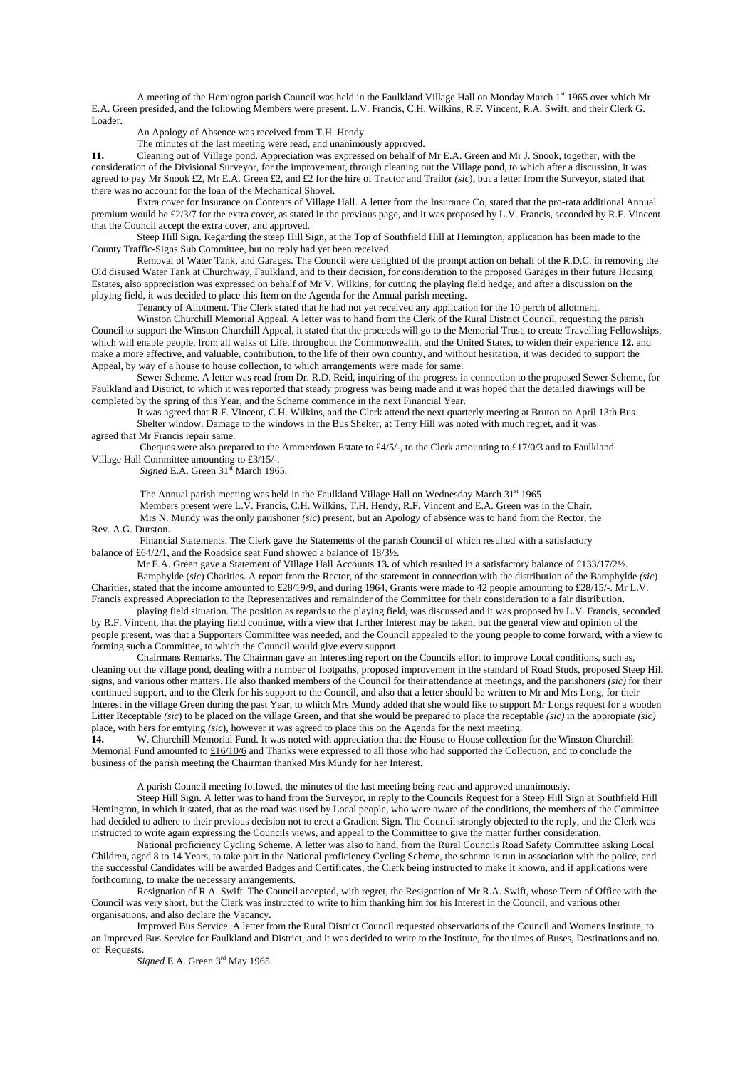A meeting of the Hemington parish Council was held in the Faulkland Village Hall on Monday March 1<sup>st</sup> 1965 over which Mr E.A. Green presided, and the following Members were present. L.V. Francis, C.H. Wilkins, R.F. Vincent, R.A. Swift, and their Clerk G. Loader.

An Apology of Absence was received from T.H. Hendy.

The minutes of the last meeting were read, and unanimously approved.

**11.** Cleaning out of Village pond. Appreciation was expressed on behalf of Mr E.A. Green and Mr J. Snook, together, with the consideration of the Divisional Surveyor, for the improvement, through cleaning out the Village pond, to which after a discussion, it was agreed to pay Mr Snook £2, Mr E.A. Green £2, and £2 for the hire of Tractor and Trailor *(sic*), but a letter from the Surveyor, stated that there was no account for the loan of the Mechanical Shovel.

 Extra cover for Insurance on Contents of Village Hall. A letter from the Insurance Co, stated that the pro-rata additional Annual premium would be £2/3/7 for the extra cover, as stated in the previous page, and it was proposed by L.V. Francis, seconded by R.F. Vincent that the Council accept the extra cover, and approved.

 Steep Hill Sign. Regarding the steep Hill Sign, at the Top of Southfield Hill at Hemington, application has been made to the County Traffic-Signs Sub Committee, but no reply had yet been received.

 Removal of Water Tank, and Garages. The Council were delighted of the prompt action on behalf of the R.D.C. in removing the Old disused Water Tank at Churchway, Faulkland, and to their decision, for consideration to the proposed Garages in their future Housing Estates, also appreciation was expressed on behalf of Mr V. Wilkins, for cutting the playing field hedge, and after a discussion on the playing field, it was decided to place this Item on the Agenda for the Annual parish meeting.

Tenancy of Allotment. The Clerk stated that he had not yet received any application for the 10 perch of allotment.

 Winston Churchill Memorial Appeal. A letter was to hand from the Clerk of the Rural District Council, requesting the parish Council to support the Winston Churchill Appeal, it stated that the proceeds will go to the Memorial Trust, to create Travelling Fellowships, which will enable people, from all walks of Life, throughout the Commonwealth, and the United States, to widen their experience **12.** and make a more effective, and valuable, contribution, to the life of their own country, and without hesitation, it was decided to support the Appeal, by way of a house to house collection, to which arrangements were made for same.

 Sewer Scheme. A letter was read from Dr. R.D. Reid, inquiring of the progress in connection to the proposed Sewer Scheme, for Faulkland and District, to which it was reported that steady progress was being made and it was hoped that the detailed drawings will be completed by the spring of this Year, and the Scheme commence in the next Financial Year.

It was agreed that R.F. Vincent, C.H. Wilkins, and the Clerk attend the next quarterly meeting at Bruton on April 13th Bus Shelter window. Damage to the windows in the Bus Shelter, at Terry Hill was noted with much regret, and it was agreed that Mr Francis repair same.

Cheques were also prepared to the Ammerdown Estate to £4/5/-, to the Clerk amounting to £17/0/3 and to Faulkland Village Hall Committee amounting to £3/15/-.

*Signed* E.A. Green 31<sup>st</sup> March 1965.

The Annual parish meeting was held in the Faulkland Village Hall on Wednesday March 31<sup>st</sup> 1965

Members present were L.V. Francis, C.H. Wilkins, T.H. Hendy, R.F. Vincent and E.A. Green was in the Chair. Mrs N. Mundy was the only parishoner *(sic*) present, but an Apology of absence was to hand from the Rector, the

## Rev. A.G. Durston.

Financial Statements. The Clerk gave the Statements of the parish Council of which resulted with a satisfactory balance of £64/2/1, and the Roadside seat Fund showed a balance of 18/3½.

Mr E.A. Green gave a Statement of Village Hall Accounts **13.** of which resulted in a satisfactory balance of £133/17/2½.

 Bamphylde (*sic*) Charities. A report from the Rector, of the statement in connection with the distribution of the Bamphylde *(sic*) Charities, stated that the income amounted to £28/19/9, and during 1964, Grants were made to 42 people amounting to £28/15/-. Mr L.V. Francis expressed Appreciation to the Representatives and remainder of the Committee for their consideration to a fair distribution.

 playing field situation. The position as regards to the playing field, was discussed and it was proposed by L.V. Francis, seconded by R.F. Vincent, that the playing field continue, with a view that further Interest may be taken, but the general view and opinion of the people present, was that a Supporters Committee was needed, and the Council appealed to the young people to come forward, with a view to forming such a Committee, to which the Council would give every support.

 Chairmans Remarks. The Chairman gave an Interesting report on the Councils effort to improve Local conditions, such as, cleaning out the village pond, dealing with a number of footpaths, proposed improvement in the standard of Road Studs, proposed Steep Hill signs, and various other matters. He also thanked members of the Council for their attendance at meetings, and the parishoners *(sic)* for their continued support, and to the Clerk for his support to the Council, and also that a letter should be written to Mr and Mrs Long, for their Interest in the village Green during the past Year, to which Mrs Mundy added that she would like to support Mr Longs request for a wooden Litter Receptable *(sic*) to be placed on the village Green, and that she would be prepared to place the receptable *(sic)* in the appropiate *(sic)* place, with hers for emtying *(sic*), however it was agreed to place this on the Agenda for the next meeting.

**14.** W. Churchill Memorial Fund. It was noted with appreciation that the House to House collection for the Winston Churchill Memorial Fund amounted to £16/10/6 and Thanks were expressed to all those who had supported the Collection, and to conclude the business of the parish meeting the Chairman thanked Mrs Mundy for her Interest.

A parish Council meeting followed, the minutes of the last meeting being read and approved unanimously.

 Steep Hill Sign. A letter was to hand from the Surveyor, in reply to the Councils Request for a Steep Hill Sign at Southfield Hill Hemington, in which it stated, that as the road was used by Local people, who were aware of the conditions, the members of the Committee had decided to adhere to their previous decision not to erect a Gradient Sign. The Council strongly objected to the reply, and the Clerk was instructed to write again expressing the Councils views, and appeal to the Committee to give the matter further consideration.

 National proficiency Cycling Scheme. A letter was also to hand, from the Rural Councils Road Safety Committee asking Local Children, aged 8 to 14 Years, to take part in the National proficiency Cycling Scheme, the scheme is run in association with the police, and the successful Candidates will be awarded Badges and Certificates, the Clerk being instructed to make it known, and if applications were forthcoming, to make the necessary arrangements.

Resignation of R.A. Swift. The Council accepted, with regret, the Resignation of Mr R.A. Swift, whose Term of Office with the Council was very short, but the Clerk was instructed to write to him thanking him for his Interest in the Council, and various other organisations, and also declare the Vacancy.

 Improved Bus Service. A letter from the Rural District Council requested observations of the Council and Womens Institute, to an Improved Bus Service for Faulkland and District, and it was decided to write to the Institute, for the times of Buses, Destinations and no. of Requests.

Signed E.A. Green 3<sup>rd</sup> May 1965.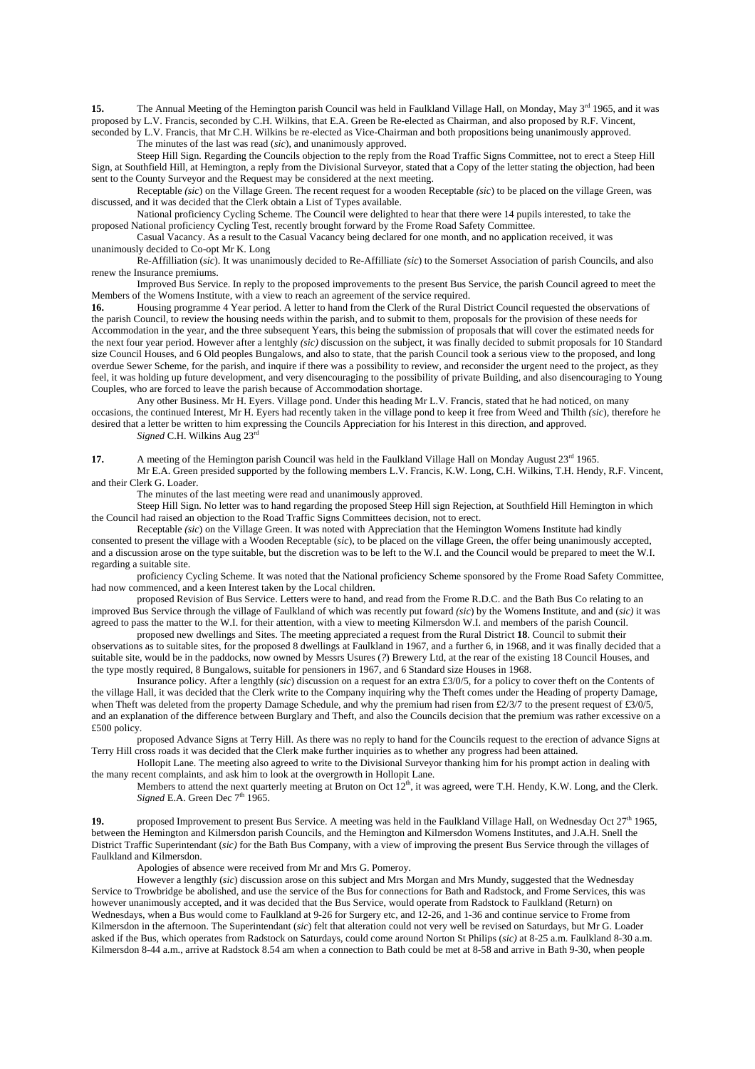**15.** The Annual Meeting of the Hemington parish Council was held in Faulkland Village Hall, on Monday, May 3<sup>rd</sup> 1965, and it was proposed by L.V. Francis, seconded by C.H. Wilkins, that E.A. Green be Re-elected as Chairman, and also proposed by R.F. Vincent, seconded by L.V. Francis, that Mr C.H. Wilkins be re-elected as Vice-Chairman and both propositions being unanimously approved.

The minutes of the last was read (*sic*), and unanimously approved.

 Steep Hill Sign. Regarding the Councils objection to the reply from the Road Traffic Signs Committee, not to erect a Steep Hill Sign, at Southfield Hill, at Hemington, a reply from the Divisional Surveyor, stated that a Copy of the letter stating the objection, had been sent to the County Surveyor and the Request may be considered at the next meeting.

 Receptable *(sic*) on the Village Green. The recent request for a wooden Receptable *(sic*) to be placed on the village Green, was discussed, and it was decided that the Clerk obtain a List of Types available.

 National proficiency Cycling Scheme. The Council were delighted to hear that there were 14 pupils interested, to take the proposed National proficiency Cycling Test, recently brought forward by the Frome Road Safety Committee.

 Casual Vacancy. As a result to the Casual Vacancy being declared for one month, and no application received, it was unanimously decided to Co-opt Mr K. Long

 Re-Affilliation (*sic*). It was unanimously decided to Re-Affilliate *(sic*) to the Somerset Association of parish Councils, and also renew the Insurance premiums.

 Improved Bus Service. In reply to the proposed improvements to the present Bus Service, the parish Council agreed to meet the Members of the Womens Institute, with a view to reach an agreement of the service required.

**16.** Housing programme 4 Year period. A letter to hand from the Clerk of the Rural District Council requested the observations of the parish Council, to review the housing needs within the parish, and to submit to them, proposals for the provision of these needs for Accommodation in the year, and the three subsequent Years, this being the submission of proposals that will cover the estimated needs for the next four year period. However after a lentghly *(sic)* discussion on the subject, it was finally decided to submit proposals for 10 Standard size Council Houses, and 6 Old peoples Bungalows, and also to state, that the parish Council took a serious view to the proposed, and long overdue Sewer Scheme, for the parish, and inquire if there was a possibility to review, and reconsider the urgent need to the project, as they feel, it was holding up future development, and very disencouraging to the possibility of private Building, and also disencouraging to Young Couples, who are forced to leave the parish because of Accommodation shortage.

 Any other Business. Mr H. Eyers. Village pond. Under this heading Mr L.V. Francis, stated that he had noticed, on many occasions, the continued Interest, Mr H. Eyers had recently taken in the village pond to keep it free from Weed and Thilth *(sic*), therefore he desired that a letter be written to him expressing the Councils Appreciation for his Interest in this direction, and approved.

*Signed* C.H. Wilkins Aug 23rd

**17.** A meeting of the Hemington parish Council was held in the Faulkland Village Hall on Monday August 23<sup>rd</sup> 1965.

 Mr E.A. Green presided supported by the following members L.V. Francis, K.W. Long, C.H. Wilkins, T.H. Hendy, R.F. Vincent, and their Clerk G. Loader.

The minutes of the last meeting were read and unanimously approved.

 Steep Hill Sign. No letter was to hand regarding the proposed Steep Hill sign Rejection, at Southfield Hill Hemington in which the Council had raised an objection to the Road Traffic Signs Committees decision, not to erect.

 Receptable *(sic*) on the Village Green. It was noted with Appreciation that the Hemington Womens Institute had kindly consented to present the village with a Wooden Receptable (*sic*), to be placed on the village Green, the offer being unanimously accepted, and a discussion arose on the type suitable, but the discretion was to be left to the W.I. and the Council would be prepared to meet the W.I. regarding a suitable site.

 proficiency Cycling Scheme. It was noted that the National proficiency Scheme sponsored by the Frome Road Safety Committee, had now commenced, and a keen Interest taken by the Local children.

 proposed Revision of Bus Service. Letters were to hand, and read from the Frome R.D.C. and the Bath Bus Co relating to an improved Bus Service through the village of Faulkland of which was recently put foward *(sic*) by the Womens Institute, and and (*sic)* it was agreed to pass the matter to the W.I. for their attention, with a view to meeting Kilmersdon W.I. and members of the parish Council.

 proposed new dwellings and Sites. The meeting appreciated a request from the Rural District **18**. Council to submit their observations as to suitable sites, for the proposed 8 dwellings at Faulkland in 1967, and a further 6, in 1968, and it was finally decided that a suitable site, would be in the paddocks, now owned by Messrs Usures (*?*) Brewery Ltd, at the rear of the existing 18 Council Houses, and the type mostly required, 8 Bungalows, suitable for pensioners in 1967, and 6 Standard size Houses in 1968.

 Insurance policy. After a lengthly (*sic*) discussion on a request for an extra £3/0/5, for a policy to cover theft on the Contents of the village Hall, it was decided that the Clerk write to the Company inquiring why the Theft comes under the Heading of property Damage, when Theft was deleted from the property Damage Schedule, and why the premium had risen from £2/3/7 to the present request of £3/0/5, and an explanation of the difference between Burglary and Theft, and also the Councils decision that the premium was rather excessive on a £500 policy.

 proposed Advance Signs at Terry Hill. As there was no reply to hand for the Councils request to the erection of advance Signs at Terry Hill cross roads it was decided that the Clerk make further inquiries as to whether any progress had been attained.

 Hollopit Lane. The meeting also agreed to write to the Divisional Surveyor thanking him for his prompt action in dealing with the many recent complaints, and ask him to look at the overgrowth in Hollopit Lane.

Members to attend the next quarterly meeting at Bruton on Oct  $12<sup>th</sup>$ , it was agreed, were T.H. Hendy, K.W. Long, and the Clerk. *Signed* E.A. Green Dec  $7<sup>th</sup> 1965$ .

19. proposed Improvement to present Bus Service. A meeting was held in the Faulkland Village Hall, on Wednesday Oct 27<sup>th</sup> 1965, between the Hemington and Kilmersdon parish Councils, and the Hemington and Kilmersdon Womens Institutes, and J.A.H. Snell the District Traffic Superintendant (*sic)* for the Bath Bus Company, with a view of improving the present Bus Service through the villages of Faulkland and Kilmersdon.

Apologies of absence were received from Mr and Mrs G. Pomeroy.

 However a lengthly (*sic*) discussion arose on this subject and Mrs Morgan and Mrs Mundy, suggested that the Wednesday Service to Trowbridge be abolished, and use the service of the Bus for connections for Bath and Radstock, and Frome Services, this was however unanimously accepted, and it was decided that the Bus Service, would operate from Radstock to Faulkland (Return) on Wednesdays, when a Bus would come to Faulkland at 9-26 for Surgery etc, and 12-26, and 1-36 and continue service to Frome from Kilmersdon in the afternoon. The Superintendant (*sic*) felt that alteration could not very well be revised on Saturdays, but Mr G. Loader asked if the Bus, which operates from Radstock on Saturdays, could come around Norton St Philips (*sic)* at 8-25 a.m. Faulkland 8-30 a.m. Kilmersdon 8-44 a.m., arrive at Radstock 8.54 am when a connection to Bath could be met at 8-58 and arrive in Bath 9-30, when people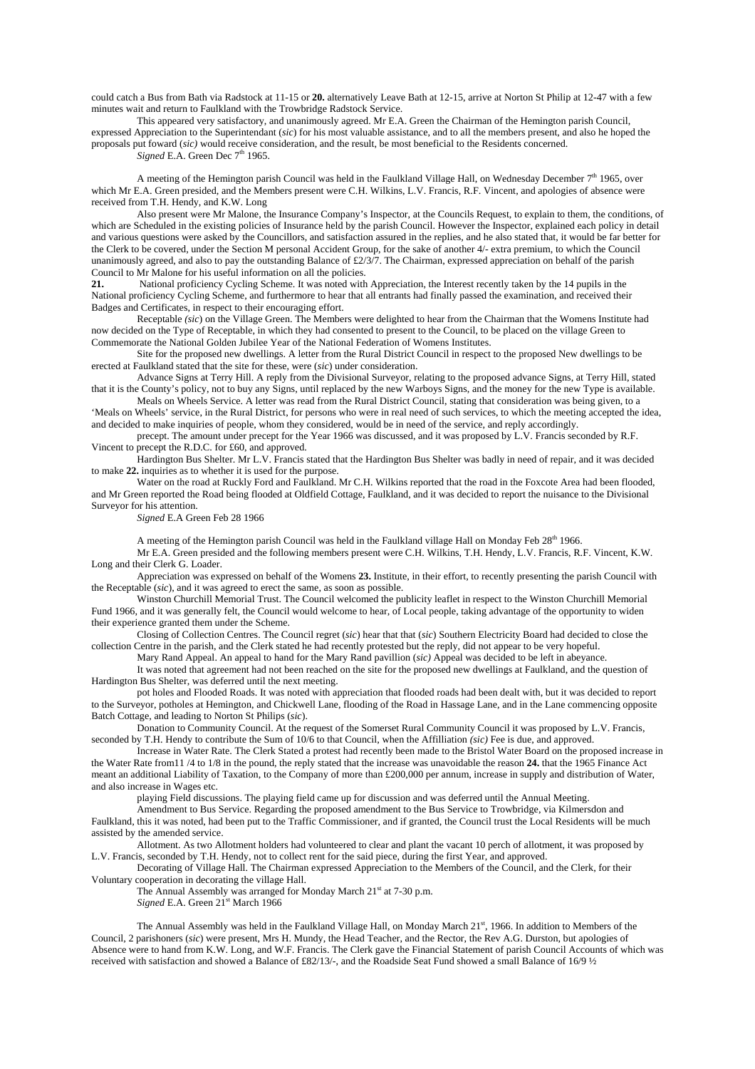could catch a Bus from Bath via Radstock at 11-15 or **20.** alternatively Leave Bath at 12-15, arrive at Norton St Philip at 12-47 with a few minutes wait and return to Faulkland with the Trowbridge Radstock Service.

 This appeared very satisfactory, and unanimously agreed. Mr E.A. Green the Chairman of the Hemington parish Council, expressed Appreciation to the Superintendant (*sic*) for his most valuable assistance, and to all the members present, and also he hoped the proposals put foward (*sic)* would receive consideration, and the result, be most beneficial to the Residents concerned. *Signed* E.A. Green Dec 7<sup>th</sup> 1965.

A meeting of the Hemington parish Council was held in the Faulkland Village Hall, on Wednesday December  $7<sup>th</sup>$  1965, over which Mr E.A. Green presided, and the Members present were C.H. Wilkins, L.V. Francis, R.F. Vincent, and apologies of absence were received from T.H. Hendy, and K.W. Long

 Also present were Mr Malone, the Insurance Company's Inspector, at the Councils Request, to explain to them, the conditions, of which are Scheduled in the existing policies of Insurance held by the parish Council. However the Inspector, explained each policy in detail and various questions were asked by the Councillors, and satisfaction assured in the replies, and he also stated that, it would be far better for the Clerk to be covered, under the Section M personal Accident Group, for the sake of another 4/- extra premium, to which the Council unanimously agreed, and also to pay the outstanding Balance of  $\epsilon 2/3/7$ . The Chairman, expressed appreciation on behalf of the parish Council to Mr Malone for his useful information on all the policies.

**21.** National proficiency Cycling Scheme. It was noted with Appreciation, the Interest recently taken by the 14 pupils in the National proficiency Cycling Scheme, and furthermore to hear that all entrants had finally passed the examination, and received their Badges and Certificates, in respect to their encouraging effort.

 Receptable *(sic*) on the Village Green. The Members were delighted to hear from the Chairman that the Womens Institute had now decided on the Type of Receptable, in which they had consented to present to the Council, to be placed on the village Green to Commemorate the National Golden Jubilee Year of the National Federation of Womens Institutes.

 Site for the proposed new dwellings. A letter from the Rural District Council in respect to the proposed New dwellings to be erected at Faulkland stated that the site for these, were (*sic*) under consideration.

 Advance Signs at Terry Hill. A reply from the Divisional Surveyor, relating to the proposed advance Signs, at Terry Hill, stated that it is the County's policy, not to buy any Signs, until replaced by the new Warboys Signs, and the money for the new Type is available.

 Meals on Wheels Service. A letter was read from the Rural District Council, stating that consideration was being given, to a 'Meals on Wheels' service, in the Rural District, for persons who were in real need of such services, to which the meeting accepted the idea, and decided to make inquiries of people, whom they considered, would be in need of the service, and reply accordingly.

 precept. The amount under precept for the Year 1966 was discussed, and it was proposed by L.V. Francis seconded by R.F. Vincent to precept the R.D.C. for £60, and approved.

 Hardington Bus Shelter. Mr L.V. Francis stated that the Hardington Bus Shelter was badly in need of repair, and it was decided to make **22.** inquiries as to whether it is used for the purpose.

Water on the road at Ruckly Ford and Faulkland. Mr C.H. Wilkins reported that the road in the Foxcote Area had been flooded, and Mr Green reported the Road being flooded at Oldfield Cottage, Faulkland, and it was decided to report the nuisance to the Divisional Surveyor for his attention.

*Signed* E.A Green Feb 28 1966

A meeting of the Hemington parish Council was held in the Faulkland village Hall on Monday Feb 28<sup>th</sup> 1966.

 Mr E.A. Green presided and the following members present were C.H. Wilkins, T.H. Hendy, L.V. Francis, R.F. Vincent, K.W. Long and their Clerk G. Loader.

 Appreciation was expressed on behalf of the Womens **23.** Institute, in their effort, to recently presenting the parish Council with the Receptable (*sic*), and it was agreed to erect the same, as soon as possible.

 Winston Churchill Memorial Trust. The Council welcomed the publicity leaflet in respect to the Winston Churchill Memorial Fund 1966, and it was generally felt, the Council would welcome to hear, of Local people, taking advantage of the opportunity to widen their experience granted them under the Scheme.

 Closing of Collection Centres. The Council regret (*sic*) hear that that (*sic*) Southern Electricity Board had decided to close the collection Centre in the parish, and the Clerk stated he had recently protested but the reply, did not appear to be very hopeful.

Mary Rand Appeal. An appeal to hand for the Mary Rand pavillion (*sic)* Appeal was decided to be left in abeyance.

 It was noted that agreement had not been reached on the site for the proposed new dwellings at Faulkland, and the question of Hardington Bus Shelter, was deferred until the next meeting.

 pot holes and Flooded Roads. It was noted with appreciation that flooded roads had been dealt with, but it was decided to report to the Surveyor, potholes at Hemington, and Chickwell Lane, flooding of the Road in Hassage Lane, and in the Lane commencing opposite Batch Cottage, and leading to Norton St Philips (*sic*).

 Donation to Community Council. At the request of the Somerset Rural Community Council it was proposed by L.V. Francis, seconded by T.H. Hendy to contribute the Sum of 10/6 to that Council, when the Affilliation *(sic)* Fee is due, and approved.

 Increase in Water Rate. The Clerk Stated a protest had recently been made to the Bristol Water Board on the proposed increase in the Water Rate from11 /4 to 1/8 in the pound, the reply stated that the increase was unavoidable the reason **24.** that the 1965 Finance Act meant an additional Liability of Taxation, to the Company of more than £200,000 per annum, increase in supply and distribution of Water, and also increase in Wages etc.

playing Field discussions. The playing field came up for discussion and was deferred until the Annual Meeting.

 Amendment to Bus Service. Regarding the proposed amendment to the Bus Service to Trowbridge, via Kilmersdon and Faulkland, this it was noted, had been put to the Traffic Commissioner, and if granted, the Council trust the Local Residents will be much assisted by the amended service.

 Allotment. As two Allotment holders had volunteered to clear and plant the vacant 10 perch of allotment, it was proposed by L.V. Francis, seconded by T.H. Hendy, not to collect rent for the said piece, during the first Year, and approved.

 Decorating of Village Hall. The Chairman expressed Appreciation to the Members of the Council, and the Clerk, for their Voluntary cooperation in decorating the village Hall.

The Annual Assembly was arranged for Monday March 21<sup>st</sup> at 7-30 p.m. *Signed* E.A. Green 21<sup>st</sup> March 1966

The Annual Assembly was held in the Faulkland Village Hall, on Monday March 21<sup>st</sup>, 1966. In addition to Members of the Council, 2 parishoners (*sic*) were present, Mrs H. Mundy, the Head Teacher, and the Rector, the Rev A.G. Durston, but apologies of Absence were to hand from K.W. Long, and W.F. Francis. The Clerk gave the Financial Statement of parish Council Accounts of which was received with satisfaction and showed a Balance of £82/13/-, and the Roadside Seat Fund showed a small Balance of 16/9 ½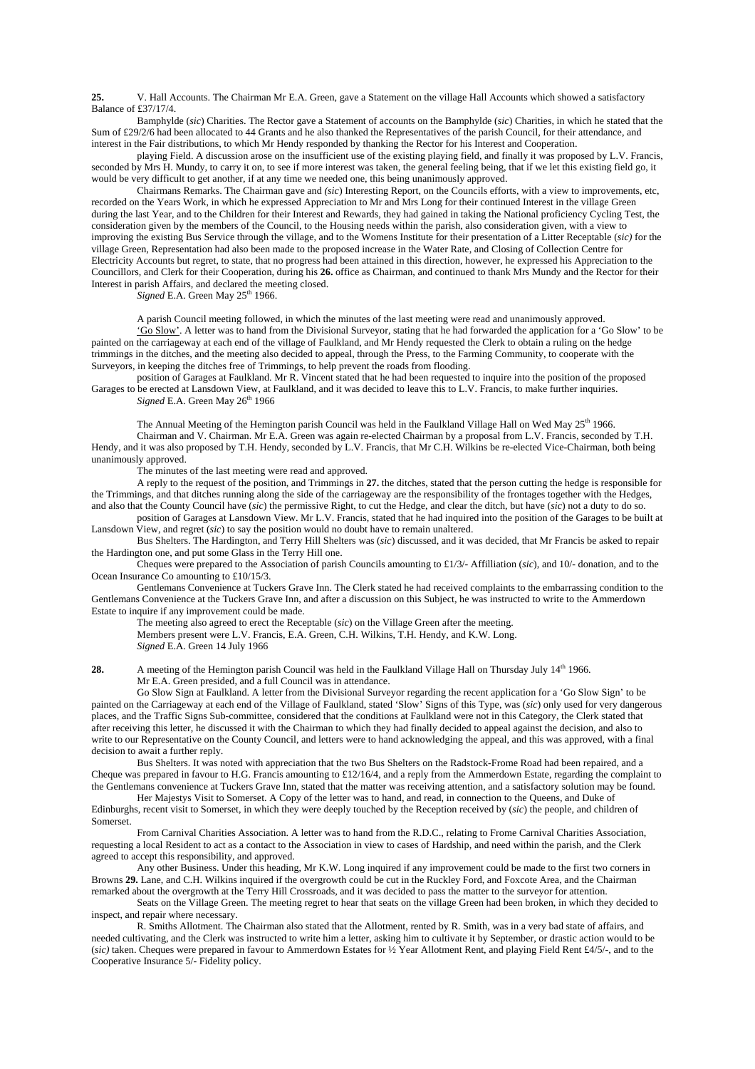**25.** V. Hall Accounts. The Chairman Mr E.A. Green, gave a Statement on the village Hall Accounts which showed a satisfactory Balance of £37/17/4.

 Bamphylde (*sic*) Charities. The Rector gave a Statement of accounts on the Bamphylde (*sic*) Charities, in which he stated that the Sum of £29/2/6 had been allocated to 44 Grants and he also thanked the Representatives of the parish Council, for their attendance, and interest in the Fair distributions, to which Mr Hendy responded by thanking the Rector for his Interest and Cooperation.

 playing Field. A discussion arose on the insufficient use of the existing playing field, and finally it was proposed by L.V. Francis, seconded by Mrs H. Mundy, to carry it on, to see if more interest was taken, the general feeling being, that if we let this existing field go, it would be very difficult to get another, if at any time we needed one, this being unanimously approved.

 Chairmans Remarks. The Chairman gave and *(sic*) Interesting Report, on the Councils efforts, with a view to improvements, etc, recorded on the Years Work, in which he expressed Appreciation to Mr and Mrs Long for their continued Interest in the village Green during the last Year, and to the Children for their Interest and Rewards, they had gained in taking the National proficiency Cycling Test, the consideration given by the members of the Council, to the Housing needs within the parish, also consideration given, with a view to improving the existing Bus Service through the village, and to the Womens Institute for their presentation of a Litter Receptable (*sic)* for the village Green, Representation had also been made to the proposed increase in the Water Rate, and Closing of Collection Centre for Electricity Accounts but regret, to state, that no progress had been attained in this direction, however, he expressed his Appreciation to the Councillors, and Clerk for their Cooperation, during his **26.** office as Chairman, and continued to thank Mrs Mundy and the Rector for their Interest in parish Affairs, and declared the meeting closed.

 $Signed$  E.A. Green May  $25<sup>th</sup>$  1966.

A parish Council meeting followed, in which the minutes of the last meeting were read and unanimously approved.

 'Go Slow'. A letter was to hand from the Divisional Surveyor, stating that he had forwarded the application for a 'Go Slow' to be painted on the carriageway at each end of the village of Faulkland, and Mr Hendy requested the Clerk to obtain a ruling on the hedge trimmings in the ditches, and the meeting also decided to appeal, through the Press, to the Farming Community, to cooperate with the Surveyors, in keeping the ditches free of Trimmings, to help prevent the roads from flooding.

 position of Garages at Faulkland. Mr R. Vincent stated that he had been requested to inquire into the position of the proposed Garages to be erected at Lansdown View, at Faulkland, and it was decided to leave this to L.V. Francis, to make further inquiries. *Signed* E.A. Green May 26<sup>th</sup> 1966

The Annual Meeting of the Hemington parish Council was held in the Faulkland Village Hall on Wed May  $25<sup>th</sup>$  1966. Chairman and V. Chairman. Mr E.A. Green was again re-elected Chairman by a proposal from L.V. Francis, seconded by T.H. Hendy, and it was also proposed by T.H. Hendy, seconded by L.V. Francis, that Mr C.H. Wilkins be re-elected Vice-Chairman, both being unanimously approved.

The minutes of the last meeting were read and approved.

 A reply to the request of the position, and Trimmings in **27.** the ditches, stated that the person cutting the hedge is responsible for the Trimmings, and that ditches running along the side of the carriageway are the responsibility of the frontages together with the Hedges, and also that the County Council have (*sic*) the permissive Right, to cut the Hedge, and clear the ditch, but have (*sic*) not a duty to do so.

 position of Garages at Lansdown View. Mr L.V. Francis, stated that he had inquired into the position of the Garages to be built at Lansdown View, and regret (*sic*) to say the position would no doubt have to remain unaltered.

 Bus Shelters. The Hardington, and Terry Hill Shelters was (*sic*) discussed, and it was decided, that Mr Francis be asked to repair the Hardington one, and put some Glass in the Terry Hill one.

 Cheques were prepared to the Association of parish Councils amounting to £1/3/- Affilliation (*sic*), and 10/- donation, and to the Ocean Insurance Co amounting to £10/15/3.

 Gentlemans Convenience at Tuckers Grave Inn. The Clerk stated he had received complaints to the embarrassing condition to the Gentlemans Convenience at the Tuckers Grave Inn, and after a discussion on this Subject, he was instructed to write to the Ammerdown Estate to inquire if any improvement could be made.

The meeting also agreed to erect the Receptable (*sic*) on the Village Green after the meeting.

 Members present were L.V. Francis, E.A. Green, C.H. Wilkins, T.H. Hendy, and K.W. Long. *Signed* E.A. Green 14 July 1966

**28.** A meeting of the Hemington parish Council was held in the Faulkland Village Hall on Thursday July 14<sup>th</sup> 1966. Mr E.A. Green presided, and a full Council was in attendance.

 Go Slow Sign at Faulkland. A letter from the Divisional Surveyor regarding the recent application for a 'Go Slow Sign' to be painted on the Carriageway at each end of the Village of Faulkland, stated 'Slow' Signs of this Type, was (*sic*) only used for very dangerous places, and the Traffic Signs Sub-committee, considered that the conditions at Faulkland were not in this Category, the Clerk stated that after receiving this letter, he discussed it with the Chairman to which they had finally decided to appeal against the decision, and also to write to our Representative on the County Council, and letters were to hand acknowledging the appeal, and this was approved, with a final decision to await a further reply.

 Bus Shelters. It was noted with appreciation that the two Bus Shelters on the Radstock-Frome Road had been repaired, and a Cheque was prepared in favour to H.G. Francis amounting to £12/16/4, and a reply from the Ammerdown Estate, regarding the complaint to the Gentlemans convenience at Tuckers Grave Inn, stated that the matter was receiving attention, and a satisfactory solution may be found.

 Her Majestys Visit to Somerset. A Copy of the letter was to hand, and read, in connection to the Queens, and Duke of Edinburghs, recent visit to Somerset, in which they were deeply touched by the Reception received by (*sic*) the people, and children of Somerset.

 From Carnival Charities Association. A letter was to hand from the R.D.C., relating to Frome Carnival Charities Association, requesting a local Resident to act as a contact to the Association in view to cases of Hardship, and need within the parish, and the Clerk agreed to accept this responsibility, and approved.

 Any other Business. Under this heading, Mr K.W. Long inquired if any improvement could be made to the first two corners in Browns **29.** Lane, and C.H. Wilkins inquired if the overgrowth could be cut in the Ruckley Ford, and Foxcote Area, and the Chairman remarked about the overgrowth at the Terry Hill Crossroads, and it was decided to pass the matter to the surveyor for attention.

 Seats on the Village Green. The meeting regret to hear that seats on the village Green had been broken, in which they decided to inspect, and repair where necessary.

 R. Smiths Allotment. The Chairman also stated that the Allotment, rented by R. Smith, was in a very bad state of affairs, and needed cultivating, and the Clerk was instructed to write him a letter, asking him to cultivate it by September, or drastic action would to be (*sic)* taken. Cheques were prepared in favour to Ammerdown Estates for ½ Year Allotment Rent, and playing Field Rent £4/5/-, and to the Cooperative Insurance 5/- Fidelity policy.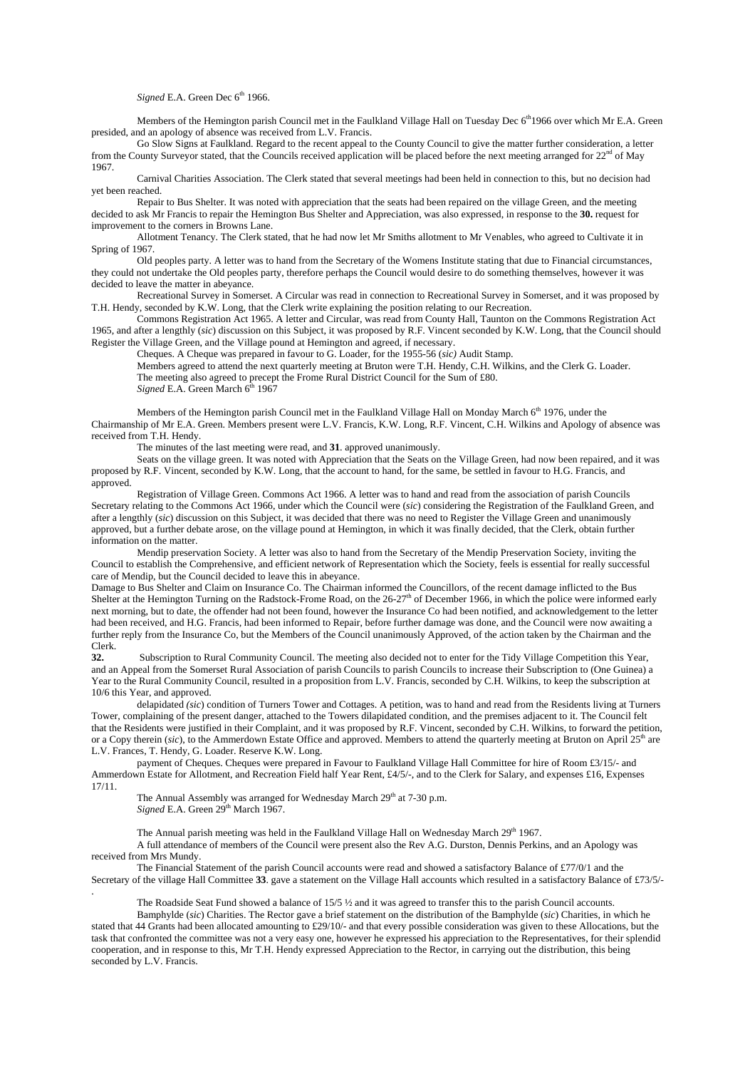## *Signed* E.A. Green Dec 6<sup>th</sup> 1966.

Members of the Hemington parish Council met in the Faulkland Village Hall on Tuesday Dec 6<sup>th</sup>1966 over which Mr E.A. Green presided, and an apology of absence was received from L.V. Francis.

 Go Slow Signs at Faulkland. Regard to the recent appeal to the County Council to give the matter further consideration, a letter from the County Surveyor stated, that the Councils received application will be placed before the next meeting arranged for  $22<sup>nd</sup>$  of May 1967.

 Carnival Charities Association. The Clerk stated that several meetings had been held in connection to this, but no decision had yet been reached.

 Repair to Bus Shelter. It was noted with appreciation that the seats had been repaired on the village Green, and the meeting decided to ask Mr Francis to repair the Hemington Bus Shelter and Appreciation, was also expressed, in response to the **30.** request for improvement to the corners in Browns Lane.

 Allotment Tenancy. The Clerk stated, that he had now let Mr Smiths allotment to Mr Venables, who agreed to Cultivate it in Spring of 1967.

 Old peoples party. A letter was to hand from the Secretary of the Womens Institute stating that due to Financial circumstances, they could not undertake the Old peoples party, therefore perhaps the Council would desire to do something themselves, however it was decided to leave the matter in abeyance.

 Recreational Survey in Somerset. A Circular was read in connection to Recreational Survey in Somerset, and it was proposed by T.H. Hendy, seconded by K.W. Long, that the Clerk write explaining the position relating to our Recreation.

 Commons Registration Act 1965. A letter and Circular, was read from County Hall, Taunton on the Commons Registration Act 1965, and after a lengthly (*sic*) discussion on this Subject, it was proposed by R.F. Vincent seconded by K.W. Long, that the Council should Register the Village Green, and the Village pound at Hemington and agreed, if necessary.

Cheques. A Cheque was prepared in favour to G. Loader, for the 1955-56 (*sic)* Audit Stamp.

 Members agreed to attend the next quarterly meeting at Bruton were T.H. Hendy, C.H. Wilkins, and the Clerk G. Loader. The meeting also agreed to precept the Frome Rural District Council for the Sum of £80. *Signed E.A.* Green March 6<sup>th</sup> 1967

Members of the Hemington parish Council met in the Faulkland Village Hall on Monday March 6<sup>th</sup> 1976, under the Chairmanship of Mr E.A. Green. Members present were L.V. Francis, K.W. Long, R.F. Vincent, C.H. Wilkins and Apology of absence was received from T.H. Hendy.

The minutes of the last meeting were read, and **31**. approved unanimously.

 Seats on the village green. It was noted with Appreciation that the Seats on the Village Green, had now been repaired, and it was proposed by R.F. Vincent, seconded by K.W. Long, that the account to hand, for the same, be settled in favour to H.G. Francis, and approved.

 Registration of Village Green. Commons Act 1966. A letter was to hand and read from the association of parish Councils Secretary relating to the Commons Act 1966, under which the Council were (*sic*) considering the Registration of the Faulkland Green, and after a lengthly (*sic*) discussion on this Subject, it was decided that there was no need to Register the Village Green and unanimously approved, but a further debate arose, on the village pound at Hemington, in which it was finally decided, that the Clerk, obtain further information on the matter.

 Mendip preservation Society. A letter was also to hand from the Secretary of the Mendip Preservation Society, inviting the Council to establish the Comprehensive, and efficient network of Representation which the Society, feels is essential for really successful care of Mendip, but the Council decided to leave this in abeyance.

Damage to Bus Shelter and Claim on Insurance Co. The Chairman informed the Councillors, of the recent damage inflicted to the Bus Shelter at the Hemington Turning on the Radstock-Frome Road, on the  $26-27<sup>th</sup>$  of December 1966, in which the police were informed early next morning, but to date, the offender had not been found, however the Insurance Co had been notified, and acknowledgement to the letter had been received, and H.G. Francis, had been informed to Repair, before further damage was done, and the Council were now awaiting a further reply from the Insurance Co, but the Members of the Council unanimously Approved, of the action taken by the Chairman and the Clerk.

**32.** Subscription to Rural Community Council. The meeting also decided not to enter for the Tidy Village Competition this Year, and an Appeal from the Somerset Rural Association of parish Councils to parish Councils to increase their Subscription to (One Guinea) a Year to the Rural Community Council, resulted in a proposition from L.V. Francis, seconded by C.H. Wilkins, to keep the subscription at 10/6 this Year, and approved.

 delapidated *(sic*) condition of Turners Tower and Cottages. A petition, was to hand and read from the Residents living at Turners Tower, complaining of the present danger, attached to the Towers dilapidated condition, and the premises adjacent to it. The Council felt that the Residents were justified in their Complaint, and it was proposed by R.F. Vincent, seconded by C.H. Wilkins, to forward the petition, or a Copy therein (sic), to the Ammerdown Estate Office and approved. Members to attend the quarterly meeting at Bruton on April 25<sup>th</sup> are L.V. Frances, T. Hendy, G. Loader. Reserve K.W. Long.

 payment of Cheques. Cheques were prepared in Favour to Faulkland Village Hall Committee for hire of Room £3/15/- and Ammerdown Estate for Allotment, and Recreation Field half Year Rent, £4/5/-, and to the Clerk for Salary, and expenses £16, Expenses 17/11.

The Annual Assembly was arranged for Wednesday March 29<sup>th</sup> at 7-30 p.m. *Signed* E.A. Green 29<sup>th</sup> March 1967.

.

The Annual parish meeting was held in the Faulkland Village Hall on Wednesday March 29<sup>th</sup> 1967.

 A full attendance of members of the Council were present also the Rev A.G. Durston, Dennis Perkins, and an Apology was received from Mrs Mundy.

 The Financial Statement of the parish Council accounts were read and showed a satisfactory Balance of £77/0/1 and the Secretary of the village Hall Committee **33**. gave a statement on the Village Hall accounts which resulted in a satisfactory Balance of £73/5/-

The Roadside Seat Fund showed a balance of 15/5 ½ and it was agreed to transfer this to the parish Council accounts.

 Bamphylde (*sic*) Charities. The Rector gave a brief statement on the distribution of the Bamphylde (*sic*) Charities, in which he stated that 44 Grants had been allocated amounting to £29/10/- and that every possible consideration was given to these Allocations, but the task that confronted the committee was not a very easy one, however he expressed his appreciation to the Representatives, for their splendid cooperation, and in response to this, Mr T.H. Hendy expressed Appreciation to the Rector, in carrying out the distribution, this being seconded by L.V. Francis.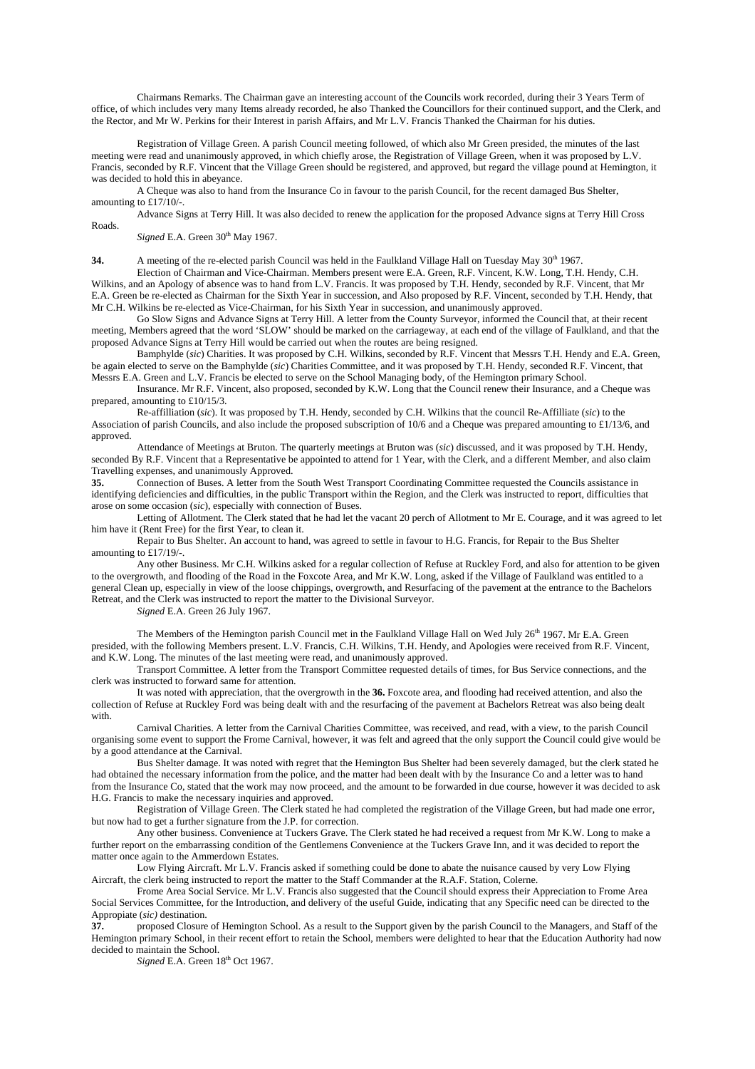Chairmans Remarks. The Chairman gave an interesting account of the Councils work recorded, during their 3 Years Term of office, of which includes very many Items already recorded, he also Thanked the Councillors for their continued support, and the Clerk, and the Rector, and Mr W. Perkins for their Interest in parish Affairs, and Mr L.V. Francis Thanked the Chairman for his duties.

 Registration of Village Green. A parish Council meeting followed, of which also Mr Green presided, the minutes of the last meeting were read and unanimously approved, in which chiefly arose, the Registration of Village Green, when it was proposed by L.V. Francis, seconded by R.F. Vincent that the Village Green should be registered, and approved, but regard the village pound at Hemington, it was decided to hold this in abeyance.

 A Cheque was also to hand from the Insurance Co in favour to the parish Council, for the recent damaged Bus Shelter, amounting to £17/10/-.

 Advance Signs at Terry Hill. It was also decided to renew the application for the proposed Advance signs at Terry Hill Cross Roads.

*Signed* E.A. Green  $30<sup>th</sup>$  May 1967.

**34.** A meeting of the re-elected parish Council was held in the Faulkland Village Hall on Tuesday May 30<sup>th</sup> 1967.

 Election of Chairman and Vice-Chairman. Members present were E.A. Green, R.F. Vincent, K.W. Long, T.H. Hendy, C.H. Wilkins, and an Apology of absence was to hand from L.V. Francis. It was proposed by T.H. Hendy, seconded by R.F. Vincent, that Mr E.A. Green be re-elected as Chairman for the Sixth Year in succession, and Also proposed by R.F. Vincent, seconded by T.H. Hendy, that Mr C.H. Wilkins be re-elected as Vice-Chairman, for his Sixth Year in succession, and unanimously approved.

 Go Slow Signs and Advance Signs at Terry Hill. A letter from the County Surveyor, informed the Council that, at their recent meeting, Members agreed that the word 'SLOW' should be marked on the carriageway, at each end of the village of Faulkland, and that the proposed Advance Signs at Terry Hill would be carried out when the routes are being resigned.

 Bamphylde (*sic*) Charities. It was proposed by C.H. Wilkins, seconded by R.F. Vincent that Messrs T.H. Hendy and E.A. Green, be again elected to serve on the Bamphylde (*sic*) Charities Committee, and it was proposed by T.H. Hendy, seconded R.F. Vincent, that Messrs E.A. Green and L.V. Francis be elected to serve on the School Managing body, of the Hemington primary School.

 Insurance. Mr R.F. Vincent, also proposed, seconded by K.W. Long that the Council renew their Insurance, and a Cheque was prepared, amounting to £10/15/3.

 Re-affilliation (*sic*). It was proposed by T.H. Hendy, seconded by C.H. Wilkins that the council Re-Affilliate (*sic*) to the Association of parish Councils, and also include the proposed subscription of 10/6 and a Cheque was prepared amounting to £1/13/6, and approved.

 Attendance of Meetings at Bruton. The quarterly meetings at Bruton was (*sic*) discussed, and it was proposed by T.H. Hendy, seconded By R.F. Vincent that a Representative be appointed to attend for 1 Year, with the Clerk, and a different Member, and also claim Travelling expenses, and unanimously Approved.

**35.** Connection of Buses. A letter from the South West Transport Coordinating Committee requested the Councils assistance in identifying deficiencies and difficulties, in the public Transport within the Region, and the Clerk was instructed to report, difficulties that arose on some occasion (*sic*), especially with connection of Buses.

Letting of Allotment. The Clerk stated that he had let the vacant 20 perch of Allotment to Mr E. Courage, and it was agreed to let him have it (Rent Free) for the first Year, to clean it.

 Repair to Bus Shelter. An account to hand, was agreed to settle in favour to H.G. Francis, for Repair to the Bus Shelter amounting to £17/19/-.

 Any other Business. Mr C.H. Wilkins asked for a regular collection of Refuse at Ruckley Ford, and also for attention to be given to the overgrowth, and flooding of the Road in the Foxcote Area, and Mr K.W. Long, asked if the Village of Faulkland was entitled to a general Clean up, especially in view of the loose chippings, overgrowth, and Resurfacing of the pavement at the entrance to the Bachelors Retreat, and the Clerk was instructed to report the matter to the Divisional Surveyor.

*Signed* E.A. Green 26 July 1967.

The Members of the Hemington parish Council met in the Faulkland Village Hall on Wed July 26<sup>th</sup> 1967. Mr E.A. Green presided, with the following Members present. L.V. Francis, C.H. Wilkins, T.H. Hendy, and Apologies were received from R.F. Vincent, and K.W. Long. The minutes of the last meeting were read, and unanimously approved.

 Transport Committee. A letter from the Transport Committee requested details of times, for Bus Service connections, and the clerk was instructed to forward same for attention.

 It was noted with appreciation, that the overgrowth in the **36.** Foxcote area, and flooding had received attention, and also the collection of Refuse at Ruckley Ford was being dealt with and the resurfacing of the pavement at Bachelors Retreat was also being dealt with.

 Carnival Charities. A letter from the Carnival Charities Committee, was received, and read, with a view, to the parish Council organising some event to support the Frome Carnival, however, it was felt and agreed that the only support the Council could give would be by a good attendance at the Carnival.

 Bus Shelter damage. It was noted with regret that the Hemington Bus Shelter had been severely damaged, but the clerk stated he had obtained the necessary information from the police, and the matter had been dealt with by the Insurance Co and a letter was to hand from the Insurance Co, stated that the work may now proceed, and the amount to be forwarded in due course, however it was decided to ask H.G. Francis to make the necessary inquiries and approved.

 Registration of Village Green. The Clerk stated he had completed the registration of the Village Green, but had made one error, but now had to get a further signature from the J.P. for correction.

 Any other business. Convenience at Tuckers Grave. The Clerk stated he had received a request from Mr K.W. Long to make a further report on the embarrassing condition of the Gentlemens Convenience at the Tuckers Grave Inn, and it was decided to report the matter once again to the Ammerdown Estates.

 Low Flying Aircraft. Mr L.V. Francis asked if something could be done to abate the nuisance caused by very Low Flying Aircraft, the clerk being instructed to report the matter to the Staff Commander at the R.A.F. Station, Colerne.

 Frome Area Social Service. Mr L.V. Francis also suggested that the Council should express their Appreciation to Frome Area Social Services Committee, for the Introduction, and delivery of the useful Guide, indicating that any Specific need can be directed to the Appropiate (*sic)* destination.

**37.** proposed Closure of Hemington School. As a result to the Support given by the parish Council to the Managers, and Staff of the Hemington primary School, in their recent effort to retain the School, members were delighted to hear that the Education Authority had now decided to maintain the School.

*Signed* E.A. Green  $18<sup>th</sup>$  Oct 1967.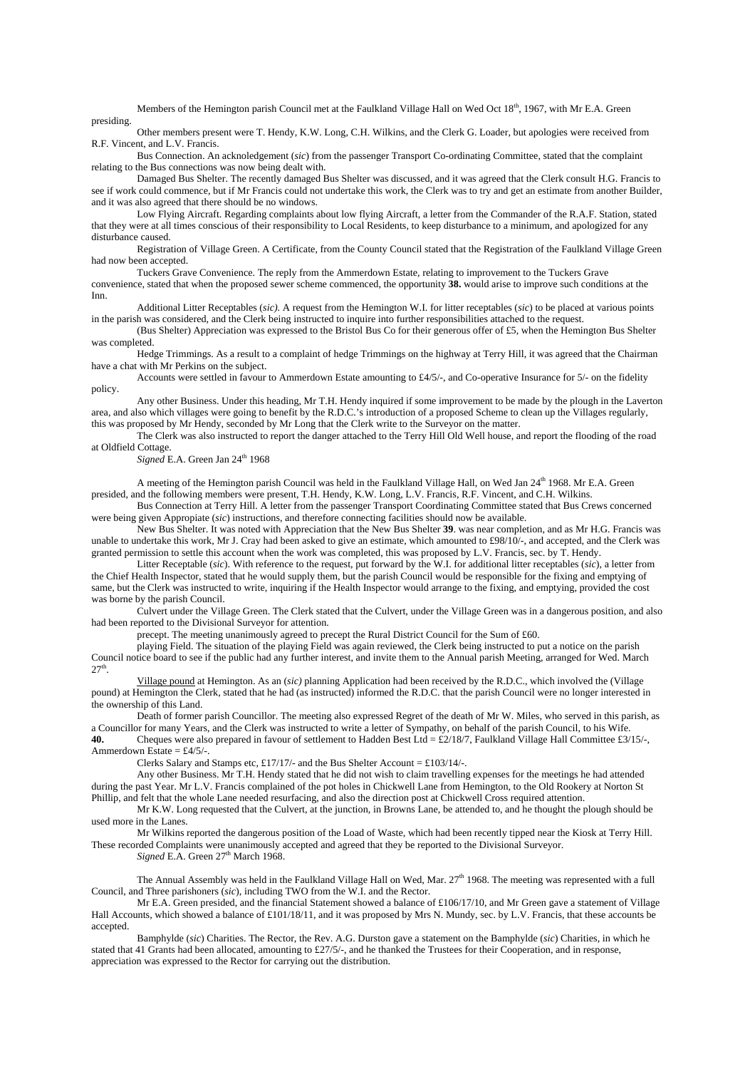Members of the Hemington parish Council met at the Faulkland Village Hall on Wed Oct 18<sup>th</sup>, 1967, with Mr E.A. Green presiding.

 Other members present were T. Hendy, K.W. Long, C.H. Wilkins, and the Clerk G. Loader, but apologies were received from R.F. Vincent, and L.V. Francis.

 Bus Connection. An acknoledgement (*sic*) from the passenger Transport Co-ordinating Committee, stated that the complaint relating to the Bus connections was now being dealt with.

 Damaged Bus Shelter. The recently damaged Bus Shelter was discussed, and it was agreed that the Clerk consult H.G. Francis to see if work could commence, but if Mr Francis could not undertake this work, the Clerk was to try and get an estimate from another Builder, and it was also agreed that there should be no windows.

 Low Flying Aircraft. Regarding complaints about low flying Aircraft, a letter from the Commander of the R.A.F. Station, stated that they were at all times conscious of their responsibility to Local Residents, to keep disturbance to a minimum, and apologized for any disturbance caused.

 Registration of Village Green. A Certificate, from the County Council stated that the Registration of the Faulkland Village Green had now been accepted.

 Tuckers Grave Convenience. The reply from the Ammerdown Estate, relating to improvement to the Tuckers Grave convenience, stated that when the proposed sewer scheme commenced, the opportunity **38.** would arise to improve such conditions at the Inn.

 Additional Litter Receptables (*sic).* A request from the Hemington W.I. for litter receptables (*sic*) to be placed at various points in the parish was considered, and the Clerk being instructed to inquire into further responsibilities attached to the request.

 (Bus Shelter) Appreciation was expressed to the Bristol Bus Co for their generous offer of £5, when the Hemington Bus Shelter was completed.

 Hedge Trimmings. As a result to a complaint of hedge Trimmings on the highway at Terry Hill, it was agreed that the Chairman have a chat with Mr Perkins on the subject.

 Accounts were settled in favour to Ammerdown Estate amounting to £4/5/-, and Co-operative Insurance for 5/- on the fidelity policy.

 Any other Business. Under this heading, Mr T.H. Hendy inquired if some improvement to be made by the plough in the Laverton area, and also which villages were going to benefit by the R.D.C.'s introduction of a proposed Scheme to clean up the Villages regularly, this was proposed by Mr Hendy, seconded by Mr Long that the Clerk write to the Surveyor on the matter.

 The Clerk was also instructed to report the danger attached to the Terry Hill Old Well house, and report the flooding of the road at Oldfield Cottage.

*Signed* E.A. Green Jan 24<sup>th</sup> 1968

A meeting of the Hemington parish Council was held in the Faulkland Village Hall, on Wed Jan 24th 1968. Mr E.A. Green presided, and the following members were present, T.H. Hendy, K.W. Long, L.V. Francis, R.F. Vincent, and C.H. Wilkins.

 Bus Connection at Terry Hill. A letter from the passenger Transport Coordinating Committee stated that Bus Crews concerned were being given Appropiate (*sic*) instructions, and therefore connecting facilities should now be available.

 New Bus Shelter. It was noted with Appreciation that the New Bus Shelter **39**. was near completion, and as Mr H.G. Francis was unable to undertake this work, Mr J. Cray had been asked to give an estimate, which amounted to £98/10/-, and accepted, and the Clerk was granted permission to settle this account when the work was completed, this was proposed by L.V. Francis, sec. by T. Hendy.

 Litter Receptable (*sic*). With reference to the request, put forward by the W.I. for additional litter receptables (*sic*), a letter from the Chief Health Inspector, stated that he would supply them, but the parish Council would be responsible for the fixing and emptying of same, but the Clerk was instructed to write, inquiring if the Health Inspector would arrange to the fixing, and emptying, provided the cost was borne by the parish Council.

 Culvert under the Village Green. The Clerk stated that the Culvert, under the Village Green was in a dangerous position, and also had been reported to the Divisional Surveyor for attention.

precept. The meeting unanimously agreed to precept the Rural District Council for the Sum of £60.

 playing Field. The situation of the playing Field was again reviewed, the Clerk being instructed to put a notice on the parish Council notice board to see if the public had any further interest, and invite them to the Annual parish Meeting, arranged for Wed. March  $27<sup>th</sup>$ .

 Village pound at Hemington. As an (*sic)* planning Application had been received by the R.D.C., which involved the (Village pound) at Hemington the Clerk, stated that he had (as instructed) informed the R.D.C. that the parish Council were no longer interested in the ownership of this Land.

 Death of former parish Councillor. The meeting also expressed Regret of the death of Mr W. Miles, who served in this parish, as a Councillor for many Years, and the Clerk was instructed to write a letter of Sympathy, on behalf of the parish Council, to his Wife.

**40.** Cheques were also prepared in favour of settlement to Hadden Best Ltd = £2/18/7, Faulkland Village Hall Committee £3/15/-, Ammerdown Estate =  $£4/5/-.$ 

Clerks Salary and Stamps etc, £17/17/- and the Bus Shelter Account = £103/14/-.

 Any other Business. Mr T.H. Hendy stated that he did not wish to claim travelling expenses for the meetings he had attended during the past Year. Mr L.V. Francis complained of the pot holes in Chickwell Lane from Hemington, to the Old Rookery at Norton St Phillip, and felt that the whole Lane needed resurfacing, and also the direction post at Chickwell Cross required attention.

 Mr K.W. Long requested that the Culvert, at the junction, in Browns Lane, be attended to, and he thought the plough should be used more in the Lanes.

 Mr Wilkins reported the dangerous position of the Load of Waste, which had been recently tipped near the Kiosk at Terry Hill. These recorded Complaints were unanimously accepted and agreed that they be reported to the Divisional Surveyor.

Signed E.A. Green 27<sup>th</sup> March 1968.

The Annual Assembly was held in the Faulkland Village Hall on Wed, Mar.  $27<sup>th</sup>$  1968. The meeting was represented with a full Council, and Three parishoners (*sic*), including TWO from the W.I. and the Rector.

 Mr E.A. Green presided, and the financial Statement showed a balance of £106/17/10, and Mr Green gave a statement of Village Hall Accounts, which showed a balance of £101/18/11, and it was proposed by Mrs N. Mundy, sec. by L.V. Francis, that these accounts be accepted.

 Bamphylde (*sic*) Charities. The Rector, the Rev. A.G. Durston gave a statement on the Bamphylde (*sic*) Charities, in which he stated that 41 Grants had been allocated, amounting to £27/5/-, and he thanked the Trustees for their Cooperation, and in response, appreciation was expressed to the Rector for carrying out the distribution.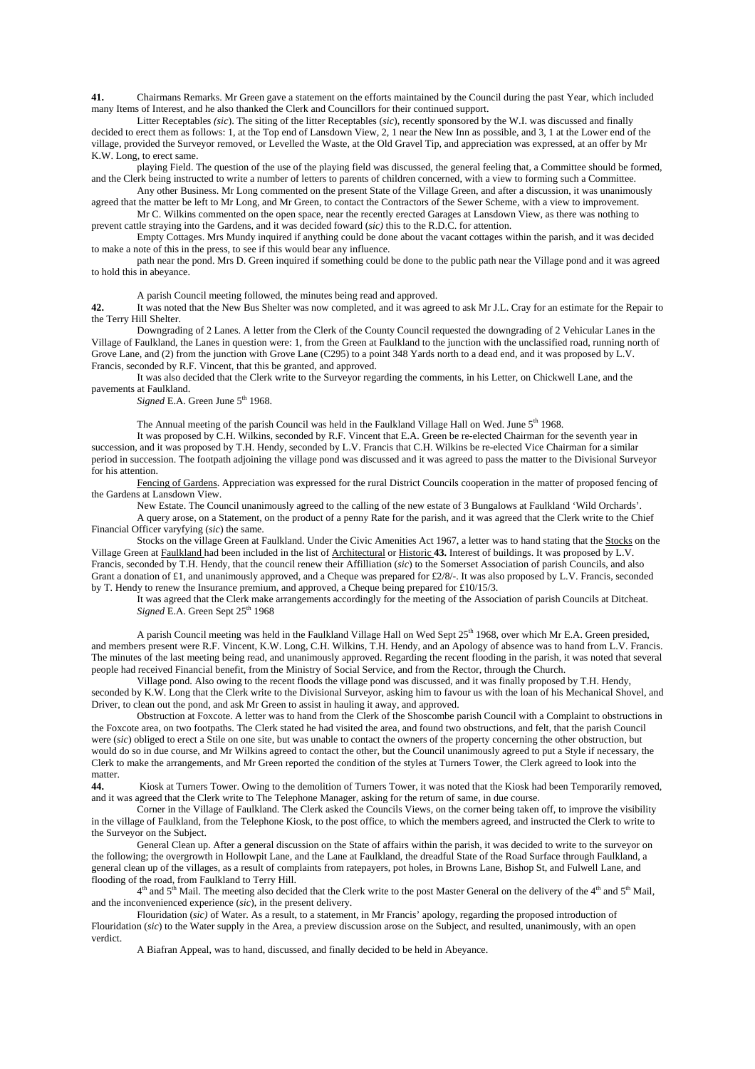**41.** Chairmans Remarks. Mr Green gave a statement on the efforts maintained by the Council during the past Year, which included many Items of Interest, and he also thanked the Clerk and Councillors for their continued support.

 Litter Receptables *(sic*). The siting of the litter Receptables (*sic*), recently sponsored by the W.I. was discussed and finally decided to erect them as follows: 1, at the Top end of Lansdown View, 2, 1 near the New Inn as possible, and 3, 1 at the Lower end of the village, provided the Surveyor removed, or Levelled the Waste, at the Old Gravel Tip, and appreciation was expressed, at an offer by Mr K.W. Long, to erect same.

 playing Field. The question of the use of the playing field was discussed, the general feeling that, a Committee should be formed, and the Clerk being instructed to write a number of letters to parents of children concerned, with a view to forming such a Committee.

 Any other Business. Mr Long commented on the present State of the Village Green, and after a discussion, it was unanimously agreed that the matter be left to Mr Long, and Mr Green, to contact the Contractors of the Sewer Scheme, with a view to improvement.

 Mr C. Wilkins commented on the open space, near the recently erected Garages at Lansdown View, as there was nothing to prevent cattle straying into the Gardens, and it was decided foward (*sic)* this to the R.D.C. for attention.

 Empty Cottages. Mrs Mundy inquired if anything could be done about the vacant cottages within the parish, and it was decided to make a note of this in the press, to see if this would bear any influence.

 path near the pond. Mrs D. Green inquired if something could be done to the public path near the Village pond and it was agreed to hold this in abeyance.

A parish Council meeting followed, the minutes being read and approved.

**42.** It was noted that the New Bus Shelter was now completed, and it was agreed to ask Mr J.L. Cray for an estimate for the Repair to the Terry Hill Shelter.

 Downgrading of 2 Lanes. A letter from the Clerk of the County Council requested the downgrading of 2 Vehicular Lanes in the Village of Faulkland, the Lanes in question were: 1, from the Green at Faulkland to the junction with the unclassified road, running north of Grove Lane, and (2) from the junction with Grove Lane (C295) to a point 348 Yards north to a dead end, and it was proposed by L.V. Francis, seconded by R.F. Vincent, that this be granted, and approved.

 It was also decided that the Clerk write to the Surveyor regarding the comments, in his Letter, on Chickwell Lane, and the pavements at Faulkland.

Signed E.A. Green June 5<sup>th</sup> 1968.

The Annual meeting of the parish Council was held in the Faulkland Village Hall on Wed. June 5<sup>th</sup> 1968.

 It was proposed by C.H. Wilkins, seconded by R.F. Vincent that E.A. Green be re-elected Chairman for the seventh year in succession, and it was proposed by T.H. Hendy, seconded by L.V. Francis that C.H. Wilkins be re-elected Vice Chairman for a similar period in succession. The footpath adjoining the village pond was discussed and it was agreed to pass the matter to the Divisional Surveyor for his attention.

 Fencing of Gardens. Appreciation was expressed for the rural District Councils cooperation in the matter of proposed fencing of the Gardens at Lansdown View.

New Estate. The Council unanimously agreed to the calling of the new estate of 3 Bungalows at Faulkland 'Wild Orchards'.

 A query arose, on a Statement, on the product of a penny Rate for the parish, and it was agreed that the Clerk write to the Chief Financial Officer varyfying (*sic*) the same.

 Stocks on the village Green at Faulkland. Under the Civic Amenities Act 1967, a letter was to hand stating that the Stocks on the Village Green at Faulkland had been included in the list of Architectural or Historic **43.** Interest of buildings. It was proposed by L.V. Francis, seconded by T.H. Hendy, that the council renew their Affilliation (*sic*) to the Somerset Association of parish Councils, and also Grant a donation of £1, and unanimously approved, and a Cheque was prepared for £2/8/-. It was also proposed by L.V. Francis, seconded by T. Hendy to renew the Insurance premium, and approved, a Cheque being prepared for £10/15/3.

 It was agreed that the Clerk make arrangements accordingly for the meeting of the Association of parish Councils at Ditcheat. *Signed* E.A. Green Sept 25<sup>th</sup> 1968

A parish Council meeting was held in the Faulkland Village Hall on Wed Sept  $25<sup>th</sup>$  1968, over which Mr E.A. Green presided, and members present were R.F. Vincent, K.W. Long, C.H. Wilkins, T.H. Hendy, and an Apology of absence was to hand from L.V. Francis. The minutes of the last meeting being read, and unanimously approved. Regarding the recent flooding in the parish, it was noted that several people had received Financial benefit, from the Ministry of Social Service, and from the Rector, through the Church.

 Village pond. Also owing to the recent floods the village pond was discussed, and it was finally proposed by T.H. Hendy, seconded by K.W. Long that the Clerk write to the Divisional Surveyor, asking him to favour us with the loan of his Mechanical Shovel, and Driver, to clean out the pond, and ask Mr Green to assist in hauling it away, and approved.

 Obstruction at Foxcote. A letter was to hand from the Clerk of the Shoscombe parish Council with a Complaint to obstructions in the Foxcote area, on two footpaths. The Clerk stated he had visited the area, and found two obstructions, and felt, that the parish Council were (*sic*) obliged to erect a Stile on one site, but was unable to contact the owners of the property concerning the other obstruction, but would do so in due course, and Mr Wilkins agreed to contact the other, but the Council unanimously agreed to put a Style if necessary, the Clerk to make the arrangements, and Mr Green reported the condition of the styles at Turners Tower, the Clerk agreed to look into the matter.

**44.** Kiosk at Turners Tower. Owing to the demolition of Turners Tower, it was noted that the Kiosk had been Temporarily removed, and it was agreed that the Clerk write to The Telephone Manager, asking for the return of same, in due course.

 Corner in the Village of Faulkland. The Clerk asked the Councils Views, on the corner being taken off, to improve the visibility in the village of Faulkland, from the Telephone Kiosk, to the post office, to which the members agreed, and instructed the Clerk to write to the Surveyor on the Subject.

 General Clean up. After a general discussion on the State of affairs within the parish, it was decided to write to the surveyor on the following; the overgrowth in Hollowpit Lane, and the Lane at Faulkland, the dreadful State of the Road Surface through Faulkland, a general clean up of the villages, as a result of complaints from ratepayers, pot holes, in Browns Lane, Bishop St, and Fulwell Lane, and flooding of the road, from Faulkland to Terry Hill.

 $4<sup>th</sup>$  and  $5<sup>th</sup>$  Mail. The meeting also decided that the Clerk write to the post Master General on the delivery of the  $4<sup>th</sup>$  and  $5<sup>th</sup>$  Mail, and the inconvenienced experience (*sic*), in the present delivery.

 Flouridation (*sic)* of Water. As a result, to a statement, in Mr Francis' apology, regarding the proposed introduction of Flouridation (*sic*) to the Water supply in the Area, a preview discussion arose on the Subject, and resulted, unanimously, with an open verdict.

A Biafran Appeal, was to hand, discussed, and finally decided to be held in Abeyance.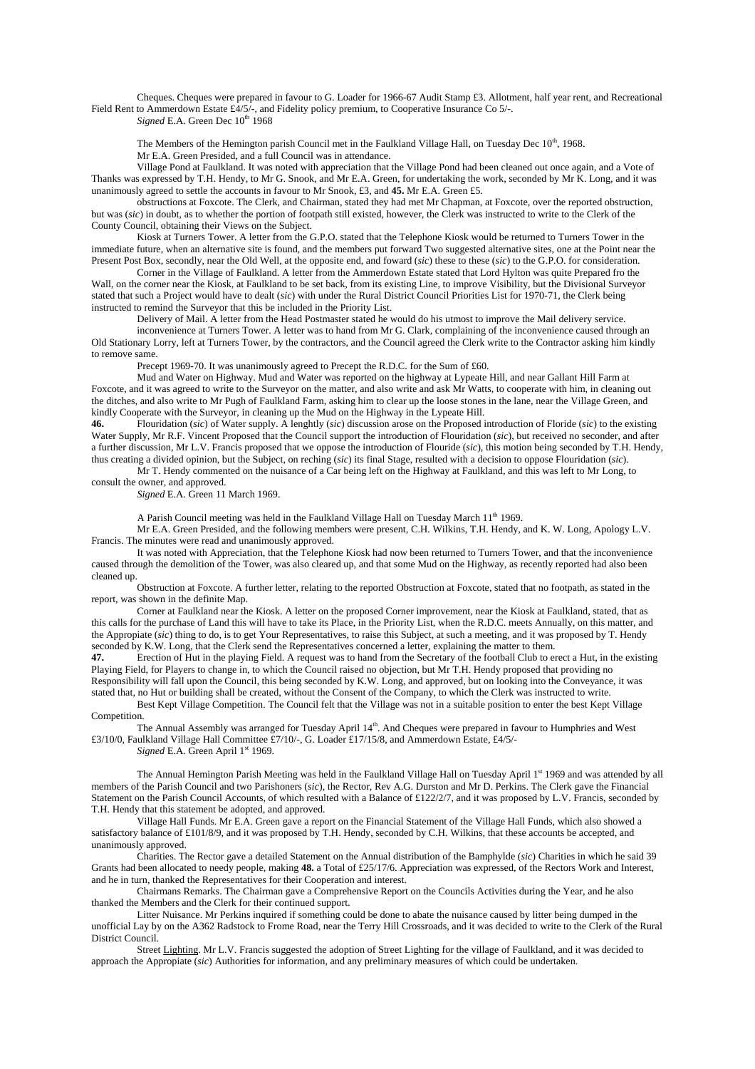Cheques. Cheques were prepared in favour to G. Loader for 1966-67 Audit Stamp £3. Allotment, half year rent, and Recreational Field Rent to Ammerdown Estate £4/5/-, and Fidelity policy premium, to Cooperative Insurance Co 5/-. *Signed* E.A. Green Dec  $10^{th}$  1968

The Members of the Hemington parish Council met in the Faulkland Village Hall, on Tuesday Dec 10<sup>th</sup>, 1968. Mr E.A. Green Presided, and a full Council was in attendance.

 Village Pond at Faulkland. It was noted with appreciation that the Village Pond had been cleaned out once again, and a Vote of Thanks was expressed by T.H. Hendy, to Mr G. Snook, and Mr E.A. Green, for undertaking the work, seconded by Mr K. Long, and it was unanimously agreed to settle the accounts in favour to Mr Snook, £3, and **45.** Mr E.A. Green £5.

 obstructions at Foxcote. The Clerk, and Chairman, stated they had met Mr Chapman, at Foxcote, over the reported obstruction, but was (*sic*) in doubt, as to whether the portion of footpath still existed, however, the Clerk was instructed to write to the Clerk of the County Council, obtaining their Views on the Subject.

 Kiosk at Turners Tower. A letter from the G.P.O. stated that the Telephone Kiosk would be returned to Turners Tower in the immediate future, when an alternative site is found, and the members put forward Two suggested alternative sites, one at the Point near the Present Post Box, secondly, near the Old Well, at the opposite end, and foward (*sic*) these to these (*sic*) to the G.P.O. for consideration.

 Corner in the Village of Faulkland. A letter from the Ammerdown Estate stated that Lord Hylton was quite Prepared fro the Wall, on the corner near the Kiosk, at Faulkland to be set back, from its existing Line, to improve Visibility, but the Divisional Surveyor stated that such a Project would have to dealt (*sic*) with under the Rural District Council Priorities List for 1970-71, the Clerk being instructed to remind the Surveyor that this be included in the Priority List.

Delivery of Mail. A letter from the Head Postmaster stated he would do his utmost to improve the Mail delivery service.

 inconvenience at Turners Tower. A letter was to hand from Mr G. Clark, complaining of the inconvenience caused through an Old Stationary Lorry, left at Turners Tower, by the contractors, and the Council agreed the Clerk write to the Contractor asking him kindly to remove same.

Precept 1969-70. It was unanimously agreed to Precept the R.D.C. for the Sum of £60.

 Mud and Water on Highway. Mud and Water was reported on the highway at Lypeate Hill, and near Gallant Hill Farm at Foxcote, and it was agreed to write to the Surveyor on the matter, and also write and ask Mr Watts, to cooperate with him, in cleaning out the ditches, and also write to Mr Pugh of Faulkland Farm, asking him to clear up the loose stones in the lane, near the Village Green, and kindly Cooperate with the Surveyor, in cleaning up the Mud on the Highway in the Lypeate Hill.

**46.** Flouridation (*sic*) of Water supply. A lenghtly (*sic*) discussion arose on the Proposed introduction of Floride (*sic*) to the existing Water Supply, Mr R.F. Vincent Proposed that the Council support the introduction of Flouridation (*sic*), but received no seconder, and after a further discussion, Mr L.V. Francis proposed that we oppose the introduction of Flouride (*sic*), this motion being seconded by T.H. Hendy, thus creating a divided opinion, but the Subject, on reching (*sic*) its final Stage, resulted with a decision to oppose Flouridation (*sic*).

 Mr T. Hendy commented on the nuisance of a Car being left on the Highway at Faulkland, and this was left to Mr Long, to consult the owner, and approved.

*Signed* E.A. Green 11 March 1969.

A Parish Council meeting was held in the Faulkland Village Hall on Tuesday March 11<sup>th</sup> 1969.

 Mr E.A. Green Presided, and the following members were present, C.H. Wilkins, T.H. Hendy, and K. W. Long, Apology L.V. Francis. The minutes were read and unanimously approved.

 It was noted with Appreciation, that the Telephone Kiosk had now been returned to Turners Tower, and that the inconvenience caused through the demolition of the Tower, was also cleared up, and that some Mud on the Highway, as recently reported had also been cleaned up.

 Obstruction at Foxcote. A further letter, relating to the reported Obstruction at Foxcote, stated that no footpath, as stated in the report, was shown in the definite Map.

 Corner at Faulkland near the Kiosk. A letter on the proposed Corner improvement, near the Kiosk at Faulkland, stated, that as this calls for the purchase of Land this will have to take its Place, in the Priority List, when the R.D.C. meets Annually, on this matter, and the Appropiate (*sic*) thing to do, is to get Your Representatives, to raise this Subject, at such a meeting, and it was proposed by T. Hendy seconded by K.W. Long, that the Clerk send the Representatives concerned a letter, explaining the matter to them.

**47.** Erection of Hut in the playing Field. A request was to hand from the Secretary of the football Club to erect a Hut, in the existing Playing Field, for Players to change in, to which the Council raised no objection, but Mr T.H. Hendy proposed that providing no Responsibility will fall upon the Council, this being seconded by K.W. Long, and approved, but on looking into the Conveyance, it was

stated that, no Hut or building shall be created, without the Consent of the Company, to which the Clerk was instructed to write. Best Kept Village Competition. The Council felt that the Village was not in a suitable position to enter the best Kept Village

Competition.

The Annual Assembly was arranged for Tuesday April 14<sup>th</sup>. And Cheques were prepared in favour to Humphries and West £3/10/0, Faulkland Village Hall Committee £7/10/-, G. Loader £17/15/8, and Ammerdown Estate, £4/5/-

Signed E.A. Green April 1st 1969.

The Annual Hemington Parish Meeting was held in the Faulkland Village Hall on Tuesday April 1st 1969 and was attended by all members of the Parish Council and two Parishoners (*sic*), the Rector, Rev A.G. Durston and Mr D. Perkins. The Clerk gave the Financial Statement on the Parish Council Accounts, of which resulted with a Balance of £122/2/7, and it was proposed by L.V. Francis, seconded by T.H. Hendy that this statement be adopted, and approved.

 Village Hall Funds. Mr E.A. Green gave a report on the Financial Statement of the Village Hall Funds, which also showed a satisfactory balance of £101/8/9, and it was proposed by T.H. Hendy, seconded by C.H. Wilkins, that these accounts be accepted, and unanimously approved.

 Charities. The Rector gave a detailed Statement on the Annual distribution of the Bamphylde (*sic*) Charities in which he said 39 Grants had been allocated to needy people, making **48.** a Total of £25/17/6. Appreciation was expressed, of the Rectors Work and Interest, and he in turn, thanked the Representatives for their Cooperation and interest.

 Chairmans Remarks. The Chairman gave a Comprehensive Report on the Councils Activities during the Year, and he also thanked the Members and the Clerk for their continued support.

 Litter Nuisance. Mr Perkins inquired if something could be done to abate the nuisance caused by litter being dumped in the unofficial Lay by on the A362 Radstock to Frome Road, near the Terry Hill Crossroads, and it was decided to write to the Clerk of the Rural District Council.

 Street Lighting. Mr L.V. Francis suggested the adoption of Street Lighting for the village of Faulkland, and it was decided to approach the Appropiate (*sic*) Authorities for information, and any preliminary measures of which could be undertaken.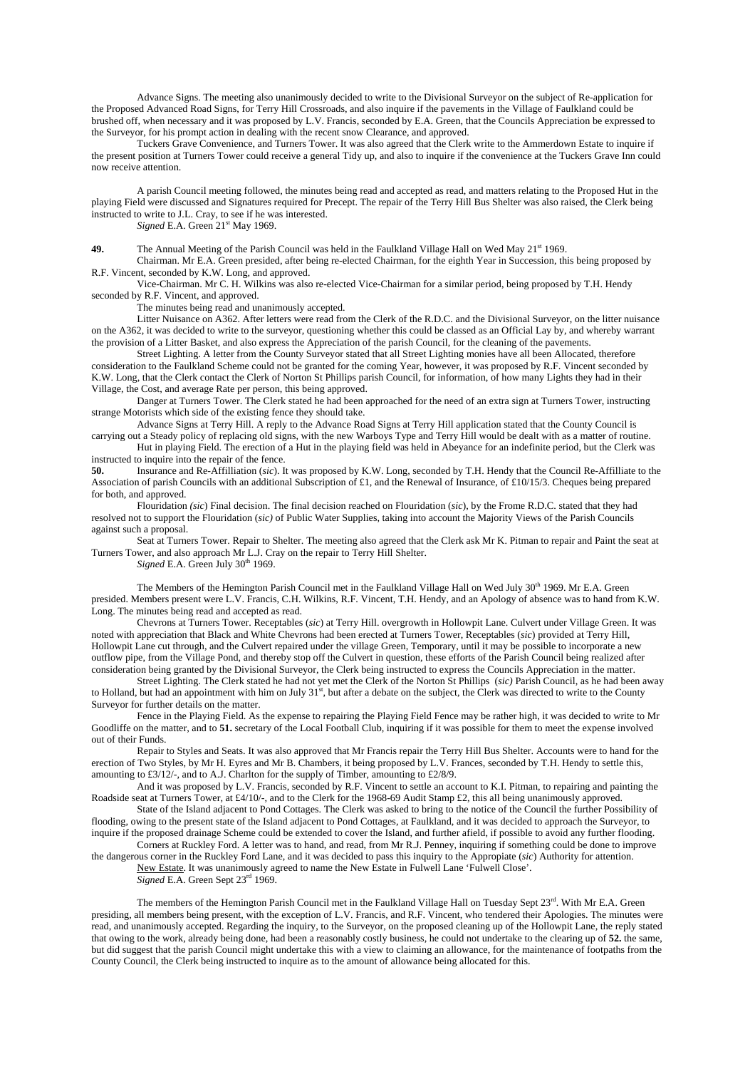Advance Signs. The meeting also unanimously decided to write to the Divisional Surveyor on the subject of Re-application for the Proposed Advanced Road Signs, for Terry Hill Crossroads, and also inquire if the pavements in the Village of Faulkland could be brushed off, when necessary and it was proposed by L.V. Francis, seconded by E.A. Green, that the Councils Appreciation be expressed to the Surveyor, for his prompt action in dealing with the recent snow Clearance, and approved.

 Tuckers Grave Convenience, and Turners Tower. It was also agreed that the Clerk write to the Ammerdown Estate to inquire if the present position at Turners Tower could receive a general Tidy up, and also to inquire if the convenience at the Tuckers Grave Inn could now receive attention.

 A parish Council meeting followed, the minutes being read and accepted as read, and matters relating to the Proposed Hut in the playing Field were discussed and Signatures required for Precept. The repair of the Terry Hill Bus Shelter was also raised, the Clerk being instructed to write to J.L. Cray, to see if he was interested.

*Signed* E.A. Green 21<sup>st</sup> May 1969.

49. The Annual Meeting of the Parish Council was held in the Faulkland Village Hall on Wed May 21<sup>st</sup> 1969.

 Chairman. Mr E.A. Green presided, after being re-elected Chairman, for the eighth Year in Succession, this being proposed by R.F. Vincent, seconded by K.W. Long, and approved.

 Vice-Chairman. Mr C. H. Wilkins was also re-elected Vice-Chairman for a similar period, being proposed by T.H. Hendy seconded by R.F. Vincent, and approved.

The minutes being read and unanimously accepted.

 Litter Nuisance on A362. After letters were read from the Clerk of the R.D.C. and the Divisional Surveyor, on the litter nuisance on the A362, it was decided to write to the surveyor, questioning whether this could be classed as an Official Lay by, and whereby warrant the provision of a Litter Basket, and also express the Appreciation of the parish Council, for the cleaning of the pavements.

 Street Lighting. A letter from the County Surveyor stated that all Street Lighting monies have all been Allocated, therefore consideration to the Faulkland Scheme could not be granted for the coming Year, however, it was proposed by R.F. Vincent seconded by K.W. Long, that the Clerk contact the Clerk of Norton St Phillips parish Council, for information, of how many Lights they had in their Village, the Cost, and average Rate per person, this being approved.

 Danger at Turners Tower. The Clerk stated he had been approached for the need of an extra sign at Turners Tower, instructing strange Motorists which side of the existing fence they should take.

 Advance Signs at Terry Hill. A reply to the Advance Road Signs at Terry Hill application stated that the County Council is carrying out a Steady policy of replacing old signs, with the new Warboys Type and Terry Hill would be dealt with as a matter of routine.

 Hut in playing Field. The erection of a Hut in the playing field was held in Abeyance for an indefinite period, but the Clerk was instructed to inquire into the repair of the fence.<br>50 **Insurance and Re-Affilliation** (sic) I

**50.** Insurance and Re-Affilliation (*sic*). It was proposed by K.W. Long, seconded by T.H. Hendy that the Council Re-Affilliate to the Association of parish Councils with an additional Subscription of £1, and the Renewal of Insurance, of £10/15/3. Cheques being prepared for both, and approved.

 Flouridation *(sic*) Final decision. The final decision reached on Flouridation (*sic*), by the Frome R.D.C. stated that they had resolved not to support the Flouridation (*sic)* of Public Water Supplies, taking into account the Majority Views of the Parish Councils against such a proposal.

 Seat at Turners Tower. Repair to Shelter. The meeting also agreed that the Clerk ask Mr K. Pitman to repair and Paint the seat at Turners Tower, and also approach Mr L.J. Cray on the repair to Terry Hill Shelter.

 $Signed$  E.A. Green July  $30<sup>th</sup>$  1969.

The Members of the Hemington Parish Council met in the Faulkland Village Hall on Wed July 30<sup>th</sup> 1969. Mr E.A. Green presided. Members present were L.V. Francis, C.H. Wilkins, R.F. Vincent, T.H. Hendy, and an Apology of absence was to hand from K.W. Long. The minutes being read and accepted as read.

 Chevrons at Turners Tower. Receptables (*sic*) at Terry Hill. overgrowth in Hollowpit Lane. Culvert under Village Green. It was noted with appreciation that Black and White Chevrons had been erected at Turners Tower, Receptables (*sic*) provided at Terry Hill, Hollowpit Lane cut through, and the Culvert repaired under the village Green, Temporary, until it may be possible to incorporate a new outflow pipe, from the Village Pond, and thereby stop off the Culvert in question, these efforts of the Parish Council being realized after consideration being granted by the Divisional Surveyor, the Clerk being instructed to express the Councils Appreciation in the matter.

 Street Lighting. The Clerk stated he had not yet met the Clerk of the Norton St Phillips (*sic)* Parish Council, as he had been away to Holland, but had an appointment with him on July  $31<sup>st</sup>$ , but after a debate on the subject, the Clerk was directed to write to the County Surveyor for further details on the matter.

 Fence in the Playing Field. As the expense to repairing the Playing Field Fence may be rather high, it was decided to write to Mr Goodliffe on the matter, and to **51.** secretary of the Local Football Club, inquiring if it was possible for them to meet the expense involved out of their Funds.

 Repair to Styles and Seats. It was also approved that Mr Francis repair the Terry Hill Bus Shelter. Accounts were to hand for the erection of Two Styles, by Mr H. Eyres and Mr B. Chambers, it being proposed by L.V. Frances, seconded by T.H. Hendy to settle this, amounting to £3/12/-, and to A.J. Charlton for the supply of Timber, amounting to £2/8/9.

 And it was proposed by L.V. Francis, seconded by R.F. Vincent to settle an account to K.I. Pitman, to repairing and painting the Roadside seat at Turners Tower, at £4/10/-, and to the Clerk for the 1968-69 Audit Stamp £2, this all being unanimously approved.

 State of the Island adjacent to Pond Cottages. The Clerk was asked to bring to the notice of the Council the further Possibility of flooding, owing to the present state of the Island adjacent to Pond Cottages, at Faulkland, and it was decided to approach the Surveyor, to inquire if the proposed drainage Scheme could be extended to cover the Island, and further afield, if possible to avoid any further flooding.

 Corners at Ruckley Ford. A letter was to hand, and read, from Mr R.J. Penney, inquiring if something could be done to improve the dangerous corner in the Ruckley Ford Lane, and it was decided to pass this inquiry to the Appropiate (*sic*) Authority for attention. New Estate. It was unanimously agreed to name the New Estate in Fulwell Lane 'Fulwell Close'.

*Signed* E.A. Green Sept 23rd 1969.

The members of the Hemington Parish Council met in the Faulkland Village Hall on Tuesday Sept 23<sup>rd</sup>. With Mr E.A. Green presiding, all members being present, with the exception of L.V. Francis, and R.F. Vincent, who tendered their Apologies. The minutes were read, and unanimously accepted. Regarding the inquiry, to the Surveyor, on the proposed cleaning up of the Hollowpit Lane, the reply stated that owing to the work, already being done, had been a reasonably costly business, he could not undertake to the clearing up of **52.** the same, but did suggest that the parish Council might undertake this with a view to claiming an allowance, for the maintenance of footpaths from the County Council, the Clerk being instructed to inquire as to the amount of allowance being allocated for this.